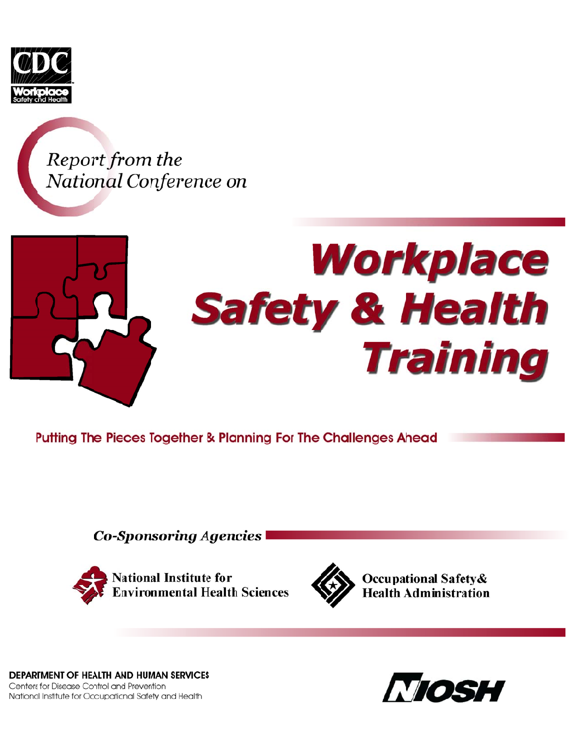

Report from the National Conference on

# Workplace **Safety & Health** Training

Putting The Pieces Together & Planning For The Challenges Ahead

**Co-Sponsoring Agencies** 





Occupational Safety& **Health Administration** 

**DEPARTMENT OF HEALTH AND HUMAN SERVICES** Centers for Disease Control and Prevention National Institute for Occupational Safety and Health

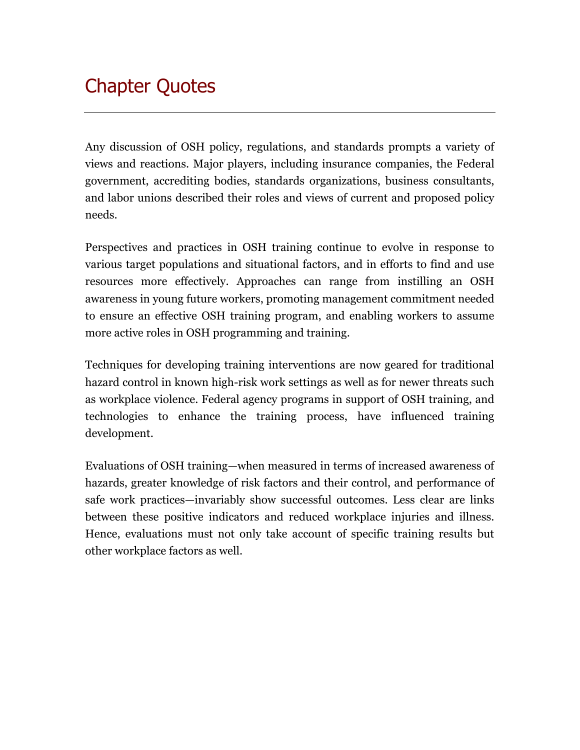# Chapter Quotes

Any discussion of OSH policy, regulations, and standards prompts a variety of views and reactions. Major players, including insurance companies, the Federal government, accrediting bodies, standards organizations, business consultants, and labor unions described their roles and views of current and proposed policy needs.

Perspectives and practices in OSH training continue to evolve in response to various target populations and situational factors, and in efforts to find and use resources more effectively. Approaches can range from instilling an OSH awareness in young future workers, promoting management commitment needed to ensure an effective OSH training program, and enabling workers to assume more active roles in OSH programming and training.

Techniques for developing training interventions are now geared for traditional hazard control in known high-risk work settings as well as for newer threats such as workplace violence. Federal agency programs in support of OSH training, and technologies to enhance the training process, have influenced training development.

Evaluations of OSH training—when measured in terms of increased awareness of hazards, greater knowledge of risk factors and their control, and performance of safe work practices—invariably show successful outcomes. Less clear are links between these positive indicators and reduced workplace injuries and illness. Hence, evaluations must not only take account of specific training results but other workplace factors as well.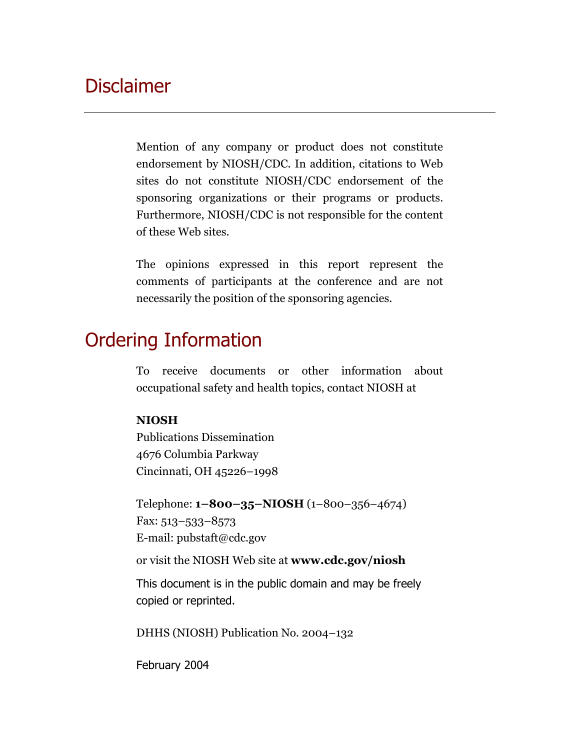Mention of any company or product does not constitute endorsement by NIOSH/CDC. In addition, citations to Web sites do not constitute NIOSH/CDC endorsement of the sponsoring organizations or their programs or products. Furthermore, NIOSH/CDC is not responsible for the content of these Web sites.

The opinions expressed in this report represent the comments of participants at the conference and are not necessarily the position of the sponsoring agencies.

# Ordering Information

To receive documents or other information about occupational safety and health topics, contact NIOSH at

#### **NIOSH**

Publications Dissemination 4676 Columbia Parkway Cincinnati, OH 45226–1998

Telephone: **1–800–35–NIOSH** (1–800–356–4674) Fax: 513–533–8573 E-mail: pubstaft@cdc.gov

or visit the NIOSH Web site at **www.cdc.gov/niosh** 

This document is in the public domain and may be freely copied or reprinted.

DHHS (NIOSH) Publication No. 2004–132

February 2004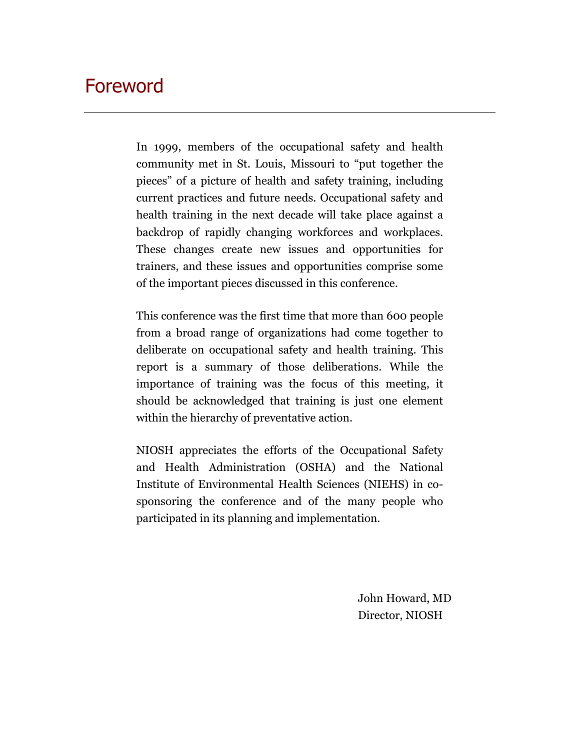## Foreword

In 1999, members of the occupational safety and health community met in St. Louis, Missouri to "put together the pieces" of a picture of health and safety training, including current practices and future needs. Occupational safety and health training in the next decade will take place against a backdrop of rapidly changing workforces and workplaces. These changes create new issues and opportunities for trainers, and these issues and opportunities comprise some of the important pieces discussed in this conference.

This conference was the first time that more than 600 people from a broad range of organizations had come together to deliberate on occupational safety and health training. This report is a summary of those deliberations. While the importance of training was the focus of this meeting, it should be acknowledged that training is just one element within the hierarchy of preventative action.

NIOSH appreciates the efforts of the Occupational Safety and Health Administration (OSHA) and the National Institute of Environmental Health Sciences (NIEHS) in cosponsoring the conference and of the many people who participated in its planning and implementation.

> John Howard, MD Director, NIOSH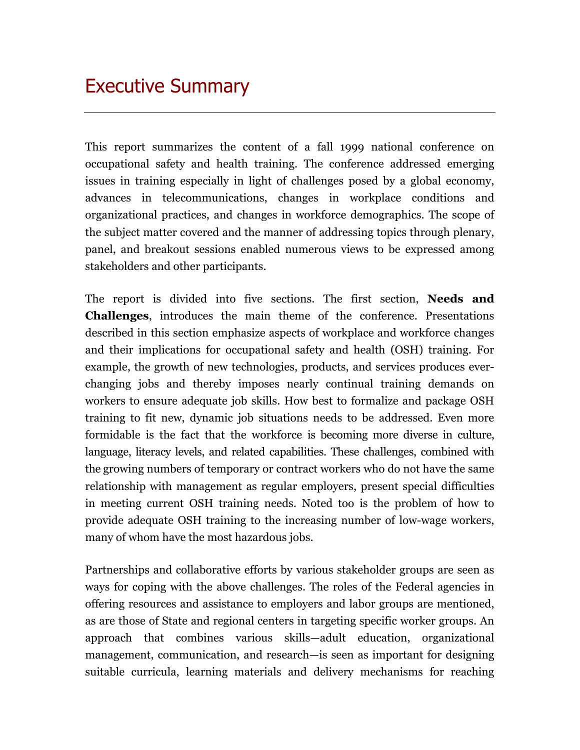This report summarizes the content of a fall 1999 national conference on occupational safety and health training. The conference addressed emerging issues in training especially in light of challenges posed by a global economy, advances in telecommunications, changes in workplace conditions and organizational practices, and changes in workforce demographics. The scope of the subject matter covered and the manner of addressing topics through plenary, panel, and breakout sessions enabled numerous views to be expressed among stakeholders and other participants.

 formidable is the fact that the workforce is becoming more diverse in culture, The report is divided into five sections. The first section, **Needs and Challenges**, introduces the main theme of the conference. Presentations described in this section emphasize aspects of workplace and workforce changes and their implications for occupational safety and health (OSH) training. For example, the growth of new technologies, products, and services produces everchanging jobs and thereby imposes nearly continual training demands on workers to ensure adequate job skills. How best to formalize and package OSH training to fit new, dynamic job situations needs to be addressed. Even more language, literacy levels, and related capabilities. These challenges, combined with the growing numbers of temporary or contract workers who do not have the same relationship with management as regular employers, present special difficulties in meeting current OSH training needs. Noted too is the problem of how to provide adequate OSH training to the increasing number of low-wage workers, many of whom have the most hazardous jobs.

Partnerships and collaborative efforts by various stakeholder groups are seen as ways for coping with the above challenges. The roles of the Federal agencies in offering resources and assistance to employers and labor groups are mentioned, as are those of State and regional centers in targeting specific worker groups. An approach that combines various skills—adult education, organizational management, communication, and research—is seen as important for designing suitable curricula, learning materials and delivery mechanisms for reaching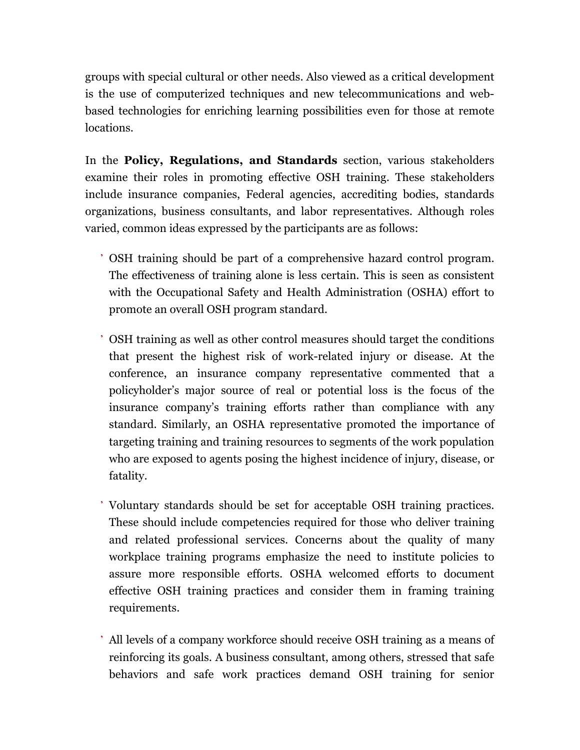groups with special cultural or other needs. Also viewed as a critical development is the use of computerized techniques and new telecommunications and webbased technologies for enriching learning possibilities even for those at remote locations.

In the **Policy, Regulations, and Standards** section, various stakeholders examine their roles in promoting effective OSH training. These stakeholders include insurance companies, Federal agencies, accrediting bodies, standards organizations, business consultants, and labor representatives. Although roles varied, common ideas expressed by the participants are as follows:

- + OSH training should be part of a comprehensive hazard control program. The effectiveness of training alone is less certain. This is seen as consistent with the Occupational Safety and Health Administration (OSHA) effort to promote an overall OSH program standard.
- + OSH training as well as other control measures should target the conditions that present the highest risk of work-related injury or disease. At the conference, an insurance company representative commented that a policyholder's major source of real or potential loss is the focus of the insurance company's training efforts rather than compliance with any standard. Similarly, an OSHA representative promoted the importance of targeting training and training resources to segments of the work population who are exposed to agents posing the highest incidence of injury, disease, or fatality.
- + Voluntary standards should be set for acceptable OSH training practices. These should include competencies required for those who deliver training and related professional services. Concerns about the quality of many workplace training programs emphasize the need to institute policies to assure more responsible efforts. OSHA welcomed efforts to document effective OSH training practices and consider them in framing training requirements.
- + All levels of a company workforce should receive OSH training as a means of reinforcing its goals. A business consultant, among others, stressed that safe behaviors and safe work practices demand OSH training for senior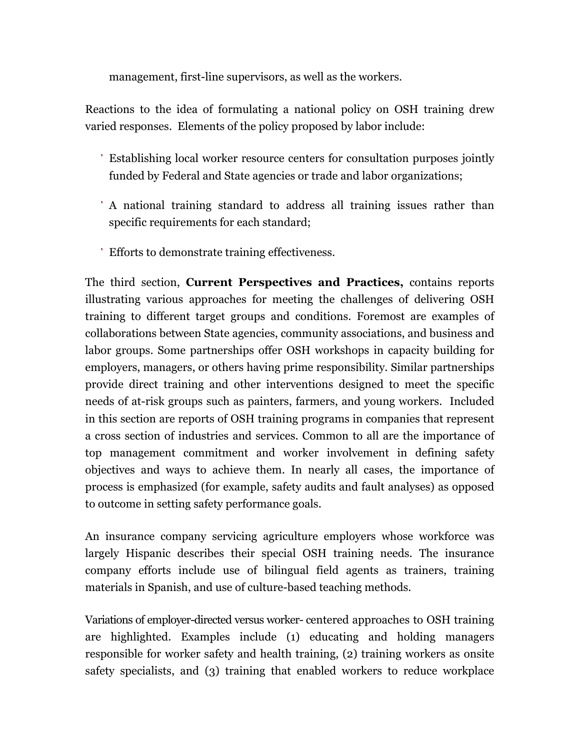management, first-line supervisors, as well as the workers.

Reactions to the idea of formulating a national policy on OSH training drew varied responses. Elements of the policy proposed by labor include:

- + Establishing local worker resource centers for consultation purposes jointly funded by Federal and State agencies or trade and labor organizations;
- A national training standard to address all training issues rather than specific requirements for each standard;
- the Efforts to demonstrate training effectiveness.

The third section, **Current Perspectives and Practices,** contains reports illustrating various approaches for meeting the challenges of delivering OSH training to different target groups and conditions. Foremost are examples of collaborations between State agencies, community associations, and business and labor groups. Some partnerships offer OSH workshops in capacity building for employers, managers, or others having prime responsibility. Similar partnerships provide direct training and other interventions designed to meet the specific needs of at-risk groups such as painters, farmers, and young workers. Included in this section are reports of OSH training programs in companies that represent a cross section of industries and services. Common to all are the importance of top management commitment and worker involvement in defining safety objectives and ways to achieve them. In nearly all cases, the importance of process is emphasized (for example, safety audits and fault analyses) as opposed to outcome in setting safety performance goals.

An insurance company servicing agriculture employers whose workforce was largely Hispanic describes their special OSH training needs. The insurance company efforts include use of bilingual field agents as trainers, training materials in Spanish, and use of culture-based teaching methods.

Variations of employer-directed versus worker- centered approaches to OSH training are highlighted. Examples include (1) educating and holding managers responsible for worker safety and health training, (2) training workers as onsite safety specialists, and (3) training that enabled workers to reduce workplace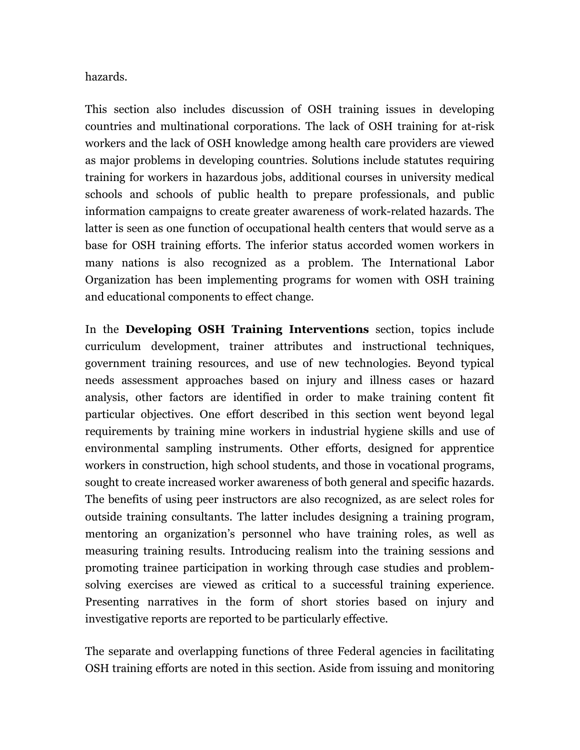hazards.

This section also includes discussion of OSH training issues in developing countries and multinational corporations. The lack of OSH training for at-risk workers and the lack of OSH knowledge among health care providers are viewed as major problems in developing countries. Solutions include statutes requiring training for workers in hazardous jobs, additional courses in university medical schools and schools of public health to prepare professionals, and public information campaigns to create greater awareness of work-related hazards. The latter is seen as one function of occupational health centers that would serve as a base for OSH training efforts. The inferior status accorded women workers in many nations is also recognized as a problem. The International Labor Organization has been implementing programs for women with OSH training and educational components to effect change.

In the **Developing OSH Training Interventions** section, topics include curriculum development, trainer attributes and instructional techniques, government training resources, and use of new technologies. Beyond typical needs assessment approaches based on injury and illness cases or hazard analysis, other factors are identified in order to make training content fit particular objectives. One effort described in this section went beyond legal requirements by training mine workers in industrial hygiene skills and use of environmental sampling instruments. Other efforts, designed for apprentice workers in construction, high school students, and those in vocational programs, sought to create increased worker awareness of both general and specific hazards. The benefits of using peer instructors are also recognized, as are select roles for outside training consultants. The latter includes designing a training program, mentoring an organization's personnel who have training roles, as well as measuring training results. Introducing realism into the training sessions and promoting trainee participation in working through case studies and problemsolving exercises are viewed as critical to a successful training experience. Presenting narratives in the form of short stories based on injury and investigative reports are reported to be particularly effective.

The separate and overlapping functions of three Federal agencies in facilitating OSH training efforts are noted in this section. Aside from issuing and monitoring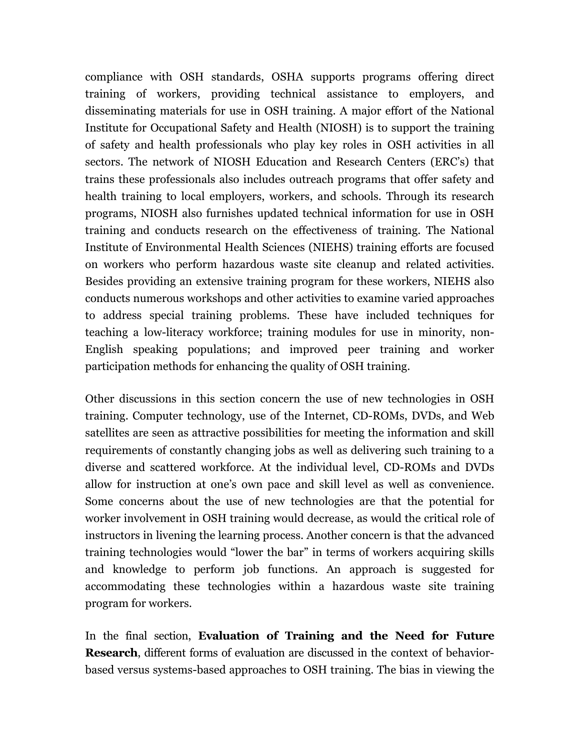compliance with OSH standards, OSHA supports programs offering direct training of workers, providing technical assistance to employers, and disseminating materials for use in OSH training. A major effort of the National Institute for Occupational Safety and Health (NIOSH) is to support the training of safety and health professionals who play key roles in OSH activities in all sectors. The network of NIOSH Education and Research Centers (ERC's) that trains these professionals also includes outreach programs that offer safety and health training to local employers, workers, and schools. Through its research programs, NIOSH also furnishes updated technical information for use in OSH training and conducts research on the effectiveness of training. The National Institute of Environmental Health Sciences (NIEHS) training efforts are focused on workers who perform hazardous waste site cleanup and related activities. Besides providing an extensive training program for these workers, NIEHS also conducts numerous workshops and other activities to examine varied approaches to address special training problems. These have included techniques for teaching a low-literacy workforce; training modules for use in minority, non-English speaking populations; and improved peer training and worker participation methods for enhancing the quality of OSH training.

Other discussions in this section concern the use of new technologies in OSH training. Computer technology, use of the Internet, CD-ROMs, DVDs, and Web satellites are seen as attractive possibilities for meeting the information and skill requirements of constantly changing jobs as well as delivering such training to a diverse and scattered workforce. At the individual level, CD-ROMs and DVDs allow for instruction at one's own pace and skill level as well as convenience. Some concerns about the use of new technologies are that the potential for worker involvement in OSH training would decrease, as would the critical role of instructors in livening the learning process. Another concern is that the advanced training technologies would "lower the bar" in terms of workers acquiring skills and knowledge to perform job functions. An approach is suggested for accommodating these technologies within a hazardous waste site training program for workers.

 **Research**, different forms of evaluation are discussed in the context of behavior-In the final section, **Evaluation of Training and the Need for Future**  based versus systems-based approaches to OSH training. The bias in viewing the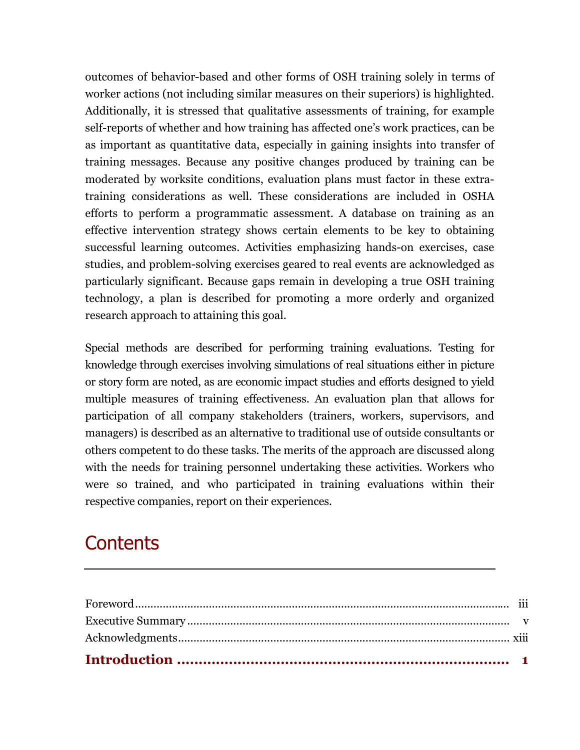outcomes of behavior-based and other forms of OSH training solely in terms of worker actions (not including similar measures on their superiors) is highlighted. Additionally, it is stressed that qualitative assessments of training, for example self-reports of whether and how training has affected one's work practices, can be as important as quantitative data, especially in gaining insights into transfer of training messages. Because any positive changes produced by training can be moderated by worksite conditions, evaluation plans must factor in these extratraining considerations as well. These considerations are included in OSHA efforts to perform a programmatic assessment. A database on training as an effective intervention strategy shows certain elements to be key to obtaining successful learning outcomes. Activities emphasizing hands-on exercises, case studies, and problem-solving exercises geared to real events are acknowledged as particularly significant. Because gaps remain in developing a true OSH training technology, a plan is described for promoting a more orderly and organized research approach to attaining this goal.

Special methods are described for performing training evaluations. Testing for knowledge through exercises involving simulations of real situations either in picture or story form are noted, as are economic impact studies and efforts designed to yield multiple measures of training effectiveness. An evaluation plan that allows for participation of all company stakeholders (trainers, workers, supervisors, and managers) is described as an alternative to traditional use of outside consultants or others competent to do these tasks. The merits of the approach are discussed along with the needs for training personnel undertaking these activities. Workers who were so trained, and who participated in training evaluations within their respective companies, report on their experiences.

# **Contents**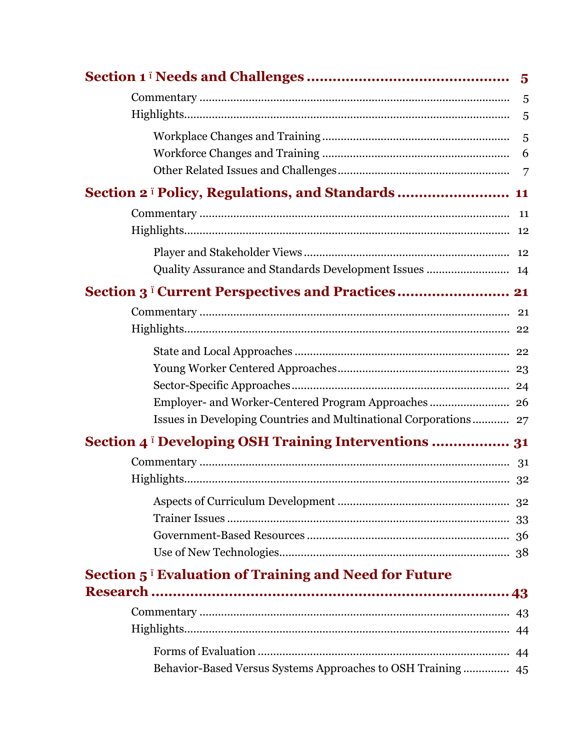|                                                                         | 5          |
|-------------------------------------------------------------------------|------------|
|                                                                         | $\sqrt{5}$ |
|                                                                         | 5          |
|                                                                         |            |
|                                                                         |            |
|                                                                         |            |
|                                                                         |            |
|                                                                         |            |
|                                                                         |            |
| Quality Assurance and Standards Development Issues  14                  |            |
|                                                                         |            |
|                                                                         |            |
|                                                                         |            |
|                                                                         |            |
|                                                                         |            |
|                                                                         |            |
|                                                                         |            |
| Issues in Developing Countries and Multinational Corporations 27        |            |
| Section 4 <sup>i</sup> Developing OSH Training Interventions  31        |            |
|                                                                         |            |
|                                                                         |            |
|                                                                         |            |
|                                                                         |            |
|                                                                         |            |
|                                                                         |            |
| <b>Section 5<sup>i</sup> Evaluation of Training and Need for Future</b> |            |
|                                                                         |            |
|                                                                         |            |
|                                                                         |            |
|                                                                         |            |
| Behavior-Based Versus Systems Approaches to OSH Training  45            |            |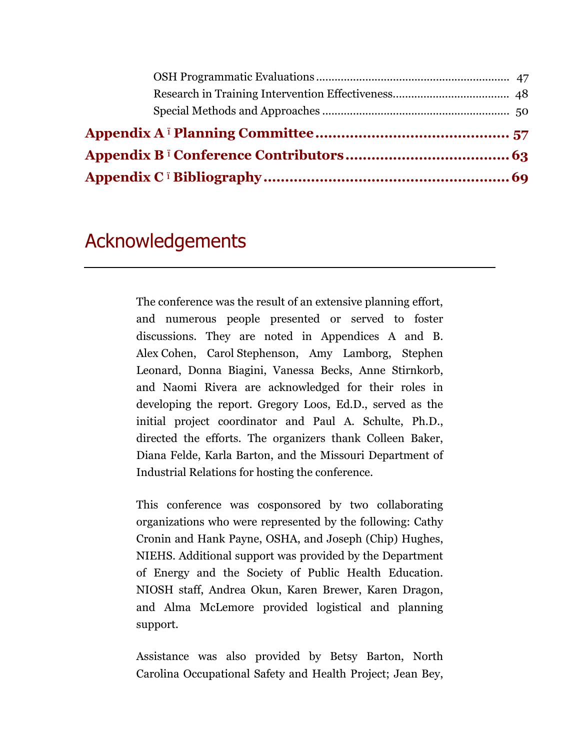# Acknowledgements

The conference was the result of an extensive planning effort, and numerous people presented or served to foster discussions. They are noted in Appendices A and B. Alex Cohen, Carol Stephenson, Amy Lamborg, Stephen Leonard, Donna Biagini, Vanessa Becks, Anne Stirnkorb, and Naomi Rivera are acknowledged for their roles in developing the report. Gregory Loos, Ed.D., served as the initial project coordinator and Paul A. Schulte, Ph.D., directed the efforts. The organizers thank Colleen Baker, Diana Felde, Karla Barton, and the Missouri Department of Industrial Relations for hosting the conference.

This conference was cosponsored by two collaborating organizations who were represented by the following: Cathy Cronin and Hank Payne, OSHA, and Joseph (Chip) Hughes, NIEHS. Additional support was provided by the Department of Energy and the Society of Public Health Education. NIOSH staff, Andrea Okun, Karen Brewer, Karen Dragon, and Alma McLemore provided logistical and planning support.

Assistance was also provided by Betsy Barton, North Carolina Occupational Safety and Health Project; Jean Bey,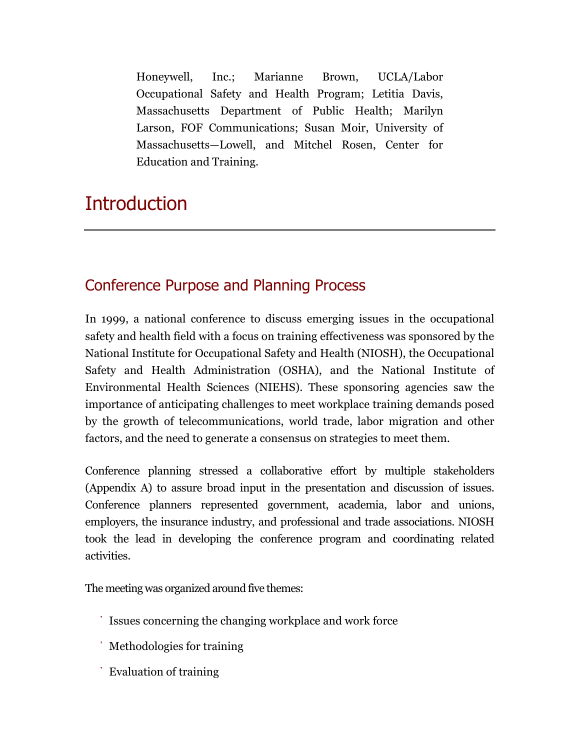Honeywell, Inc.; Marianne Brown, UCLA/Labor Occupational Safety and Health Program; Letitia Davis, Massachusetts Department of Public Health; Marilyn Larson, FOF Communications; Susan Moir, University of Massachusetts—Lowell, and Mitchel Rosen, Center for Education and Training.

# **Introduction**

## Conference Purpose and Planning Process

In 1999, a national conference to discuss emerging issues in the occupational safety and health field with a focus on training effectiveness was sponsored by the National Institute for Occupational Safety and Health (NIOSH), the Occupational Safety and Health Administration (OSHA), and the National Institute of Environmental Health Sciences (NIEHS). These sponsoring agencies saw the importance of anticipating challenges to meet workplace training demands posed by the growth of telecommunications, world trade, labor migration and other factors, and the need to generate a consensus on strategies to meet them.

Conference planning stressed a collaborative effort by multiple stakeholders (Appendix A) to assure broad input in the presentation and discussion of issues. Conference planners represented government, academia, labor and unions, employers, the insurance industry, and professional and trade associations. NIOSH took the lead in developing the conference program and coordinating related activities.

The meeting was organized around five themes:

- $\cdot$  Issues concerning the changing workplace and work force
- Methodologies for training
- Evaluation of training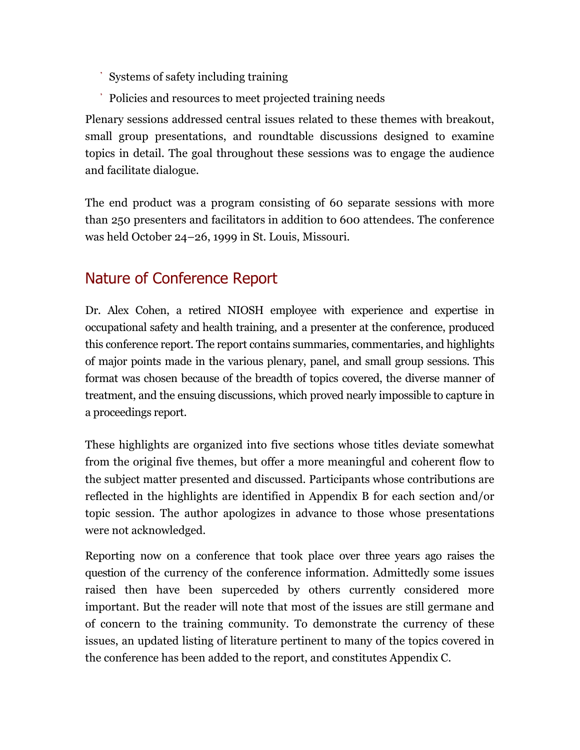- Systems of safety including training
- + Policies and resources to meet projected training needs

Plenary sessions addressed central issues related to these themes with breakout, small group presentations, and roundtable discussions designed to examine topics in detail. The goal throughout these sessions was to engage the audience and facilitate dialogue.

The end product was a program consisting of 60 separate sessions with more than 250 presenters and facilitators in addition to 600 attendees. The conference was held October 24–26, 1999 in St. Louis, Missouri.

## Nature of Conference Report

Dr. Alex Cohen, a retired NIOSH employee with experience and expertise in occupational safety and health training, and a presenter at the conference, produced this conference report. The report contains summaries, commentaries, and highlights of major points made in the various plenary, panel, and small group sessions. This format was chosen because of the breadth of topics covered, the diverse manner of treatment, and the ensuing discussions, which proved nearly impossible to capture in a proceedings report.

These highlights are organized into five sections whose titles deviate somewhat from the original five themes, but offer a more meaningful and coherent flow to the subject matter presented and discussed. Participants whose contributions are reflected in the highlights are identified in Appendix B for each section and/or topic session. The author apologizes in advance to those whose presentations were not acknowledged.

 Reporting now on a conference that took place over three years ago raises the question of the currency of the conference information. Admittedly some issues raised then have been superceded by others currently considered more important. But the reader will note that most of the issues are still germane and of concern to the training community. To demonstrate the currency of these issues, an updated listing of literature pertinent to many of the topics covered in the conference has been added to the report, and constitutes Appendix C.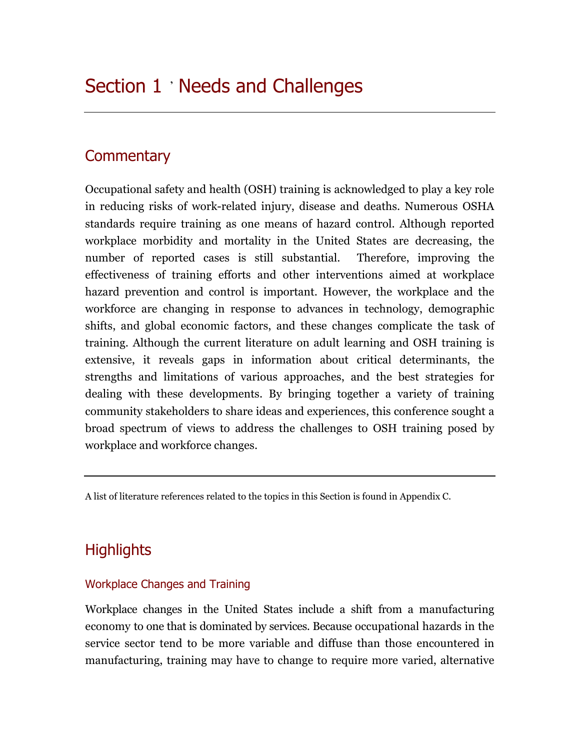## **Commentary**

Occupational safety and health (OSH) training is acknowledged to play a key role in reducing risks of work-related injury, disease and deaths. Numerous OSHA standards require training as one means of hazard control. Although reported workplace morbidity and mortality in the United States are decreasing, the number of reported cases is still substantial. Therefore, improving the effectiveness of training efforts and other interventions aimed at workplace hazard prevention and control is important. However, the workplace and the workforce are changing in response to advances in technology, demographic shifts, and global economic factors, and these changes complicate the task of training. Although the current literature on adult learning and OSH training is extensive, it reveals gaps in information about critical determinants, the strengths and limitations of various approaches, and the best strategies for dealing with these developments. By bringing together a variety of training community stakeholders to share ideas and experiences, this conference sought a broad spectrum of views to address the challenges to OSH training posed by workplace and workforce changes.

A list of literature references related to the topics in this Section is found in Appendix C.

## **Highlights**

#### Workplace Changes and Training

Workplace changes in the United States include a shift from a manufacturing economy to one that is dominated by services. Because occupational hazards in the service sector tend to be more variable and diffuse than those encountered in manufacturing, training may have to change to require more varied, alternative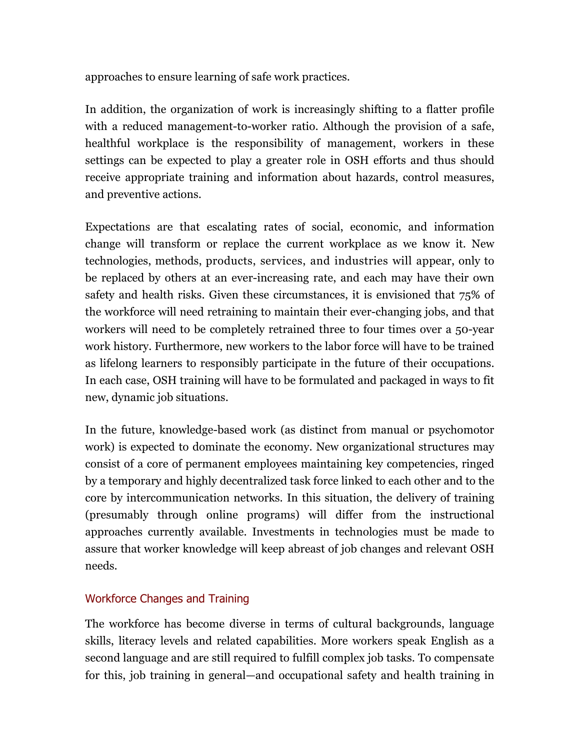approaches to ensure learning of safe work practices.

In addition, the organization of work is increasingly shifting to a flatter profile with a reduced management-to-worker ratio. Although the provision of a safe, healthful workplace is the responsibility of management, workers in these settings can be expected to play a greater role in OSH efforts and thus should receive appropriate training and information about hazards, control measures, and preventive actions.

Expectations are that escalating rates of social, economic, and information change will transform or replace the current workplace as we know it. New technologies, methods, products, services, and industries will appear, only to be replaced by others at an ever-increasing rate, and each may have their own safety and health risks. Given these circumstances, it is envisioned that 75% of the workforce will need retraining to maintain their ever-changing jobs, and that workers will need to be completely retrained three to four times over a 50-year work history. Furthermore, new workers to the labor force will have to be trained as lifelong learners to responsibly participate in the future of their occupations. In each case, OSH training will have to be formulated and packaged in ways to fit new, dynamic job situations.

In the future, knowledge-based work (as distinct from manual or psychomotor work) is expected to dominate the economy. New organizational structures may consist of a core of permanent employees maintaining key competencies, ringed by a temporary and highly decentralized task force linked to each other and to the core by intercommunication networks. In this situation, the delivery of training (presumably through online programs) will differ from the instructional approaches currently available. Investments in technologies must be made to assure that worker knowledge will keep abreast of job changes and relevant OSH needs.

#### Workforce Changes and Training

The workforce has become diverse in terms of cultural backgrounds, language skills, literacy levels and related capabilities. More workers speak English as a second language and are still required to fulfill complex job tasks. To compensate for this, job training in general—and occupational safety and health training in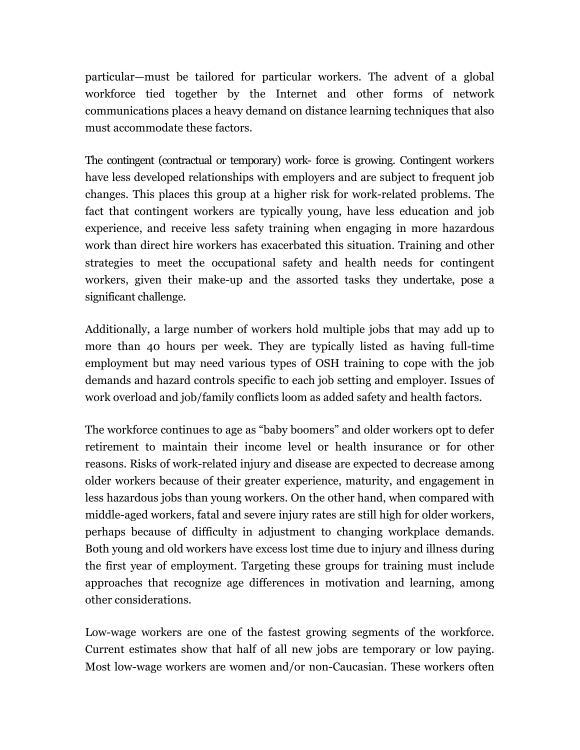particular—must be tailored for particular workers. The advent of a global workforce tied together by the Internet and other forms of network communications places a heavy demand on distance learning techniques that also must accommodate these factors.

 The contingent (contractual or temporary) work- force is growing. Contingent workers have less developed relationships with employers and are subject to frequent job changes. This places this group at a higher risk for work-related problems. The fact that contingent workers are typically young, have less education and job experience, and receive less safety training when engaging in more hazardous work than direct hire workers has exacerbated this situation. Training and other strategies to meet the occupational safety and health needs for contingent workers, given their make-up and the assorted tasks they undertake, pose a significant challenge.

Additionally, a large number of workers hold multiple jobs that may add up to more than 40 hours per week. They are typically listed as having full-time employment but may need various types of OSH training to cope with the job demands and hazard controls specific to each job setting and employer. Issues of work overload and job/family conflicts loom as added safety and health factors.

The workforce continues to age as "baby boomers" and older workers opt to defer retirement to maintain their income level or health insurance or for other reasons. Risks of work-related injury and disease are expected to decrease among older workers because of their greater experience, maturity, and engagement in less hazardous jobs than young workers. On the other hand, when compared with middle-aged workers, fatal and severe injury rates are still high for older workers, perhaps because of difficulty in adjustment to changing workplace demands. Both young and old workers have excess lost time due to injury and illness during the first year of employment. Targeting these groups for training must include approaches that recognize age differences in motivation and learning, among other considerations.

Low-wage workers are one of the fastest growing segments of the workforce. Current estimates show that half of all new jobs are temporary or low paying. Most low-wage workers are women and/or non-Caucasian. These workers often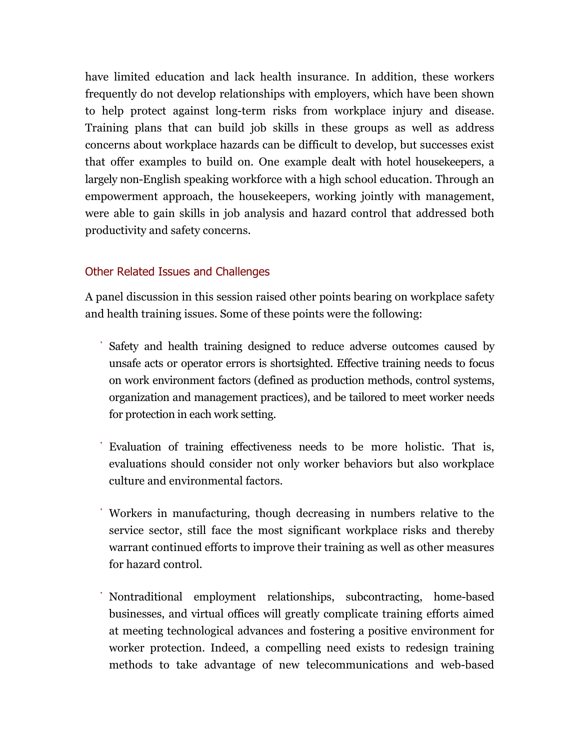that offer examples to build on. One example dealt with hotel housekeepers, a have limited education and lack health insurance. In addition, these workers frequently do not develop relationships with employers, which have been shown to help protect against long-term risks from workplace injury and disease. Training plans that can build job skills in these groups as well as address concerns about workplace hazards can be difficult to develop, but successes exist largely non-English speaking workforce with a high school education. Through an empowerment approach, the housekeepers, working jointly with management, were able to gain skills in job analysis and hazard control that addressed both productivity and safety concerns.

#### Other Related Issues and Challenges

A panel discussion in this session raised other points bearing on workplace safety and health training issues. Some of these points were the following:

- Safety and health training designed to reduce adverse outcomes caused by unsafe acts or operator errors is shortsighted. Effective training needs to focus on work environment factors (defined as production methods, control systems, organization and management practices), and be tailored to meet worker needs for protection in each work setting.
- $'$  Evaluation of training effectiveness needs to be more holistic. That is, evaluations should consider not only worker behaviors but also workplace culture and environmental factors.
- S Workers in manufacturing, though decreasing in numbers relative to the service sector, still face the most significant workplace risks and thereby warrant continued efforts to improve their training as well as other measures for hazard control.
- businesses, and virtual offices will greatly complicate training efforts aimed Nontraditional employment relationships, subcontracting, home-based at meeting technological advances and fostering a positive environment for worker protection. Indeed, a compelling need exists to redesign training methods to take advantage of new telecommunications and web-based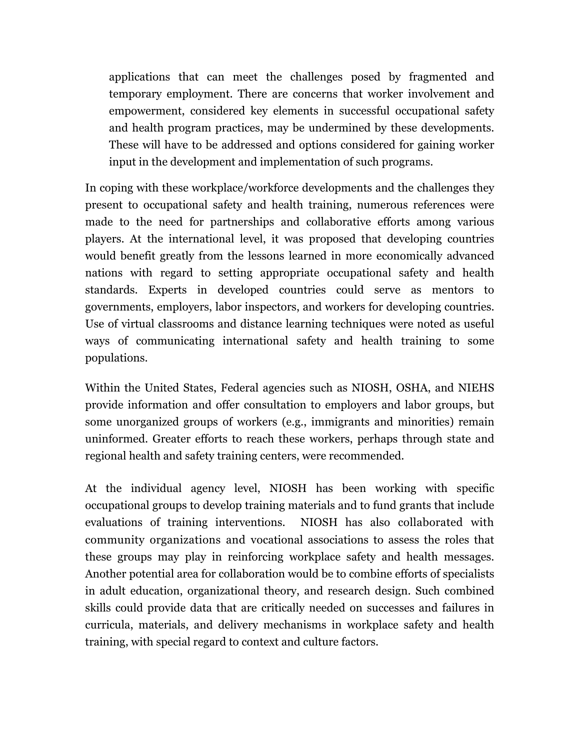applications that can meet the challenges posed by fragmented and temporary employment. There are concerns that worker involvement and empowerment, considered key elements in successful occupational safety and health program practices, may be undermined by these developments. These will have to be addressed and options considered for gaining worker input in the development and implementation of such programs.

In coping with these workplace/workforce developments and the challenges they present to occupational safety and health training, numerous references were made to the need for partnerships and collaborative efforts among various players. At the international level, it was proposed that developing countries would benefit greatly from the lessons learned in more economically advanced nations with regard to setting appropriate occupational safety and health standards. Experts in developed countries could serve as mentors to governments, employers, labor inspectors, and workers for developing countries. Use of virtual classrooms and distance learning techniques were noted as useful ways of communicating international safety and health training to some populations.

Within the United States, Federal agencies such as NIOSH, OSHA, and NIEHS provide information and offer consultation to employers and labor groups, but some unorganized groups of workers (e.g., immigrants and minorities) remain uninformed. Greater efforts to reach these workers, perhaps through state and regional health and safety training centers, were recommended.

NIOSH has also collaborated with At the individual agency level, NIOSH has been working with specific occupational groups to develop training materials and to fund grants that include evaluations of training interventions. community organizations and vocational associations to assess the roles that these groups may play in reinforcing workplace safety and health messages. Another potential area for collaboration would be to combine efforts of specialists in adult education, organizational theory, and research design. Such combined skills could provide data that are critically needed on successes and failures in curricula, materials, and delivery mechanisms in workplace safety and health training, with special regard to context and culture factors.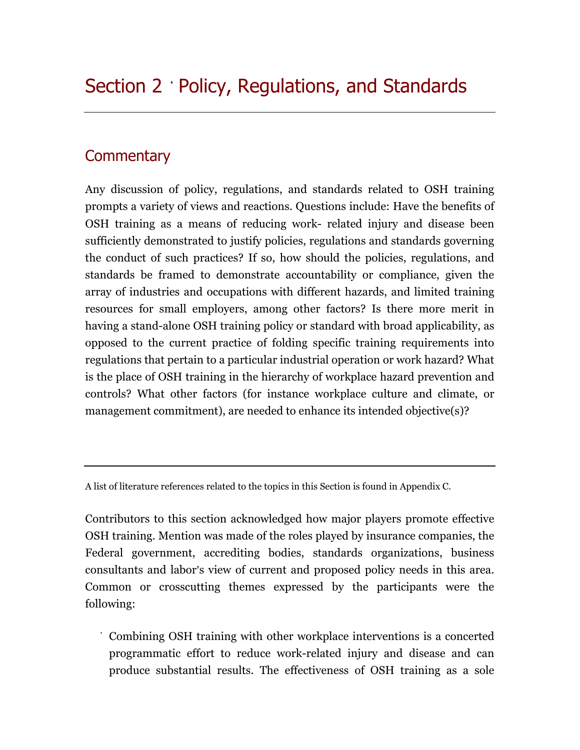## **Commentary**

Any discussion of policy, regulations, and standards related to OSH training prompts a variety of views and reactions. Questions include: Have the benefits of OSH training as a means of reducing work- related injury and disease been sufficiently demonstrated to justify policies, regulations and standards governing the conduct of such practices? If so, how should the policies, regulations, and standards be framed to demonstrate accountability or compliance, given the array of industries and occupations with different hazards, and limited training resources for small employers, among other factors? Is there more merit in having a stand-alone OSH training policy or standard with broad applicability, as opposed to the current practice of folding specific training requirements into regulations that pertain to a particular industrial operation or work hazard? What is the place of OSH training in the hierarchy of workplace hazard prevention and controls? What other factors (for instance workplace culture and climate, or management commitment), are needed to enhance its intended objective(s)?

Contributors to this section acknowledged how major players promote effective OSH training. Mention was made of the roles played by insurance companies, the Federal government, accrediting bodies, standards organizations, business consultants and labor's view of current and proposed policy needs in this area. Common or crosscutting themes expressed by the participants were the following:

. Combining OSH training with other workplace interventions is a concerted programmatic effort to reduce work-related injury and disease and can produce substantial results. The effectiveness of OSH training as a sole

A list of literature references related to the topics in this Section is found in Appendix C.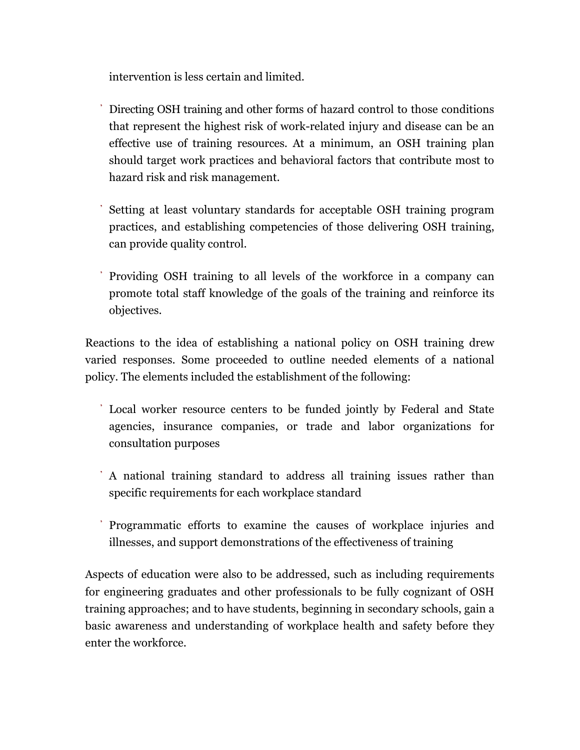intervention is less certain and limited.

- bushed Directing OSH training and other forms of hazard control to those conditions that represent the highest risk of work-related injury and disease can be an effective use of training resources. At a minimum, an OSH training plan should target work practices and behavioral factors that contribute most to hazard risk and risk management.
- Setting at least voluntary standards for acceptable OSH training program practices, and establishing competencies of those delivering OSH training, can provide quality control.
- Providing OSH training to all levels of the workforce in a company can promote total staff knowledge of the goals of the training and reinforce its objectives.

Reactions to the idea of establishing a national policy on OSH training drew varied responses. Some proceeded to outline needed elements of a national policy. The elements included the establishment of the following:

- If Local worker resource centers to be funded jointly by Federal and State agencies, insurance companies, or trade and labor organizations for consultation purposes
- $\dot{A}$  national training standard to address all training issues rather than specific requirements for each workplace standard
- Programmatic efforts to examine the causes of workplace injuries and illnesses, and support demonstrations of the effectiveness of training

Aspects of education were also to be addressed, such as including requirements for engineering graduates and other professionals to be fully cognizant of OSH training approaches; and to have students, beginning in secondary schools, gain a basic awareness and understanding of workplace health and safety before they enter the workforce.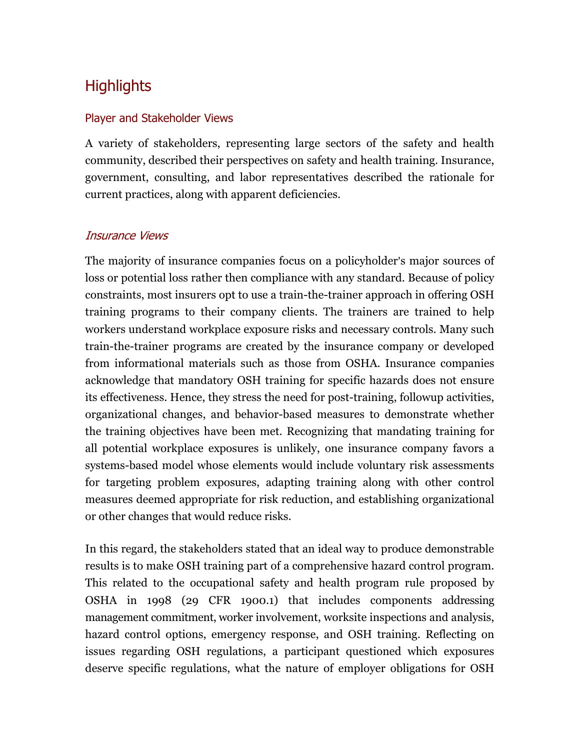## **Highlights**

#### Player and Stakeholder Views

A variety of stakeholders, representing large sectors of the safety and health community, described their perspectives on safety and health training. Insurance, government, consulting, and labor representatives described the rationale for current practices, along with apparent deficiencies.

#### Insurance Views

The majority of insurance companies focus on a policyholder's major sources of loss or potential loss rather then compliance with any standard. Because of policy constraints, most insurers opt to use a train-the-trainer approach in offering OSH training programs to their company clients. The trainers are trained to help workers understand workplace exposure risks and necessary controls. Many such train-the-trainer programs are created by the insurance company or developed from informational materials such as those from OSHA. Insurance companies acknowledge that mandatory OSH training for specific hazards does not ensure its effectiveness. Hence, they stress the need for post-training, followup activities, organizational changes, and behavior-based measures to demonstrate whether the training objectives have been met. Recognizing that mandating training for all potential workplace exposures is unlikely, one insurance company favors a systems-based model whose elements would include voluntary risk assessments for targeting problem exposures, adapting training along with other control measures deemed appropriate for risk reduction, and establishing organizational or other changes that would reduce risks.

In this regard, the stakeholders stated that an ideal way to produce demonstrable results is to make OSH training part of a comprehensive hazard control program. This related to the occupational safety and health program rule proposed by OSHA in 1998 (29 CFR 1900.1) that includes components addressing management commitment, worker involvement, worksite inspections and analysis, hazard control options, emergency response, and OSH training. Reflecting on issues regarding OSH regulations, a participant questioned which exposures deserve specific regulations, what the nature of employer obligations for OSH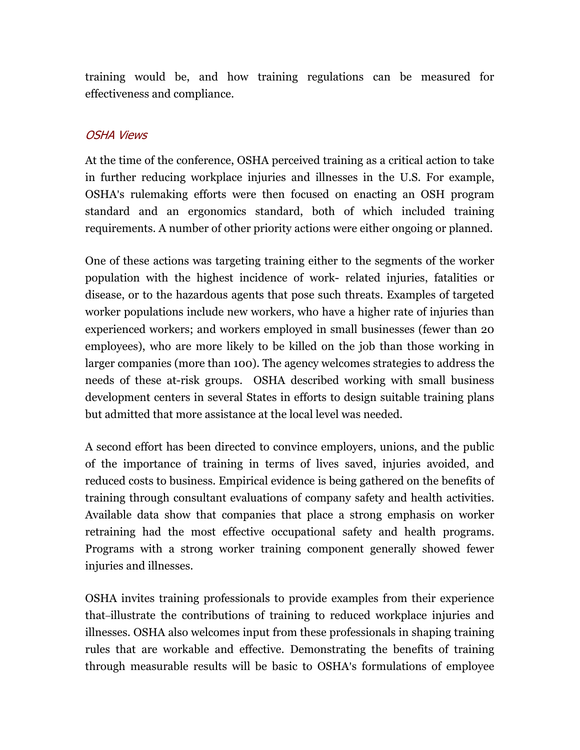training would be, and how training regulations can be measured for effectiveness and compliance.

#### OSHA Views

At the time of the conference, OSHA perceived training as a critical action to take in further reducing workplace injuries and illnesses in the U.S. For example, OSHA's rulemaking efforts were then focused on enacting an OSH program standard and an ergonomics standard, both of which included training requirements. A number of other priority actions were either ongoing or planned.

One of these actions was targeting training either to the segments of the worker population with the highest incidence of work- related injuries, fatalities or disease, or to the hazardous agents that pose such threats. Examples of targeted worker populations include new workers, who have a higher rate of injuries than experienced workers; and workers employed in small businesses (fewer than 20 employees), who are more likely to be killed on the job than those working in larger companies (more than 100). The agency welcomes strategies to address the needs of these at-risk groups. OSHA described working with small business development centers in several States in efforts to design suitable training plans but admitted that more assistance at the local level was needed.

A second effort has been directed to convince employers, unions, and the public of the importance of training in terms of lives saved, injuries avoided, and reduced costs to business. Empirical evidence is being gathered on the benefits of training through consultant evaluations of company safety and health activities. Available data show that companies that place a strong emphasis on worker retraining had the most effective occupational safety and health programs. Programs with a strong worker training component generally showed fewer injuries and illnesses.

OSHA invites training professionals to provide examples from their experience that-illustrate the contributions of training to reduced workplace injuries and illnesses. OSHA also welcomes input from these professionals in shaping training rules that are workable and effective. Demonstrating the benefits of training through measurable results will be basic to OSHA's formulations of employee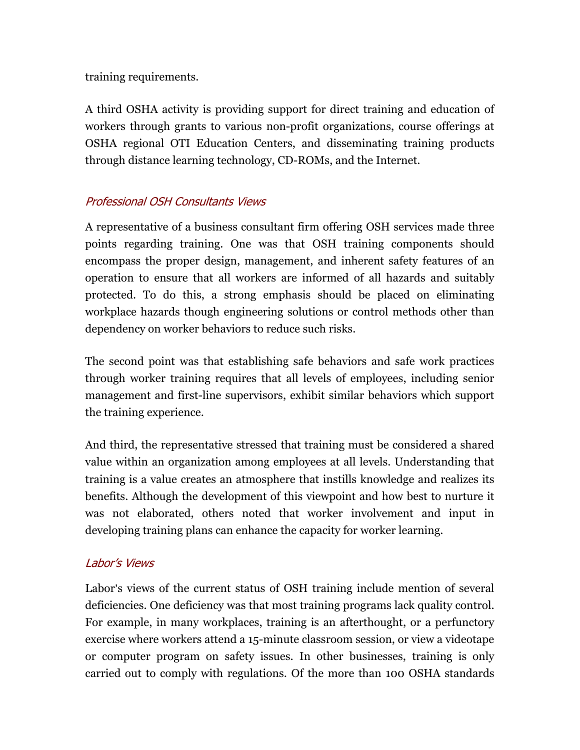training requirements.

A third OSHA activity is providing support for direct training and education of workers through grants to various non-profit organizations, course offerings at OSHA regional OTI Education Centers, and disseminating training products through distance learning technology, CD-ROMs, and the Internet.

#### Professional OSH Consultants Views

A representative of a business consultant firm offering OSH services made three points regarding training. One was that OSH training components should encompass the proper design, management, and inherent safety features of an operation to ensure that all workers are informed of all hazards and suitably protected. To do this, a strong emphasis should be placed on eliminating workplace hazards though engineering solutions or control methods other than dependency on worker behaviors to reduce such risks.

The second point was that establishing safe behaviors and safe work practices through worker training requires that all levels of employees, including senior management and first-line supervisors, exhibit similar behaviors which support the training experience.

And third, the representative stressed that training must be considered a shared value within an organization among employees at all levels. Understanding that training is a value creates an atmosphere that instills knowledge and realizes its benefits. Although the development of this viewpoint and how best to nurture it was not elaborated, others noted that worker involvement and input in developing training plans can enhance the capacity for worker learning.

#### Labor's Views

Labor's views of the current status of OSH training include mention of several deficiencies. One deficiency was that most training programs lack quality control. For example, in many workplaces, training is an afterthought, or a perfunctory exercise where workers attend a 15-minute classroom session, or view a videotape or computer program on safety issues. In other businesses, training is only carried out to comply with regulations. Of the more than 100 OSHA standards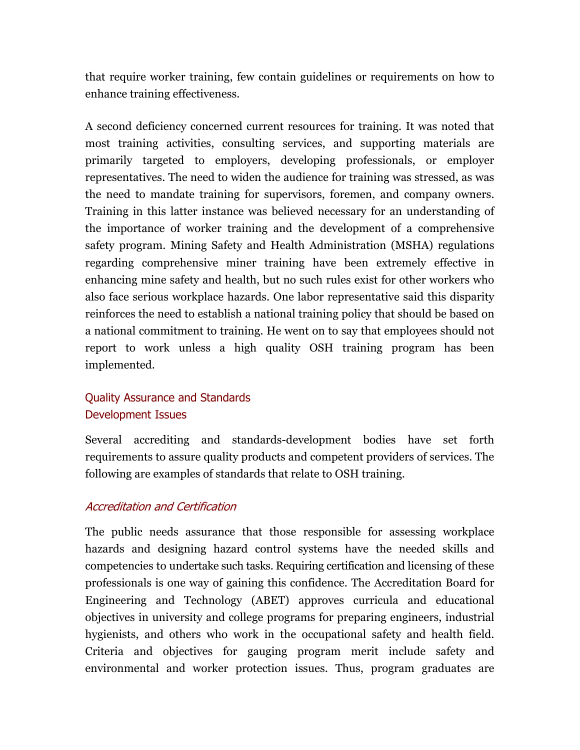that require worker training, few contain guidelines or requirements on how to enhance training effectiveness.

A second deficiency concerned current resources for training. It was noted that most training activities, consulting services, and supporting materials are primarily targeted to employers, developing professionals, or employer representatives. The need to widen the audience for training was stressed, as was the need to mandate training for supervisors, foremen, and company owners. Training in this latter instance was believed necessary for an understanding of the importance of worker training and the development of a comprehensive safety program. Mining Safety and Health Administration (MSHA) regulations regarding comprehensive miner training have been extremely effective in enhancing mine safety and health, but no such rules exist for other workers who also face serious workplace hazards. One labor representative said this disparity reinforces the need to establish a national training policy that should be based on a national commitment to training. He went on to say that employees should not report to work unless a high quality OSH training program has been implemented.

#### Quality Assurance and Standards Development Issues

Several accrediting and standards-development bodies have set forth requirements to assure quality products and competent providers of services. The following are examples of standards that relate to OSH training.

#### Accreditation and Certification

 competencies to undertake such tasks. Requiring certification and licensing of these The public needs assurance that those responsible for assessing workplace hazards and designing hazard control systems have the needed skills and professionals is one way of gaining this confidence. The Accreditation Board for Engineering and Technology (ABET) approves curricula and educational objectives in university and college programs for preparing engineers, industrial hygienists, and others who work in the occupational safety and health field. Criteria and objectives for gauging program merit include safety and environmental and worker protection issues. Thus, program graduates are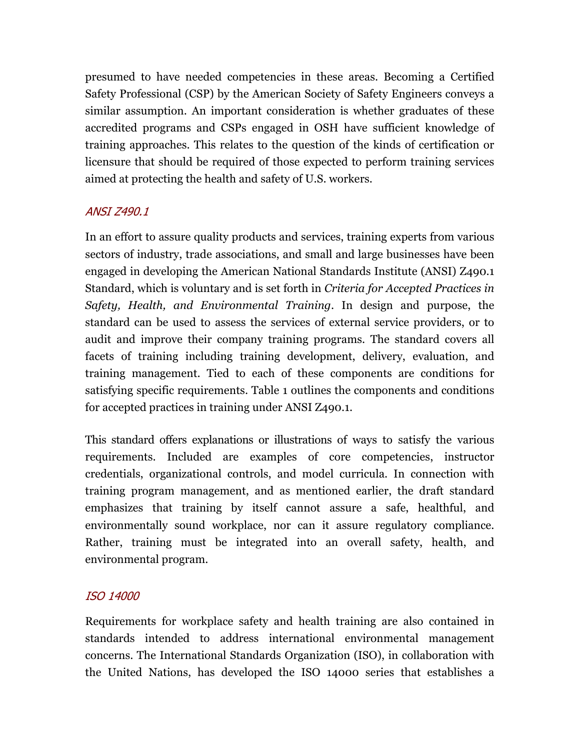presumed to have needed competencies in these areas. Becoming a Certified Safety Professional (CSP) by the American Society of Safety Engineers conveys a similar assumption. An important consideration is whether graduates of these accredited programs and CSPs engaged in OSH have sufficient knowledge of training approaches. This relates to the question of the kinds of certification or licensure that should be required of those expected to perform training services aimed at protecting the health and safety of U.S. workers.

#### ANSI Z490.1

In an effort to assure quality products and services, training experts from various sectors of industry, trade associations, and small and large businesses have been engaged in developing the American National Standards Institute (ANSI) Z490.1 Standard, which is voluntary and is set forth in *Criteria for Accepted Practices in Safety, Health, and Environmental Training*. In design and purpose, the standard can be used to assess the services of external service providers, or to audit and improve their company training programs. The standard covers all facets of training including training development, delivery, evaluation, and training management. Tied to each of these components are conditions for satisfying specific requirements. Table 1 outlines the components and conditions for accepted practices in training under ANSI Z490.1.

 This standard offers explanations or illustrations of ways to satisfy the various requirements. Included are examples of core competencies, instructor credentials, organizational controls, and model curricula. In connection with training program management, and as mentioned earlier, the draft standard emphasizes that training by itself cannot assure a safe, healthful, and environmentally sound workplace, nor can it assure regulatory compliance. Rather, training must be integrated into an overall safety, health, and environmental program.

#### ISO 14000

Requirements for workplace safety and health training are also contained in standards intended to address international environmental management concerns. The International Standards Organization (ISO), in collaboration with the United Nations, has developed the ISO 14000 series that establishes a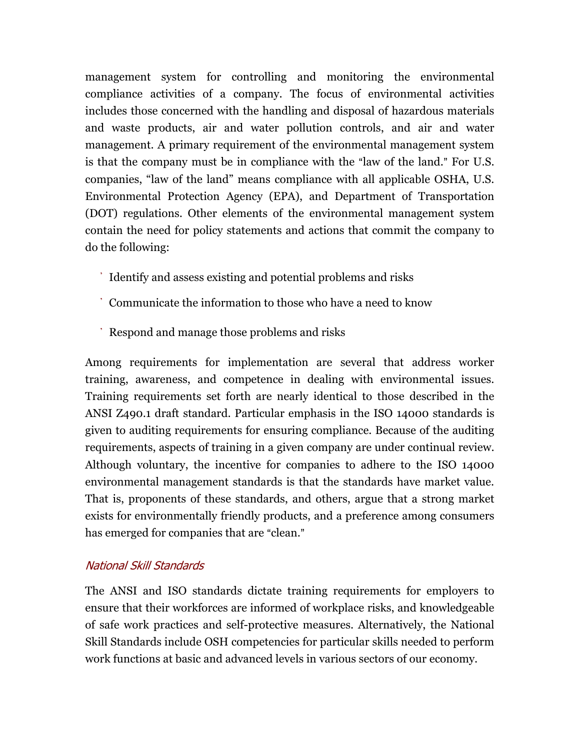management system for controlling and monitoring the environmental compliance activities of a company. The focus of environmental activities includes those concerned with the handling and disposal of hazardous materials and waste products, air and water pollution controls, and air and water management. A primary requirement of the environmental management system is that the company must be in compliance with the "law of the land." For U.S. companies, "law of the land" means compliance with all applicable OSHA, U.S. Environmental Protection Agency (EPA), and Department of Transportation (DOT) regulations. Other elements of the environmental management system contain the need for policy statements and actions that commit the company to do the following:

- + Identify and assess existing and potential problems and risks
- + Communicate the information to those who have a need to know
- <sup>t</sup> Respond and manage those problems and risks

has emerged for companies that are "clean." Among requirements for implementation are several that address worker training, awareness, and competence in dealing with environmental issues. Training requirements set forth are nearly identical to those described in the ANSI Z490.1 draft standard. Particular emphasis in the ISO 14000 standards is given to auditing requirements for ensuring compliance. Because of the auditing requirements, aspects of training in a given company are under continual review. Although voluntary, the incentive for companies to adhere to the ISO 14000 environmental management standards is that the standards have market value. That is, proponents of these standards, and others, argue that a strong market exists for environmentally friendly products, and a preference among consumers

#### National Skill Standards

The ANSI and ISO standards dictate training requirements for employers to ensure that their workforces are informed of workplace risks, and knowledgeable of safe work practices and self-protective measures. Alternatively, the National Skill Standards include OSH competencies for particular skills needed to perform work functions at basic and advanced levels in various sectors of our economy.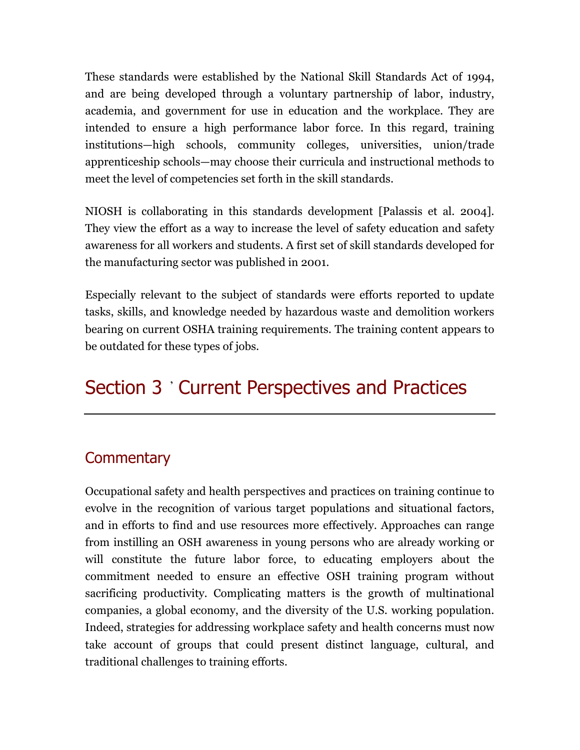These standards were established by the National Skill Standards Act of 1994, and are being developed through a voluntary partnership of labor, industry, academia, and government for use in education and the workplace. They are intended to ensure a high performance labor force. In this regard, training institutions—high schools, community colleges, universities, union/trade apprenticeship schools—may choose their curricula and instructional methods to meet the level of competencies set forth in the skill standards.

NIOSH is collaborating in this standards development [Palassis et al. 2004]. They view the effort as a way to increase the level of safety education and safety awareness for all workers and students. A first set of skill standards developed for the manufacturing sector was published in 2001.

Especially relevant to the subject of standards were efforts reported to update tasks, skills, and knowledge needed by hazardous waste and demolition workers bearing on current OSHA training requirements. The training content appears to be outdated for these types of jobs.

# Section 3 ' Current Perspectives and Practices

### **Commentary**

Occupational safety and health perspectives and practices on training continue to evolve in the recognition of various target populations and situational factors, and in efforts to find and use resources more effectively. Approaches can range from instilling an OSH awareness in young persons who are already working or will constitute the future labor force, to educating employers about the commitment needed to ensure an effective OSH training program without sacrificing productivity. Complicating matters is the growth of multinational companies, a global economy, and the diversity of the U.S. working population. Indeed, strategies for addressing workplace safety and health concerns must now take account of groups that could present distinct language, cultural, and traditional challenges to training efforts.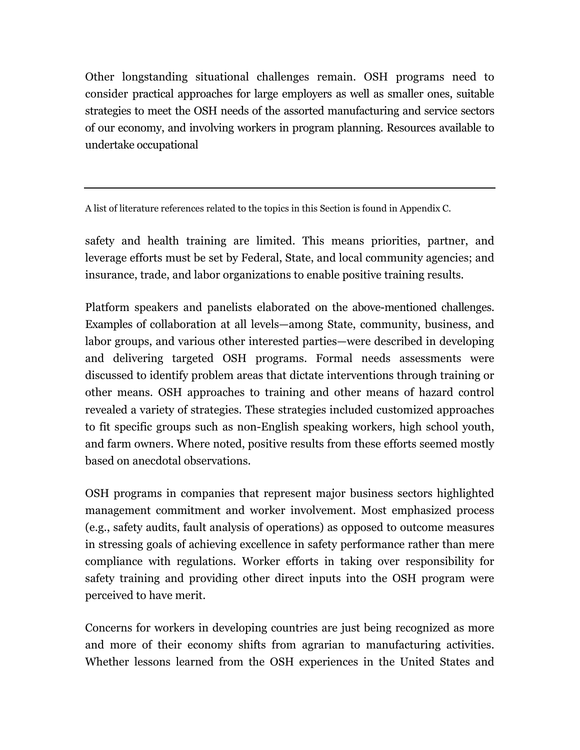Other longstanding situational challenges remain. OSH programs need to consider practical approaches for large employers as well as smaller ones, suitable strategies to meet the OSH needs of the assorted manufacturing and service sectors of our economy, and involving workers in program planning. Resources available to undertake occupational

A list of literature references related to the topics in this Section is found in Appendix C.

safety and health training are limited. This means priorities, partner, and leverage efforts must be set by Federal, State, and local community agencies; and insurance, trade, and labor organizations to enable positive training results.

 Platform speakers and panelists elaborated on the above-mentioned challenges. Examples of collaboration at all levels—among State, community, business, and labor groups, and various other interested parties—were described in developing and delivering targeted OSH programs. Formal needs assessments were discussed to identify problem areas that dictate interventions through training or other means. OSH approaches to training and other means of hazard control revealed a variety of strategies. These strategies included customized approaches to fit specific groups such as non-English speaking workers, high school youth, and farm owners. Where noted, positive results from these efforts seemed mostly based on anecdotal observations.

OSH programs in companies that represent major business sectors highlighted management commitment and worker involvement. Most emphasized process (e.g., safety audits, fault analysis of operations) as opposed to outcome measures in stressing goals of achieving excellence in safety performance rather than mere compliance with regulations. Worker efforts in taking over responsibility for safety training and providing other direct inputs into the OSH program were perceived to have merit.

Concerns for workers in developing countries are just being recognized as more and more of their economy shifts from agrarian to manufacturing activities. Whether lessons learned from the OSH experiences in the United States and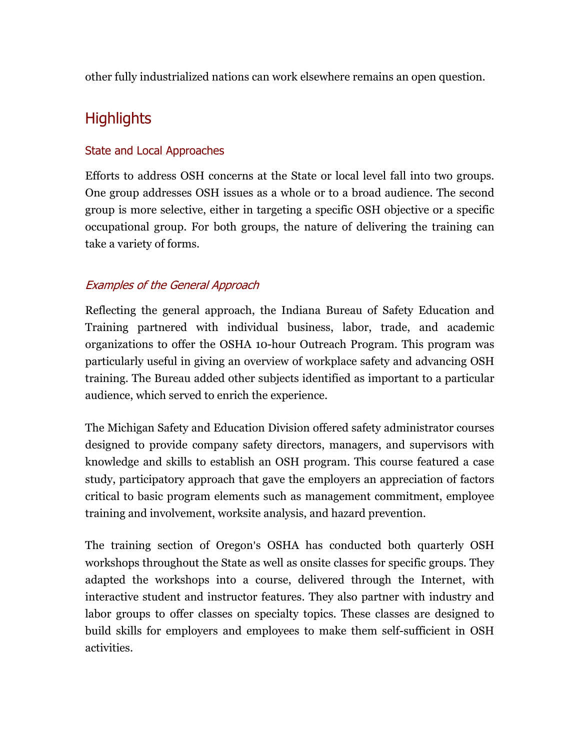other fully industrialized nations can work elsewhere remains an open question.

## **Highlights**

#### State and Local Approaches

 take a variety of forms. Efforts to address OSH concerns at the State or local level fall into two groups. One group addresses OSH issues as a whole or to a broad audience. The second group is more selective, either in targeting a specific OSH objective or a specific occupational group. For both groups, the nature of delivering the training can

#### Examples of the General Approach

Reflecting the general approach, the Indiana Bureau of Safety Education and Training partnered with individual business, labor, trade, and academic organizations to offer the OSHA 10-hour Outreach Program. This program was particularly useful in giving an overview of workplace safety and advancing OSH training. The Bureau added other subjects identified as important to a particular audience, which served to enrich the experience.

The Michigan Safety and Education Division offered safety administrator courses designed to provide company safety directors, managers, and supervisors with knowledge and skills to establish an OSH program. This course featured a case study, participatory approach that gave the employers an appreciation of factors critical to basic program elements such as management commitment, employee training and involvement, worksite analysis, and hazard prevention.

The training section of Oregon's OSHA has conducted both quarterly OSH workshops throughout the State as well as onsite classes for specific groups. They adapted the workshops into a course, delivered through the Internet, with interactive student and instructor features. They also partner with industry and labor groups to offer classes on specialty topics. These classes are designed to build skills for employers and employees to make them self-sufficient in OSH activities.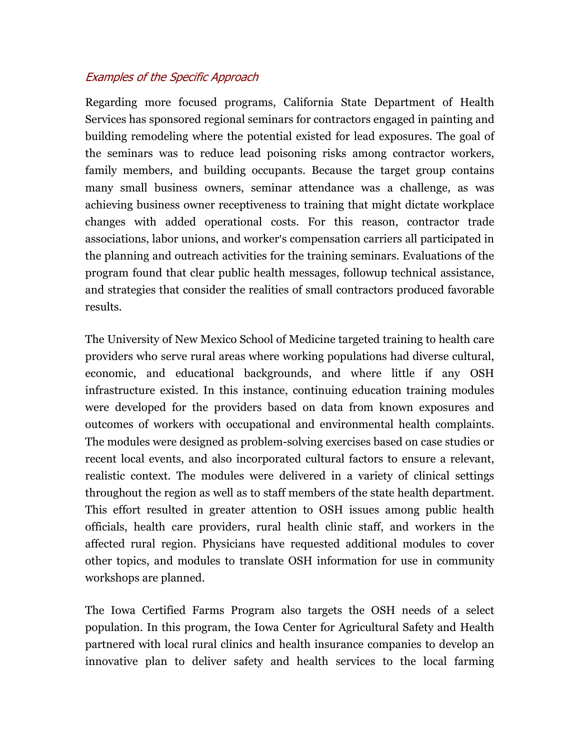#### Examples of the Specific Approach

Regarding more focused programs, California State Department of Health Services has sponsored regional seminars for contractors engaged in painting and building remodeling where the potential existed for lead exposures. The goal of the seminars was to reduce lead poisoning risks among contractor workers, family members, and building occupants. Because the target group contains many small business owners, seminar attendance was a challenge, as was achieving business owner receptiveness to training that might dictate workplace changes with added operational costs. For this reason, contractor trade associations, labor unions, and worker's compensation carriers all participated in the planning and outreach activities for the training seminars. Evaluations of the program found that clear public health messages, followup technical assistance, and strategies that consider the realities of small contractors produced favorable results.

The University of New Mexico School of Medicine targeted training to health care providers who serve rural areas where working populations had diverse cultural, economic, and educational backgrounds, and where little if any OSH infrastructure existed. In this instance, continuing education training modules were developed for the providers based on data from known exposures and outcomes of workers with occupational and environmental health complaints. The modules were designed as problem-solving exercises based on case studies or recent local events, and also incorporated cultural factors to ensure a relevant, realistic context. The modules were delivered in a variety of clinical settings throughout the region as well as to staff members of the state health department. This effort resulted in greater attention to OSH issues among public health officials, health care providers, rural health clinic staff, and workers in the affected rural region. Physicians have requested additional modules to cover other topics, and modules to translate OSH information for use in community workshops are planned.

The Iowa Certified Farms Program also targets the OSH needs of a select population. In this program, the Iowa Center for Agricultural Safety and Health partnered with local rural clinics and health insurance companies to develop an innovative plan to deliver safety and health services to the local farming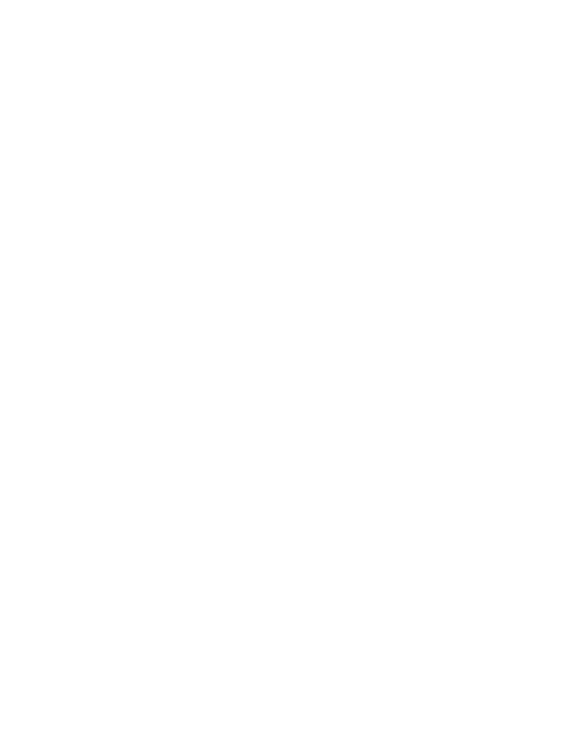Mention of any company or product does not constitute endorsement by NIOSH/CDC. In addition, citations to Web sites do not constitute NIOSH/CDC endorsement of the sponsoring organizations or their programs or products. Furthermore, NIOSH/CDC is not responsible for the content of these Web sites.

The opinions expressed in this report represent the comments of participants at the conference and are not necessarily the position of the sponsoring agencies.

# **Ordering Information**

receive documents or other information about To occupational safety and health topics, contact NIOSH at

#### **NIOSH**

**Publications Dissemination** 4676 Columbia Parkway Cincinnati, OH 45226-1998

Telephone: 1–800–35–NIOSH  $(1 - 800 - 356 - 4674)$ Fax:  $513 - 533 - 8573$ E-mail: pubstaft@cdc.gov

or visit the NIOSH Web site at www.cdc.gov/niosh

This document is in the public domain and may be freely copied or reprinted.

DHHS (NIOSH) Publication No. 2004-132

February 2004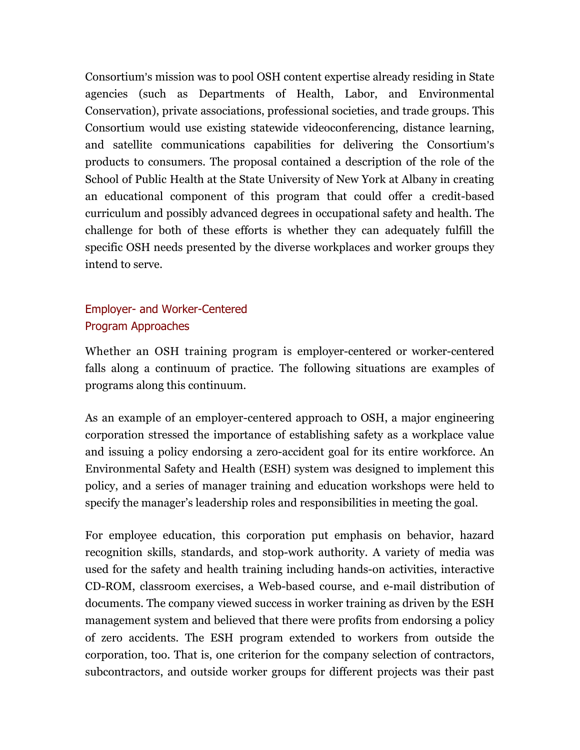Consortium's mission was to pool OSH content expertise already residing in State agencies (such as Departments of Health, Labor, and Environmental Conservation), private associations, professional societies, and trade groups. This Consortium would use existing statewide videoconferencing, distance learning, and satellite communications capabilities for delivering the Consortium's products to consumers. The proposal contained a description of the role of the School of Public Health at the State University of New York at Albany in creating an educational component of this program that could offer a credit-based curriculum and possibly advanced degrees in occupational safety and health. The challenge for both of these efforts is whether they can adequately fulfill the specific OSH needs presented by the diverse workplaces and worker groups they intend to serve.

#### Employer- and Worker-Centered Program Approaches

Whether an OSH training program is employer-centered or worker-centered falls along a continuum of practice. The following situations are examples of programs along this continuum.

 As an example of an employer-centered approach to OSH, a major engineering corporation stressed the importance of establishing safety as a workplace value and issuing a policy endorsing a zero-accident goal for its entire workforce. An Environmental Safety and Health (ESH) system was designed to implement this policy, and a series of manager training and education workshops were held to specify the manager's leadership roles and responsibilities in meeting the goal.

For employee education, this corporation put emphasis on behavior, hazard recognition skills, standards, and stop-work authority. A variety of media was used for the safety and health training including hands-on activities, interactive CD-ROM, classroom exercises, a Web-based course, and e-mail distribution of documents. The company viewed success in worker training as driven by the ESH management system and believed that there were profits from endorsing a policy of zero accidents. The ESH program extended to workers from outside the corporation, too. That is, one criterion for the company selection of contractors, subcontractors, and outside worker groups for different projects was their past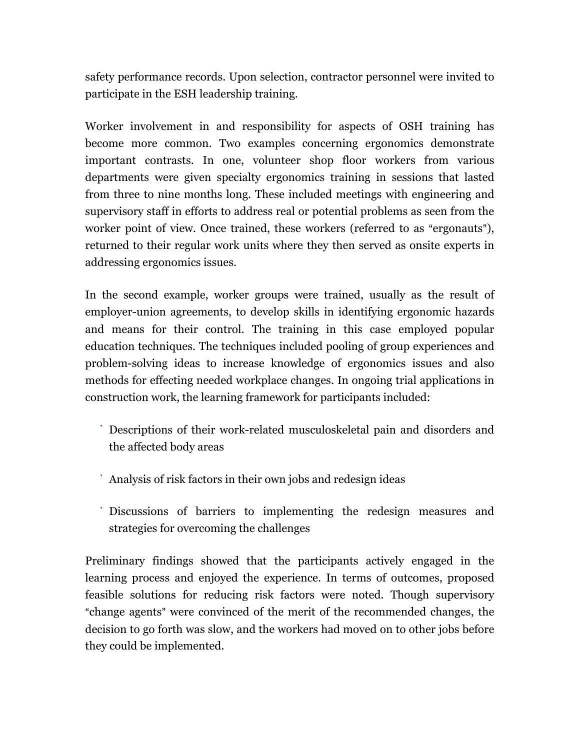safety performance records. Upon selection, contractor personnel were invited to participate in the ESH leadership training.

Worker involvement in and responsibility for aspects of OSH training has become more common. Two examples concerning ergonomics demonstrate important contrasts. In one, volunteer shop floor workers from various departments were given specialty ergonomics training in sessions that lasted from three to nine months long. These included meetings with engineering and supervisory staff in efforts to address real or potential problems as seen from the worker point of view. Once trained, these workers (referred to as "ergonauts"), returned to their regular work units where they then served as onsite experts in addressing ergonomics issues.

In the second example, worker groups were trained, usually as the result of employer-union agreements, to develop skills in identifying ergonomic hazards and means for their control. The training in this case employed popular education techniques. The techniques included pooling of group experiences and problem-solving ideas to increase knowledge of ergonomics issues and also methods for effecting needed workplace changes. In ongoing trial applications in construction work, the learning framework for participants included:

- Descriptions of their work-related musculoskeletal pain and disorders and the affected body areas
- $\dot{\phantom{a}}$  Analysis of risk factors in their own jobs and redesign ideas
- buth Discussions of barriers to implementing the redesign measures and strategies for overcoming the challenges

Preliminary findings showed that the participants actively engaged in the learning process and enjoyed the experience. In terms of outcomes, proposed feasible solutions for reducing risk factors were noted. Though supervisory "change agents" were convinced of the merit of the recommended changes, the decision to go forth was slow, and the workers had moved on to other jobs before they could be implemented.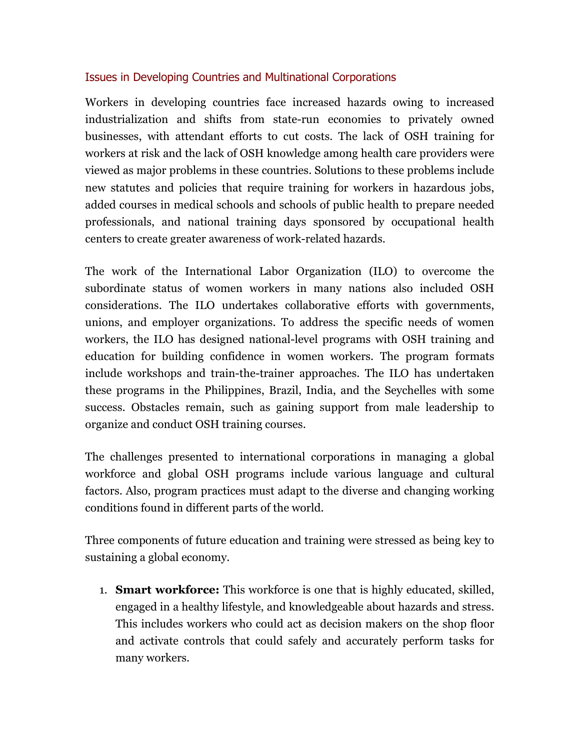#### Issues in Developing Countries and Multinational Corporations

Workers in developing countries face increased hazards owing to increased industrialization and shifts from state-run economies to privately owned businesses, with attendant efforts to cut costs. The lack of OSH training for workers at risk and the lack of OSH knowledge among health care providers were viewed as major problems in these countries. Solutions to these problems include new statutes and policies that require training for workers in hazardous jobs, added courses in medical schools and schools of public health to prepare needed professionals, and national training days sponsored by occupational health centers to create greater awareness of work-related hazards.

The work of the International Labor Organization (ILO) to overcome the subordinate status of women workers in many nations also included OSH considerations. The ILO undertakes collaborative efforts with governments, unions, and employer organizations. To address the specific needs of women workers, the ILO has designed national-level programs with OSH training and education for building confidence in women workers. The program formats include workshops and train-the-trainer approaches. The ILO has undertaken these programs in the Philippines, Brazil, India, and the Seychelles with some success. Obstacles remain, such as gaining support from male leadership to organize and conduct OSH training courses.

The challenges presented to international corporations in managing a global workforce and global OSH programs include various language and cultural factors. Also, program practices must adapt to the diverse and changing working conditions found in different parts of the world.

Three components of future education and training were stressed as being key to sustaining a global economy.

1. **Smart workforce:** This workforce is one that is highly educated, skilled, engaged in a healthy lifestyle, and knowledgeable about hazards and stress. This includes workers who could act as decision makers on the shop floor and activate controls that could safely and accurately perform tasks for many workers.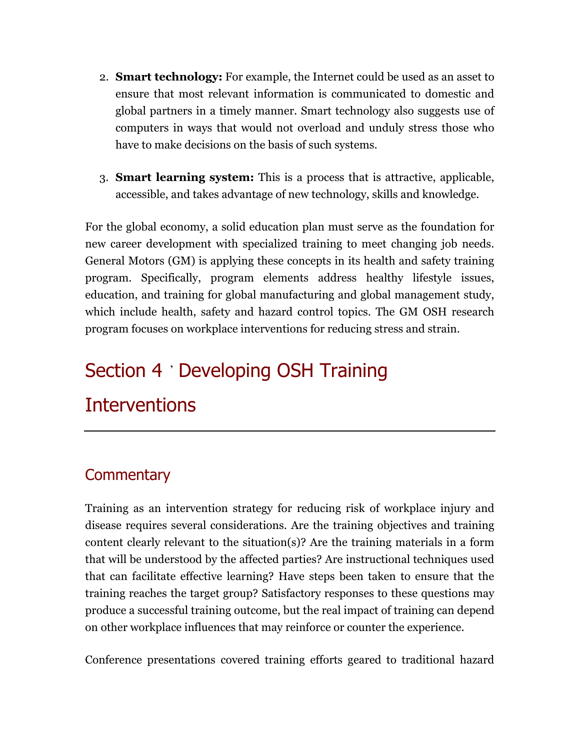- 2. **Smart technology:** For example, the Internet could be used as an asset to ensure that most relevant information is communicated to domestic and global partners in a timely manner. Smart technology also suggests use of computers in ways that would not overload and unduly stress those who have to make decisions on the basis of such systems.
- 3. **Smart learning system:** This is a process that is attractive, applicable, accessible, and takes advantage of new technology, skills and knowledge.

For the global economy, a solid education plan must serve as the foundation for new career development with specialized training to meet changing job needs. General Motors (GM) is applying these concepts in its health and safety training program. Specifically, program elements address healthy lifestyle issues, education, and training for global manufacturing and global management study, which include health, safety and hazard control topics. The GM OSH research program focuses on workplace interventions for reducing stress and strain.

# Section 4 ' Developing OSH Training

## **Interventions**

## **Commentary**

Training as an intervention strategy for reducing risk of workplace injury and disease requires several considerations. Are the training objectives and training content clearly relevant to the situation(s)? Are the training materials in a form that will be understood by the affected parties? Are instructional techniques used that can facilitate effective learning? Have steps been taken to ensure that the training reaches the target group? Satisfactory responses to these questions may produce a successful training outcome, but the real impact of training can depend on other workplace influences that may reinforce or counter the experience.

Conference presentations covered training efforts geared to traditional hazard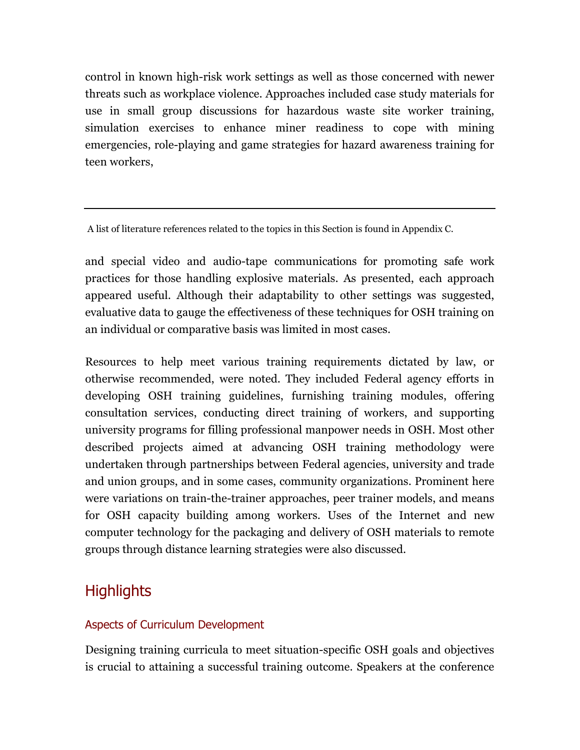control in known high-risk work settings as well as those concerned with newer threats such as workplace violence. Approaches included case study materials for use in small group discussions for hazardous waste site worker training, simulation exercises to enhance miner readiness to cope with mining emergencies, role-playing and game strategies for hazard awareness training for teen workers,

A list of literature references related to the topics in this Section is found in Appendix C.

 and special video and audio-tape communications for promoting safe work practices for those handling explosive materials. As presented, each approach appeared useful. Although their adaptability to other settings was suggested, evaluative data to gauge the effectiveness of these techniques for OSH training on an individual or comparative basis was limited in most cases.

Resources to help meet various training requirements dictated by law, or otherwise recommended, were noted. They included Federal agency efforts in developing OSH training guidelines, furnishing training modules, offering consultation services, conducting direct training of workers, and supporting university programs for filling professional manpower needs in OSH. Most other described projects aimed at advancing OSH training methodology were undertaken through partnerships between Federal agencies, university and trade and union groups, and in some cases, community organizations. Prominent here were variations on train-the-trainer approaches, peer trainer models, and means for OSH capacity building among workers. Uses of the Internet and new computer technology for the packaging and delivery of OSH materials to remote groups through distance learning strategies were also discussed.

## **Highlights**

#### Aspects of Curriculum Development

Designing training curricula to meet situation-specific OSH goals and objectives is crucial to attaining a successful training outcome. Speakers at the conference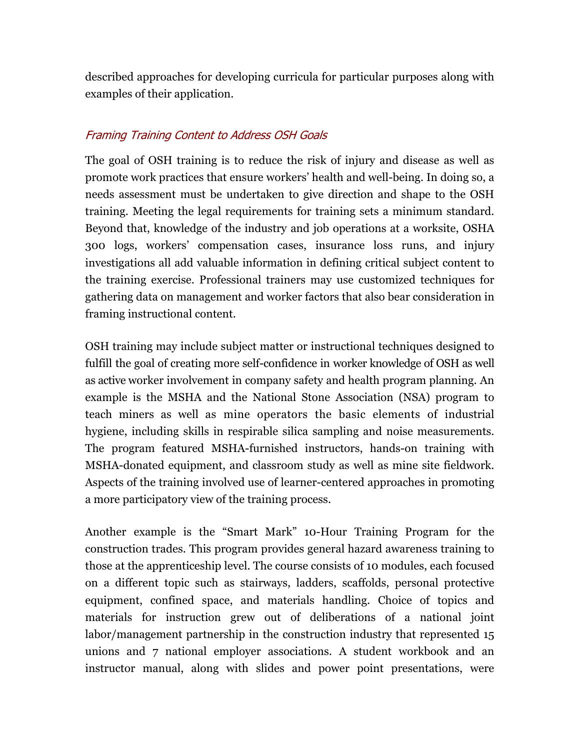described approaches for developing curricula for particular purposes along with examples of their application.

#### Framing Training Content to Address OSH Goals

The goal of OSH training is to reduce the risk of injury and disease as well as promote work practices that ensure workers' health and well-being. In doing so, a needs assessment must be undertaken to give direction and shape to the OSH training. Meeting the legal requirements for training sets a minimum standard. Beyond that, knowledge of the industry and job operations at a worksite, OSHA 300 logs, workers' compensation cases, insurance loss runs, and injury investigations all add valuable information in defining critical subject content to the training exercise. Professional trainers may use customized techniques for gathering data on management and worker factors that also bear consideration in framing instructional content.

 as active worker involvement in company safety and health program planning. An teach miners as well as mine operators the basic elements of industrial OSH training may include subject matter or instructional techniques designed to fulfill the goal of creating more self-confidence in worker knowledge of OSH as well example is the MSHA and the National Stone Association (NSA) program to hygiene, including skills in respirable silica sampling and noise measurements. The program featured MSHA-furnished instructors, hands-on training with MSHA-donated equipment, and classroom study as well as mine site fieldwork. Aspects of the training involved use of learner-centered approaches in promoting a more participatory view of the training process.

Another example is the "Smart Mark" 10-Hour Training Program for the construction trades. This program provides general hazard awareness training to those at the apprenticeship level. The course consists of 10 modules, each focused on a different topic such as stairways, ladders, scaffolds, personal protective equipment, confined space, and materials handling. Choice of topics and materials for instruction grew out of deliberations of a national joint labor/management partnership in the construction industry that represented 15 unions and 7 national employer associations. A student workbook and an instructor manual, along with slides and power point presentations, were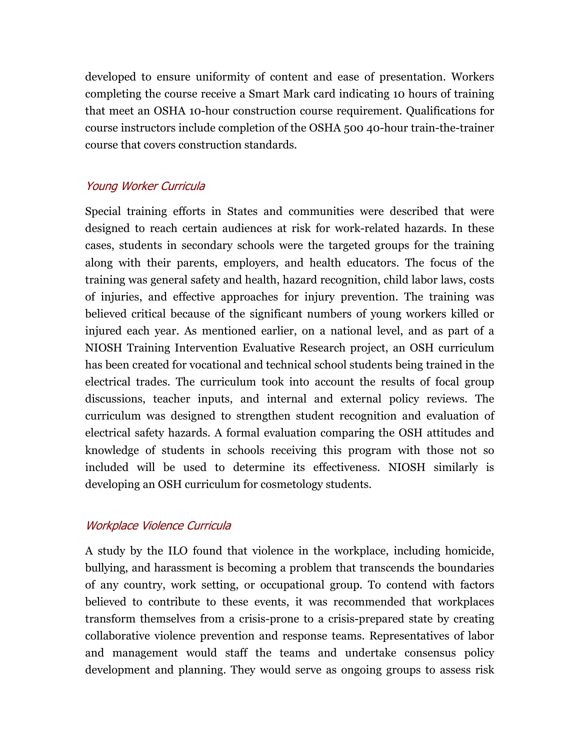developed to ensure uniformity of content and ease of presentation. Workers completing the course receive a Smart Mark card indicating 10 hours of training that meet an OSHA 10-hour construction course requirement. Qualifications for course instructors include completion of the OSHA 500 40-hour train-the-trainer course that covers construction standards.

#### Young Worker Curricula

Special training efforts in States and communities were described that were designed to reach certain audiences at risk for work-related hazards. In these cases, students in secondary schools were the targeted groups for the training along with their parents, employers, and health educators. The focus of the training was general safety and health, hazard recognition, child labor laws, costs of injuries, and effective approaches for injury prevention. The training was believed critical because of the significant numbers of young workers killed or injured each year. As mentioned earlier, on a national level, and as part of a NIOSH Training Intervention Evaluative Research project, an OSH curriculum has been created for vocational and technical school students being trained in the electrical trades. The curriculum took into account the results of focal group discussions, teacher inputs, and internal and external policy reviews. The curriculum was designed to strengthen student recognition and evaluation of electrical safety hazards. A formal evaluation comparing the OSH attitudes and knowledge of students in schools receiving this program with those not so included will be used to determine its effectiveness. NIOSH similarly is developing an OSH curriculum for cosmetology students.

#### Workplace Violence Curricula

A study by the ILO found that violence in the workplace, including homicide, bullying, and harassment is becoming a problem that transcends the boundaries of any country, work setting, or occupational group. To contend with factors believed to contribute to these events, it was recommended that workplaces transform themselves from a crisis-prone to a crisis-prepared state by creating collaborative violence prevention and response teams. Representatives of labor and management would staff the teams and undertake consensus policy development and planning. They would serve as ongoing groups to assess risk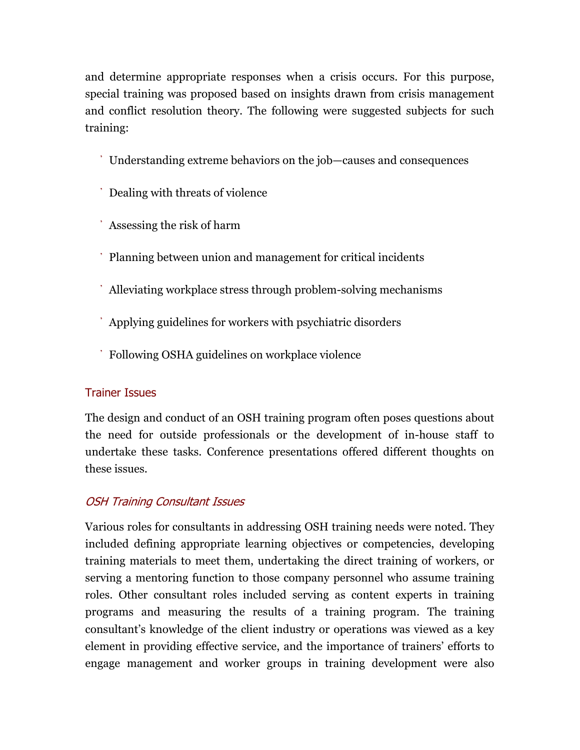and determine appropriate responses when a crisis occurs. For this purpose, special training was proposed based on insights drawn from crisis management and conflict resolution theory. The following were suggested subjects for such training:

- + Understanding extreme behaviors on the job—causes and consequences
- bealing with threats of violence
- <sup>t</sup> Assessing the risk of harm
- + Planning between union and management for critical incidents
- + Alleviating workplace stress through problem-solving mechanisms
- + Applying guidelines for workers with psychiatric disorders
- $\cdot$  Following OSHA guidelines on workplace violence

#### Trainer Issues

The design and conduct of an OSH training program often poses questions about the need for outside professionals or the development of in-house staff to undertake these tasks. Conference presentations offered different thoughts on these issues.

#### OSH Training Consultant Issues

Various roles for consultants in addressing OSH training needs were noted. They included defining appropriate learning objectives or competencies, developing training materials to meet them, undertaking the direct training of workers, or serving a mentoring function to those company personnel who assume training roles. Other consultant roles included serving as content experts in training programs and measuring the results of a training program. The training consultant's knowledge of the client industry or operations was viewed as a key element in providing effective service, and the importance of trainers' efforts to engage management and worker groups in training development were also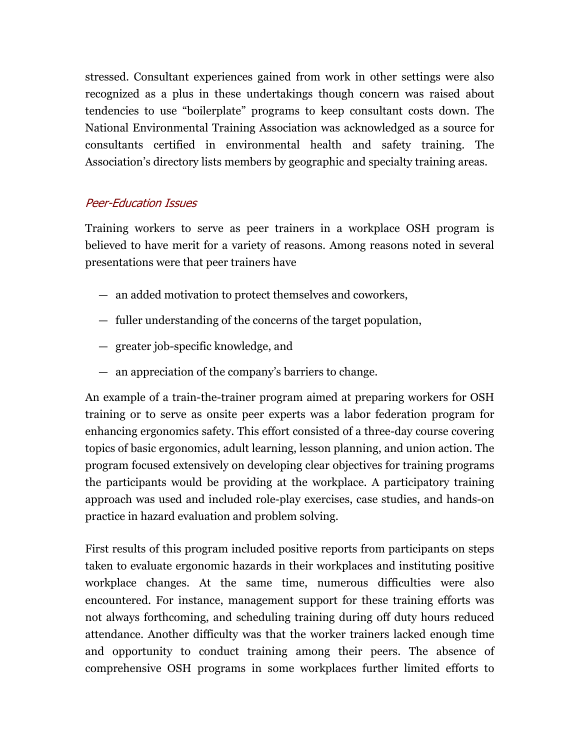stressed. Consultant experiences gained from work in other settings were also recognized as a plus in these undertakings though concern was raised about tendencies to use "boilerplate" programs to keep consultant costs down. The National Environmental Training Association was acknowledged as a source for consultants certified in environmental health and safety training. The Association's directory lists members by geographic and specialty training areas.

#### Peer-Education Issues

Training workers to serve as peer trainers in a workplace OSH program is believed to have merit for a variety of reasons. Among reasons noted in several presentations were that peer trainers have

- an added motivation to protect themselves and coworkers,
- fuller understanding of the concerns of the target population,
- greater job-specific knowledge, and
- an appreciation of the company's barriers to change.

An example of a train-the-trainer program aimed at preparing workers for OSH training or to serve as onsite peer experts was a labor federation program for enhancing ergonomics safety. This effort consisted of a three-day course covering topics of basic ergonomics, adult learning, lesson planning, and union action. The program focused extensively on developing clear objectives for training programs the participants would be providing at the workplace. A participatory training approach was used and included role-play exercises, case studies, and hands-on practice in hazard evaluation and problem solving.

First results of this program included positive reports from participants on steps taken to evaluate ergonomic hazards in their workplaces and instituting positive workplace changes. At the same time, numerous difficulties were also encountered. For instance, management support for these training efforts was not always forthcoming, and scheduling training during off duty hours reduced attendance. Another difficulty was that the worker trainers lacked enough time and opportunity to conduct training among their peers. The absence of comprehensive OSH programs in some workplaces further limited efforts to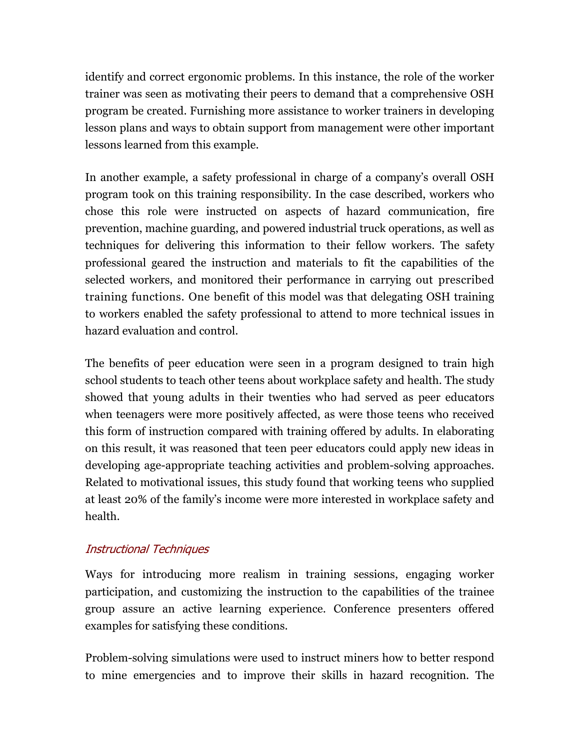identify and correct ergonomic problems. In this instance, the role of the worker trainer was seen as motivating their peers to demand that a comprehensive OSH program be created. Furnishing more assistance to worker trainers in developing lesson plans and ways to obtain support from management were other important lessons learned from this example.

 selected workers, and monitored their performance in carrying out prescribed training functions. One benefit of this model was that delegating OSH training In another example, a safety professional in charge of a company's overall OSH program took on this training responsibility. In the case described, workers who chose this role were instructed on aspects of hazard communication, fire prevention, machine guarding, and powered industrial truck operations, as well as techniques for delivering this information to their fellow workers. The safety professional geared the instruction and materials to fit the capabilities of the to workers enabled the safety professional to attend to more technical issues in hazard evaluation and control.

The benefits of peer education were seen in a program designed to train high school students to teach other teens about workplace safety and health. The study showed that young adults in their twenties who had served as peer educators when teenagers were more positively affected, as were those teens who received this form of instruction compared with training offered by adults. In elaborating on this result, it was reasoned that teen peer educators could apply new ideas in developing age-appropriate teaching activities and problem-solving approaches. Related to motivational issues, this study found that working teens who supplied at least 20% of the family's income were more interested in workplace safety and health.

#### Instructional Techniques

Ways for introducing more realism in training sessions, engaging worker participation, and customizing the instruction to the capabilities of the trainee group assure an active learning experience. Conference presenters offered examples for satisfying these conditions.

Problem-solving simulations were used to instruct miners how to better respond to mine emergencies and to improve their skills in hazard recognition. The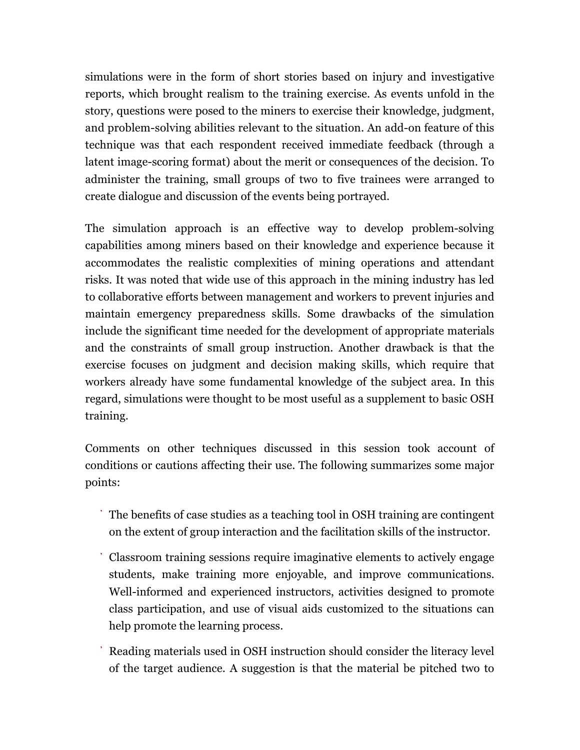and problem-solving abilities relevant to the situation. An add-on feature of this simulations were in the form of short stories based on injury and investigative reports, which brought realism to the training exercise. As events unfold in the story, questions were posed to the miners to exercise their knowledge, judgment, technique was that each respondent received immediate feedback (through a latent image-scoring format) about the merit or consequences of the decision. To administer the training, small groups of two to five trainees were arranged to create dialogue and discussion of the events being portrayed.

The simulation approach is an effective way to develop problem-solving capabilities among miners based on their knowledge and experience because it accommodates the realistic complexities of mining operations and attendant risks. It was noted that wide use of this approach in the mining industry has led to collaborative efforts between management and workers to prevent injuries and maintain emergency preparedness skills. Some drawbacks of the simulation include the significant time needed for the development of appropriate materials and the constraints of small group instruction. Another drawback is that the exercise focuses on judgment and decision making skills, which require that workers already have some fundamental knowledge of the subject area. In this regard, simulations were thought to be most useful as a supplement to basic OSH training.

Comments on other techniques discussed in this session took account of conditions or cautions affecting their use. The following summarizes some major points:

- The benefits of case studies as a teaching tool in OSH training are contingent on the extent of group interaction and the facilitation skills of the instructor.
- Classroom training sessions require imaginative elements to actively engage students, make training more enjoyable, and improve communications. Well-informed and experienced instructors, activities designed to promote class participation, and use of visual aids customized to the situations can help promote the learning process.
- Reading materials used in OSH instruction should consider the literacy level of the target audience. A suggestion is that the material be pitched two to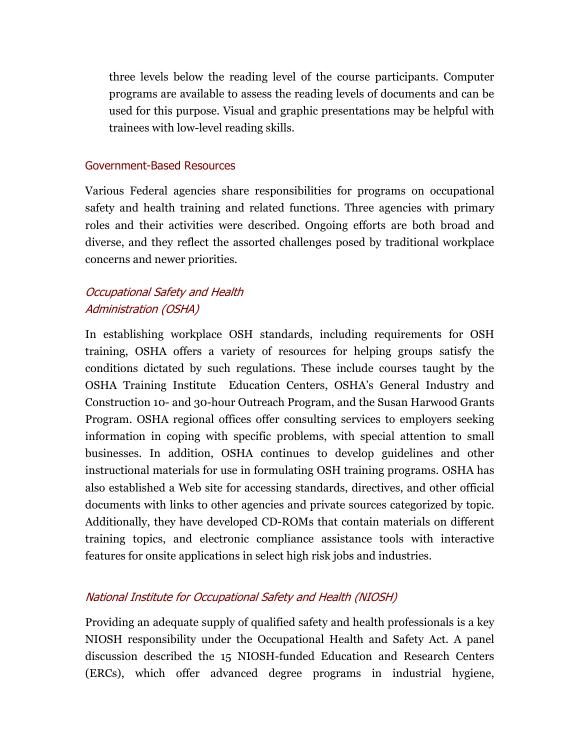three levels below the reading level of the course participants. Computer programs are available to assess the reading levels of documents and can be used for this purpose. Visual and graphic presentations may be helpful with trainees with low-level reading skills.

#### Government-Based Resources

Various Federal agencies share responsibilities for programs on occupational safety and health training and related functions. Three agencies with primary roles and their activities were described. Ongoing efforts are both broad and diverse, and they reflect the assorted challenges posed by traditional workplace concerns and newer priorities.

#### Occupational Safety and Health Administration (OSHA)

In establishing workplace OSH standards, including requirements for OSH training, OSHA offers a variety of resources for helping groups satisfy the conditions dictated by such regulations. These include courses taught by the OSHA Training Institute Education Centers, OSHA's General Industry and Construction 10- and 30-hour Outreach Program, and the Susan Harwood Grants Program. OSHA regional offices offer consulting services to employers seeking information in coping with specific problems, with special attention to small businesses. In addition, OSHA continues to develop guidelines and other instructional materials for use in formulating OSH training programs. OSHA has also established a Web site for accessing standards, directives, and other official documents with links to other agencies and private sources categorized by topic. Additionally, they have developed CD-ROMs that contain materials on different training topics, and electronic compliance assistance tools with interactive features for onsite applications in select high risk jobs and industries.

#### National Institute for Occupational Safety and Health (NIOSH)

Providing an adequate supply of qualified safety and health professionals is a key NIOSH responsibility under the Occupational Health and Safety Act. A panel discussion described the 15 NIOSH-funded Education and Research Centers (ERCs), which offer advanced degree programs in industrial hygiene,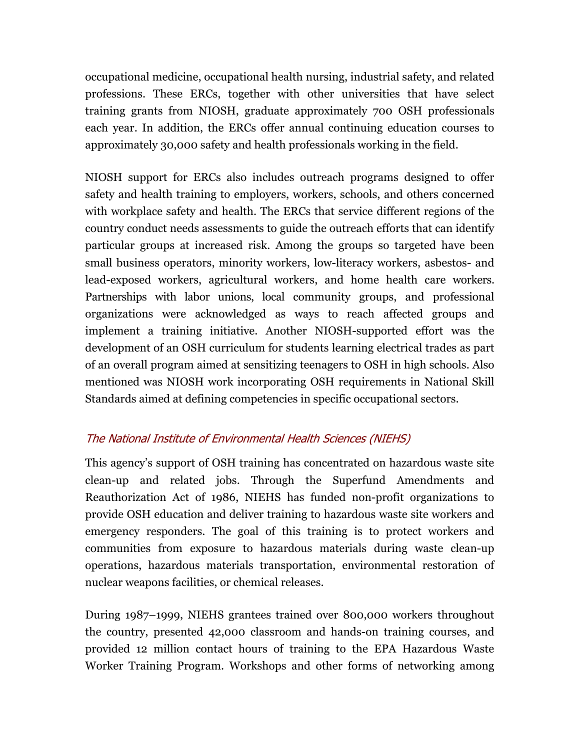occupational medicine, occupational health nursing, industrial safety, and related professions. These ERCs, together with other universities that have select training grants from NIOSH, graduate approximately 700 OSH professionals each year. In addition, the ERCs offer annual continuing education courses to approximately 30,000 safety and health professionals working in the field.

NIOSH support for ERCs also includes outreach programs designed to offer safety and health training to employers, workers, schools, and others concerned with workplace safety and health. The ERCs that service different regions of the country conduct needs assessments to guide the outreach efforts that can identify particular groups at increased risk. Among the groups so targeted have been small business operators, minority workers, low-literacy workers, asbestos- and lead-exposed workers, agricultural workers, and home health care workers. Partnerships with labor unions, local community groups, and professional organizations were acknowledged as ways to reach affected groups and implement a training initiative. Another NIOSH-supported effort was the development of an OSH curriculum for students learning electrical trades as part of an overall program aimed at sensitizing teenagers to OSH in high schools. Also mentioned was NIOSH work incorporating OSH requirements in National Skill Standards aimed at defining competencies in specific occupational sectors.

#### The National Institute of Environmental Health Sciences (NIEHS)

This agency's support of OSH training has concentrated on hazardous waste site clean-up and related jobs. Through the Superfund Amendments and Reauthorization Act of 1986, NIEHS has funded non-profit organizations to provide OSH education and deliver training to hazardous waste site workers and emergency responders. The goal of this training is to protect workers and communities from exposure to hazardous materials during waste clean-up operations, hazardous materials transportation, environmental restoration of nuclear weapons facilities, or chemical releases.

During 1987–1999, NIEHS grantees trained over 800,000 workers throughout the country, presented 42,000 classroom and hands-on training courses, and provided 12 million contact hours of training to the EPA Hazardous Waste Worker Training Program. Workshops and other forms of networking among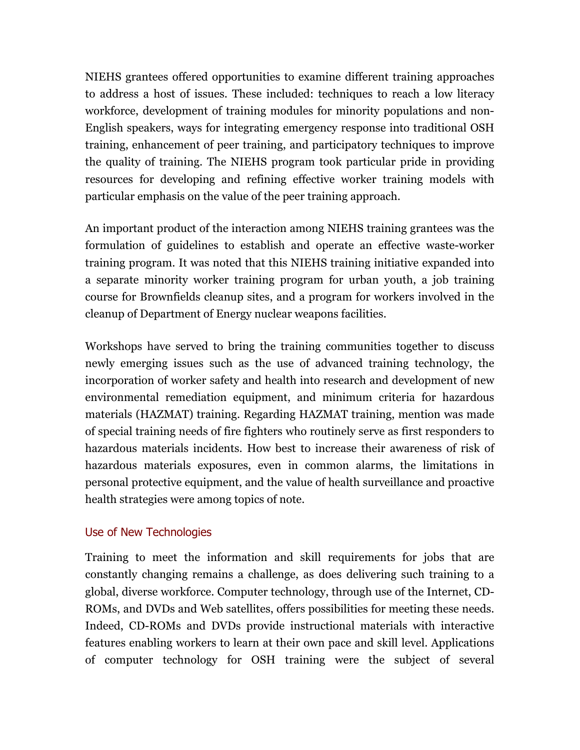NIEHS grantees offered opportunities to examine different training approaches to address a host of issues. These included: techniques to reach a low literacy workforce, development of training modules for minority populations and non-English speakers, ways for integrating emergency response into traditional OSH training, enhancement of peer training, and participatory techniques to improve the quality of training. The NIEHS program took particular pride in providing resources for developing and refining effective worker training models with particular emphasis on the value of the peer training approach.

An important product of the interaction among NIEHS training grantees was the formulation of guidelines to establish and operate an effective waste-worker training program. It was noted that this NIEHS training initiative expanded into a separate minority worker training program for urban youth, a job training course for Brownfields cleanup sites, and a program for workers involved in the cleanup of Department of Energy nuclear weapons facilities.

Workshops have served to bring the training communities together to discuss newly emerging issues such as the use of advanced training technology, the incorporation of worker safety and health into research and development of new environmental remediation equipment, and minimum criteria for hazardous materials (HAZMAT) training. Regarding HAZMAT training, mention was made of special training needs of fire fighters who routinely serve as first responders to hazardous materials incidents. How best to increase their awareness of risk of hazardous materials exposures, even in common alarms, the limitations in personal protective equipment, and the value of health surveillance and proactive health strategies were among topics of note.

#### Use of New Technologies

Training to meet the information and skill requirements for jobs that are constantly changing remains a challenge, as does delivering such training to a global, diverse workforce. Computer technology, through use of the Internet, CD-ROMs, and DVDs and Web satellites, offers possibilities for meeting these needs. Indeed, CD-ROMs and DVDs provide instructional materials with interactive features enabling workers to learn at their own pace and skill level. Applications of computer technology for OSH training were the subject of several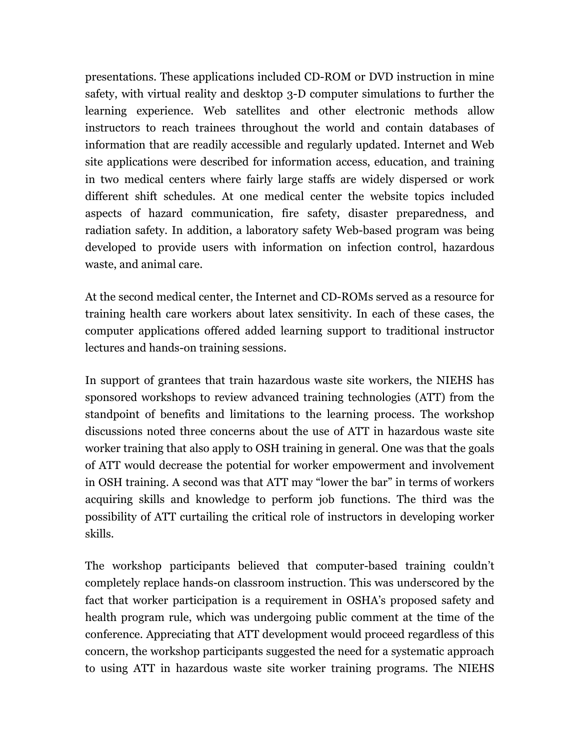presentations. These applications included CD-ROM or DVD instruction in mine safety, with virtual reality and desktop 3-D computer simulations to further the learning experience. Web satellites and other electronic methods allow instructors to reach trainees throughout the world and contain databases of information that are readily accessible and regularly updated. Internet and Web site applications were described for information access, education, and training in two medical centers where fairly large staffs are widely dispersed or work different shift schedules. At one medical center the website topics included aspects of hazard communication, fire safety, disaster preparedness, and radiation safety. In addition, a laboratory safety Web-based program was being developed to provide users with information on infection control, hazardous waste, and animal care.

At the second medical center, the Internet and CD-ROMs served as a resource for training health care workers about latex sensitivity. In each of these cases, the computer applications offered added learning support to traditional instructor lectures and hands-on training sessions.

In support of grantees that train hazardous waste site workers, the NIEHS has sponsored workshops to review advanced training technologies (ATT) from the standpoint of benefits and limitations to the learning process. The workshop discussions noted three concerns about the use of ATT in hazardous waste site worker training that also apply to OSH training in general. One was that the goals of ATT would decrease the potential for worker empowerment and involvement in OSH training. A second was that ATT may "lower the bar" in terms of workers acquiring skills and knowledge to perform job functions. The third was the possibility of ATT curtailing the critical role of instructors in developing worker skills.

The workshop participants believed that computer-based training couldn't completely replace hands-on classroom instruction. This was underscored by the fact that worker participation is a requirement in OSHA's proposed safety and health program rule, which was undergoing public comment at the time of the conference. Appreciating that ATT development would proceed regardless of this concern, the workshop participants suggested the need for a systematic approach to using ATT in hazardous waste site worker training programs. The NIEHS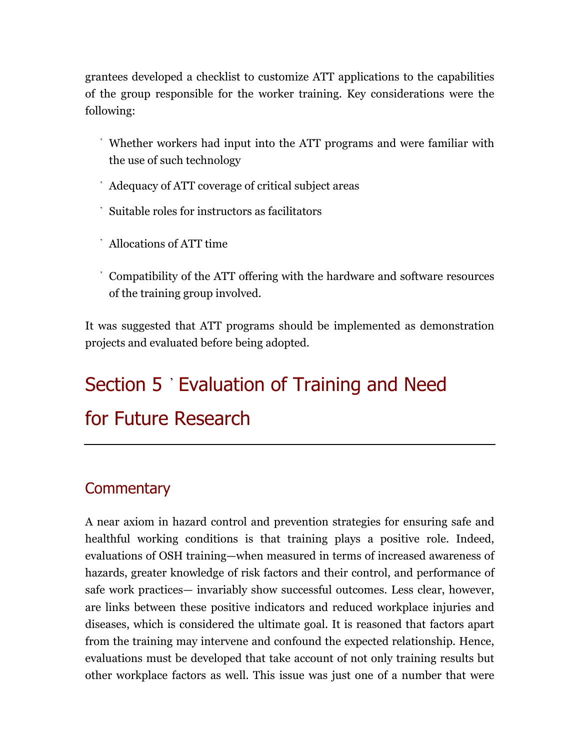grantees developed a checklist to customize ATT applications to the capabilities of the group responsible for the worker training. Key considerations were the following:

- Uhether workers had input into the ATT programs and were familiar with the use of such technology
- Adequacy of ATT coverage of critical subject areas
- $\dot{\phantom{\phi}}$  Suitable roles for instructors as facilitators
- $\dot{ }$  Allocations of ATT time
- Compatibility of the ATT offering with the hardware and software resources of the training group involved.

It was suggested that ATT programs should be implemented as demonstration projects and evaluated before being adopted.

# Section 5 ' Evaluation of Training and Need for Future Research

## **Commentary**

A near axiom in hazard control and prevention strategies for ensuring safe and healthful working conditions is that training plays a positive role. Indeed, evaluations of OSH training—when measured in terms of increased awareness of hazards, greater knowledge of risk factors and their control, and performance of safe work practices— invariably show successful outcomes. Less clear, however, are links between these positive indicators and reduced workplace injuries and diseases, which is considered the ultimate goal. It is reasoned that factors apart from the training may intervene and confound the expected relationship. Hence, evaluations must be developed that take account of not only training results but other workplace factors as well. This issue was just one of a number that were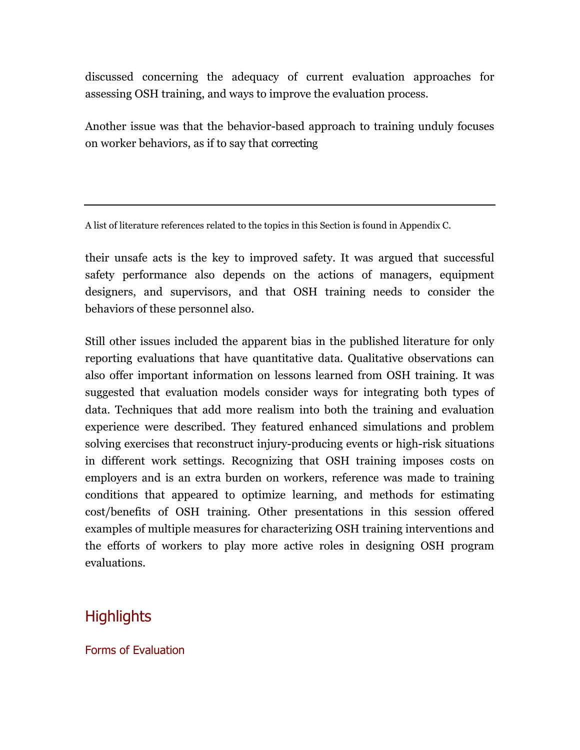discussed concerning the adequacy of current evaluation approaches for assessing OSH training, and ways to improve the evaluation process.

on worker behaviors, as if to say that correcting Another issue was that the behavior-based approach to training unduly focuses

A list of literature references related to the topics in this Section is found in Appendix C.

their unsafe acts is the key to improved safety. It was argued that successful safety performance also depends on the actions of managers, equipment designers, and supervisors, and that OSH training needs to consider the behaviors of these personnel also.

Still other issues included the apparent bias in the published literature for only reporting evaluations that have quantitative data. Qualitative observations can also offer important information on lessons learned from OSH training. It was suggested that evaluation models consider ways for integrating both types of data. Techniques that add more realism into both the training and evaluation experience were described. They featured enhanced simulations and problem solving exercises that reconstruct injury-producing events or high-risk situations in different work settings. Recognizing that OSH training imposes costs on employers and is an extra burden on workers, reference was made to training conditions that appeared to optimize learning, and methods for estimating cost/benefits of OSH training. Other presentations in this session offered examples of multiple measures for characterizing OSH training interventions and the efforts of workers to play more active roles in designing OSH program evaluations.

## **Highlights**

Forms of Evaluation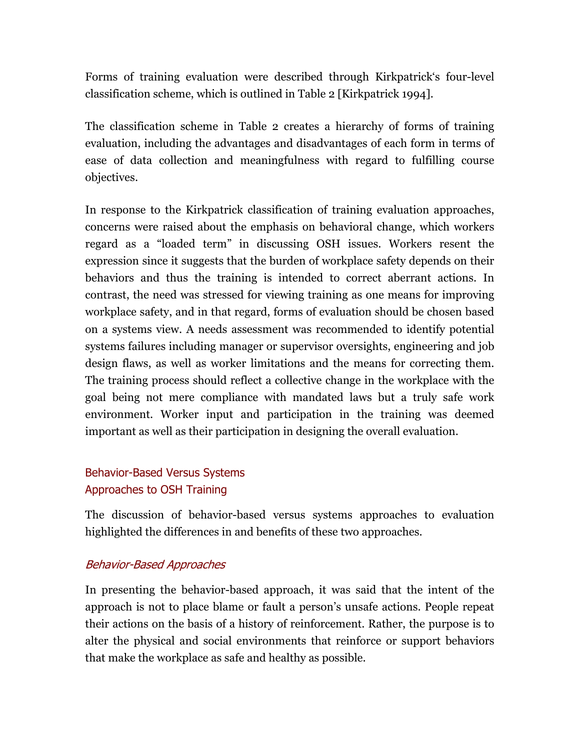Forms of training evaluation were described through Kirkpatrick's four-level classification scheme, which is outlined in Table 2 [Kirkpatrick 1994].

The classification scheme in Table 2 creates a hierarchy of forms of training evaluation, including the advantages and disadvantages of each form in terms of ease of data collection and meaningfulness with regard to fulfilling course objectives.

In response to the Kirkpatrick classification of training evaluation approaches, concerns were raised about the emphasis on behavioral change, which workers regard as a "loaded term" in discussing OSH issues. Workers resent the expression since it suggests that the burden of workplace safety depends on their behaviors and thus the training is intended to correct aberrant actions. In contrast, the need was stressed for viewing training as one means for improving workplace safety, and in that regard, forms of evaluation should be chosen based on a systems view. A needs assessment was recommended to identify potential systems failures including manager or supervisor oversights, engineering and job design flaws, as well as worker limitations and the means for correcting them. The training process should reflect a collective change in the workplace with the goal being not mere compliance with mandated laws but a truly safe work environment. Worker input and participation in the training was deemed important as well as their participation in designing the overall evaluation.

#### Behavior-Based Versus Systems Approaches to OSH Training

The discussion of behavior-based versus systems approaches to evaluation highlighted the differences in and benefits of these two approaches.

#### Behavior-Based Approaches

In presenting the behavior-based approach, it was said that the intent of the approach is not to place blame or fault a person's unsafe actions. People repeat their actions on the basis of a history of reinforcement. Rather, the purpose is to alter the physical and social environments that reinforce or support behaviors that make the workplace as safe and healthy as possible.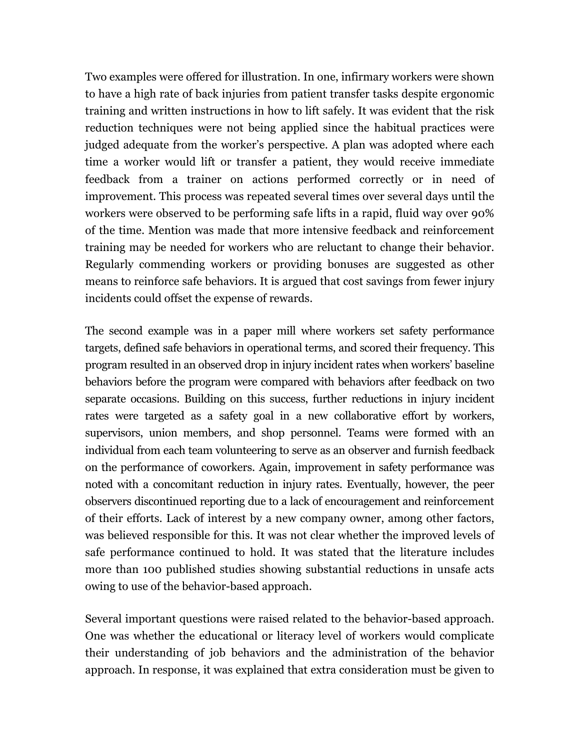workers were observed to be performing safe lifts in a rapid, fluid way over 90% Two examples were offered for illustration. In one, infirmary workers were shown to have a high rate of back injuries from patient transfer tasks despite ergonomic training and written instructions in how to lift safely. It was evident that the risk reduction techniques were not being applied since the habitual practices were judged adequate from the worker's perspective. A plan was adopted where each time a worker would lift or transfer a patient, they would receive immediate feedback from a trainer on actions performed correctly or in need of improvement. This process was repeated several times over several days until the of the time. Mention was made that more intensive feedback and reinforcement training may be needed for workers who are reluctant to change their behavior. Regularly commending workers or providing bonuses are suggested as other means to reinforce safe behaviors. It is argued that cost savings from fewer injury incidents could offset the expense of rewards.

 on the performance of coworkers. Again, improvement in safety performance was The second example was in a paper mill where workers set safety performance targets, defined safe behaviors in operational terms, and scored their frequency. This program resulted in an observed drop in injury incident rates when workers' baseline behaviors before the program were compared with behaviors after feedback on two separate occasions. Building on this success, further reductions in injury incident rates were targeted as a safety goal in a new collaborative effort by workers, supervisors, union members, and shop personnel. Teams were formed with an individual from each team volunteering to serve as an observer and furnish feedback noted with a concomitant reduction in injury rates. Eventually, however, the peer observers discontinued reporting due to a lack of encouragement and reinforcement of their efforts. Lack of interest by a new company owner, among other factors, was believed responsible for this. It was not clear whether the improved levels of safe performance continued to hold. It was stated that the literature includes more than 100 published studies showing substantial reductions in unsafe acts owing to use of the behavior-based approach.

Several important questions were raised related to the behavior-based approach. One was whether the educational or literacy level of workers would complicate their understanding of job behaviors and the administration of the behavior approach. In response, it was explained that extra consideration must be given to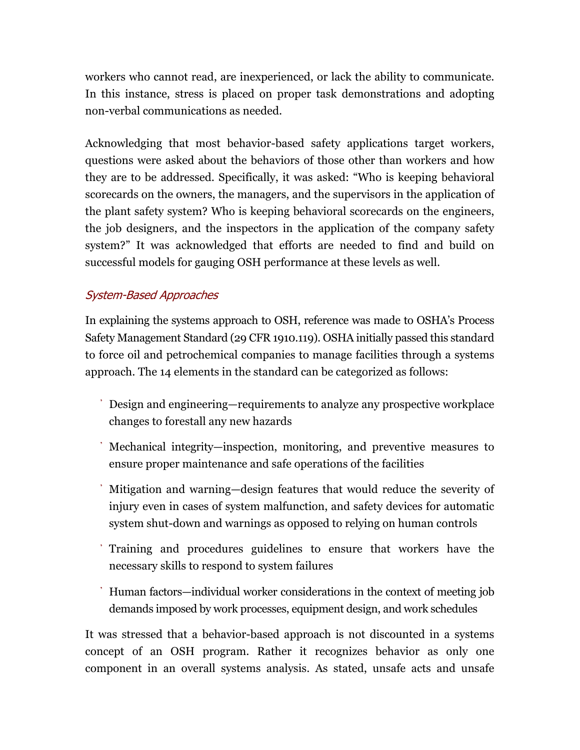workers who cannot read, are inexperienced, or lack the ability to communicate. In this instance, stress is placed on proper task demonstrations and adopting non-verbal communications as needed.

Acknowledging that most behavior-based safety applications target workers, questions were asked about the behaviors of those other than workers and how they are to be addressed. Specifically, it was asked: "Who is keeping behavioral scorecards on the owners, the managers, and the supervisors in the application of the plant safety system? Who is keeping behavioral scorecards on the engineers, the job designers, and the inspectors in the application of the company safety system?" It was acknowledged that efforts are needed to find and build on successful models for gauging OSH performance at these levels as well.

#### System-Based Approaches

In explaining the systems approach to OSH, reference was made to OSHA's Process Safety Management Standard (29 CFR 1910.119). OSHA initially passed this standard to force oil and petrochemical companies to manage facilities through a systems approach. The 14 elements in the standard can be categorized as follows:

- s Design and engineering—requirements to analyze any prospective workplace changes to forestall any new hazards
- Mechanical integrity—inspection, monitoring, and preventive measures to ensure proper maintenance and safe operations of the facilities
- Mitigation and warning—design features that would reduce the severity of injury even in cases of system malfunction, and safety devices for automatic system shut-down and warnings as opposed to relying on human controls
- Training and procedures guidelines to ensure that workers have the necessary skills to respond to system failures
- Human factors—individual worker considerations in the context of meeting job demands imposed by work processes, equipment design, and work schedules

It was stressed that a behavior-based approach is not discounted in a systems concept of an OSH program. Rather it recognizes behavior as only one component in an overall systems analysis. As stated, unsafe acts and unsafe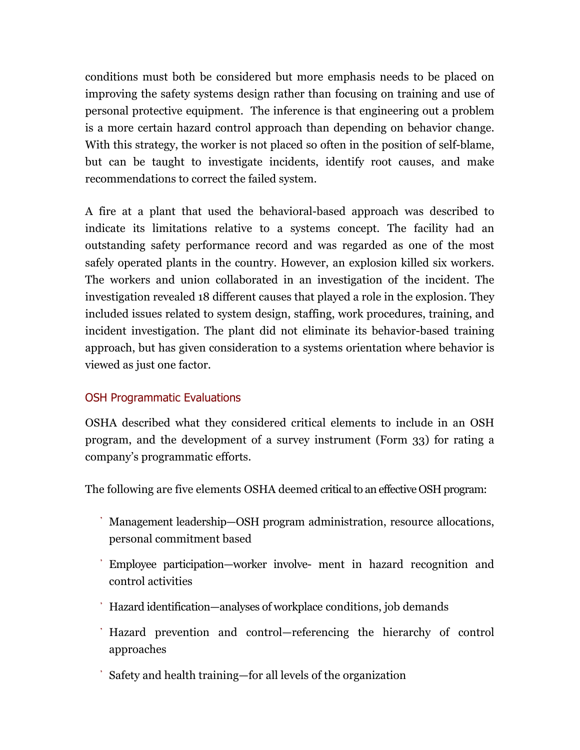conditions must both be considered but more emphasis needs to be placed on improving the safety systems design rather than focusing on training and use of personal protective equipment. The inference is that engineering out a problem is a more certain hazard control approach than depending on behavior change. With this strategy, the worker is not placed so often in the position of self-blame, but can be taught to investigate incidents, identify root causes, and make recommendations to correct the failed system.

A fire at a plant that used the behavioral-based approach was described to indicate its limitations relative to a systems concept. The facility had an outstanding safety performance record and was regarded as one of the most safely operated plants in the country. However, an explosion killed six workers. The workers and union collaborated in an investigation of the incident. The investigation revealed 18 different causes that played a role in the explosion. They included issues related to system design, staffing, work procedures, training, and incident investigation. The plant did not eliminate its behavior-based training approach, but has given consideration to a systems orientation where behavior is viewed as just one factor.

#### OSH Programmatic Evaluations

OSHA described what they considered critical elements to include in an OSH program, and the development of a survey instrument (Form 33) for rating a company's programmatic efforts.

The following are five elements OSHA deemed critical to an effective OSH program:

- Management leadership—OSH program administration, resource allocations, personal commitment based
- Employee participation—worker involve- ment in hazard recognition and control activities
- Hazard identification—analyses of workplace conditions, job demands
- Hazard prevention and control—referencing the hierarchy of control approaches
- Safety and health training—for all levels of the organization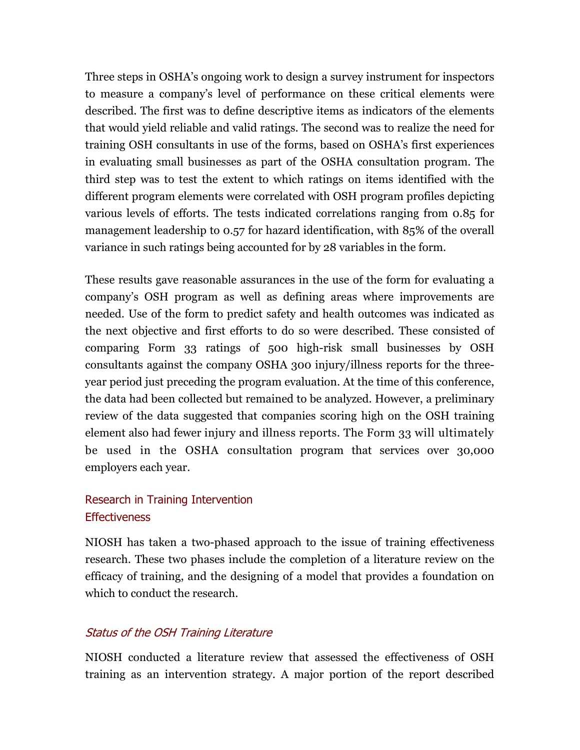Three steps in OSHA's ongoing work to design a survey instrument for inspectors to measure a company's level of performance on these critical elements were described. The first was to define descriptive items as indicators of the elements that would yield reliable and valid ratings. The second was to realize the need for training OSH consultants in use of the forms, based on OSHA's first experiences in evaluating small businesses as part of the OSHA consultation program. The third step was to test the extent to which ratings on items identified with the different program elements were correlated with OSH program profiles depicting various levels of efforts. The tests indicated correlations ranging from 0.85 for management leadership to 0.57 for hazard identification, with 85% of the overall variance in such ratings being accounted for by 28 variables in the form.

 element also had fewer injury and illness reports. The Form 33 will ultimately be used in the OSHA consultation program that services over 30,000 These results gave reasonable assurances in the use of the form for evaluating a company's OSH program as well as defining areas where improvements are needed. Use of the form to predict safety and health outcomes was indicated as the next objective and first efforts to do so were described. These consisted of comparing Form 33 ratings of 500 high-risk small businesses by OSH consultants against the company OSHA 300 injury/illness reports for the threeyear period just preceding the program evaluation. At the time of this conference, the data had been collected but remained to be analyzed. However, a preliminary review of the data suggested that companies scoring high on the OSH training employers each year.

#### Research in Training Intervention **Effectiveness**

NIOSH has taken a two-phased approach to the issue of training effectiveness research. These two phases include the completion of a literature review on the efficacy of training, and the designing of a model that provides a foundation on which to conduct the research.

#### Status of the OSH Training Literature

NIOSH conducted a literature review that assessed the effectiveness of OSH training as an intervention strategy. A major portion of the report described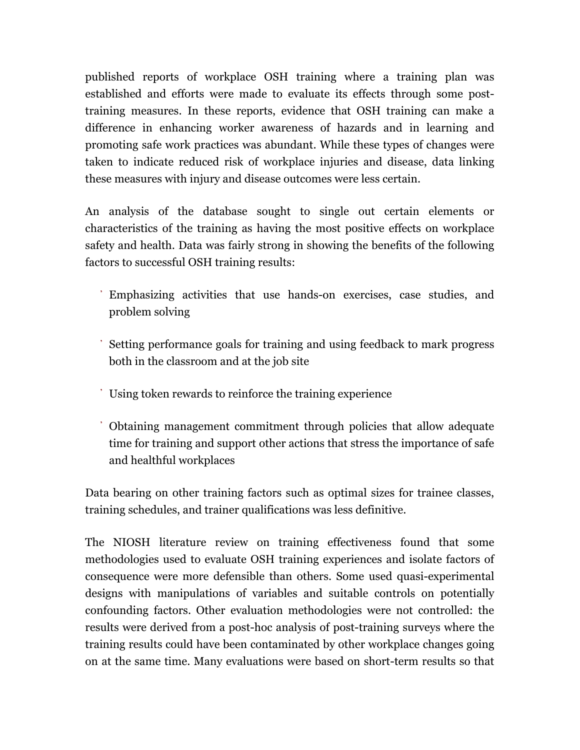published reports of workplace OSH training where a training plan was established and efforts were made to evaluate its effects through some posttraining measures. In these reports, evidence that OSH training can make a difference in enhancing worker awareness of hazards and in learning and promoting safe work practices was abundant. While these types of changes were taken to indicate reduced risk of workplace injuries and disease, data linking these measures with injury and disease outcomes were less certain.

An analysis of the database sought to single out certain elements or characteristics of the training as having the most positive effects on workplace safety and health. Data was fairly strong in showing the benefits of the following factors to successful OSH training results:

- Emphasizing activities that use hands-on exercises, case studies, and problem solving
- Setting performance goals for training and using feedback to mark progress both in the classroom and at the job site
- $\cdot$  Using token rewards to reinforce the training experience
- butaining management commitment through policies that allow adequate time for training and support other actions that stress the importance of safe and healthful workplaces

Data bearing on other training factors such as optimal sizes for trainee classes, training schedules, and trainer qualifications was less definitive.

The NIOSH literature review on training effectiveness found that some methodologies used to evaluate OSH training experiences and isolate factors of consequence were more defensible than others. Some used quasi-experimental designs with manipulations of variables and suitable controls on potentially confounding factors. Other evaluation methodologies were not controlled: the results were derived from a post-hoc analysis of post-training surveys where the training results could have been contaminated by other workplace changes going on at the same time. Many evaluations were based on short-term results so that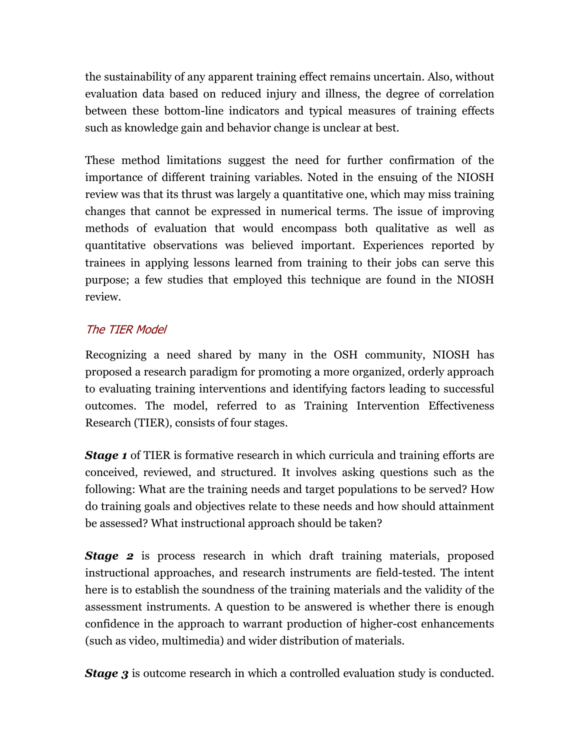the sustainability of any apparent training effect remains uncertain. Also, without evaluation data based on reduced injury and illness, the degree of correlation between these bottom-line indicators and typical measures of training effects such as knowledge gain and behavior change is unclear at best.

These method limitations suggest the need for further confirmation of the importance of different training variables. Noted in the ensuing of the NIOSH review was that its thrust was largely a quantitative one, which may miss training changes that cannot be expressed in numerical terms. The issue of improving methods of evaluation that would encompass both qualitative as well as quantitative observations was believed important. Experiences reported by trainees in applying lessons learned from training to their jobs can serve this purpose; a few studies that employed this technique are found in the NIOSH review.

#### The TIER Model

Recognizing a need shared by many in the OSH community, NIOSH has proposed a research paradigm for promoting a more organized, orderly approach to evaluating training interventions and identifying factors leading to successful outcomes. The model, referred to as Training Intervention Effectiveness Research (TIER), consists of four stages.

*Stage 1* of TIER is formative research in which curricula and training efforts are conceived, reviewed, and structured. It involves asking questions such as the following: What are the training needs and target populations to be served? How do training goals and objectives relate to these needs and how should attainment be assessed? What instructional approach should be taken?

**Stage 2** is process research in which draft training materials, proposed instructional approaches, and research instruments are field-tested. The intent here is to establish the soundness of the training materials and the validity of the assessment instruments. A question to be answered is whether there is enough confidence in the approach to warrant production of higher-cost enhancements (such as video, multimedia) and wider distribution of materials.

*Stage* 3 is outcome research in which a controlled evaluation study is conducted.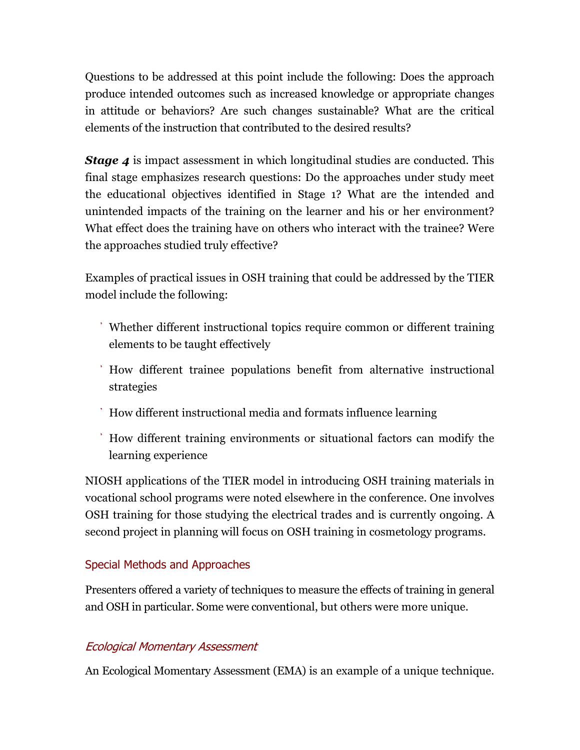Questions to be addressed at this point include the following: Does the approach produce intended outcomes such as increased knowledge or appropriate changes in attitude or behaviors? Are such changes sustainable? What are the critical elements of the instruction that contributed to the desired results?

*Stage 4* is impact assessment in which longitudinal studies are conducted. This final stage emphasizes research questions: Do the approaches under study meet the educational objectives identified in Stage 1? What are the intended and unintended impacts of the training on the learner and his or her environment? What effect does the training have on others who interact with the trainee? Were the approaches studied truly effective?

Examples of practical issues in OSH training that could be addressed by the TIER model include the following:

- $\dot{ }$  Whether different instructional topics require common or different training elements to be taught effectively
- $'$  How different trainee populations benefit from alternative instructional strategies
- How different instructional media and formats influence learning
- How different training environments or situational factors can modify the learning experience

NIOSH applications of the TIER model in introducing OSH training materials in vocational school programs were noted elsewhere in the conference. One involves OSH training for those studying the electrical trades and is currently ongoing. A second project in planning will focus on OSH training in cosmetology programs.

#### Special Methods and Approaches

 and OSH in particular. Some were conventional, but others were more unique. Presenters offered a variety of techniques to measure the effects of training in general

#### Ecological Momentary Assessment

An Ecological Momentary Assessment (EMA) is an example of a unique technique.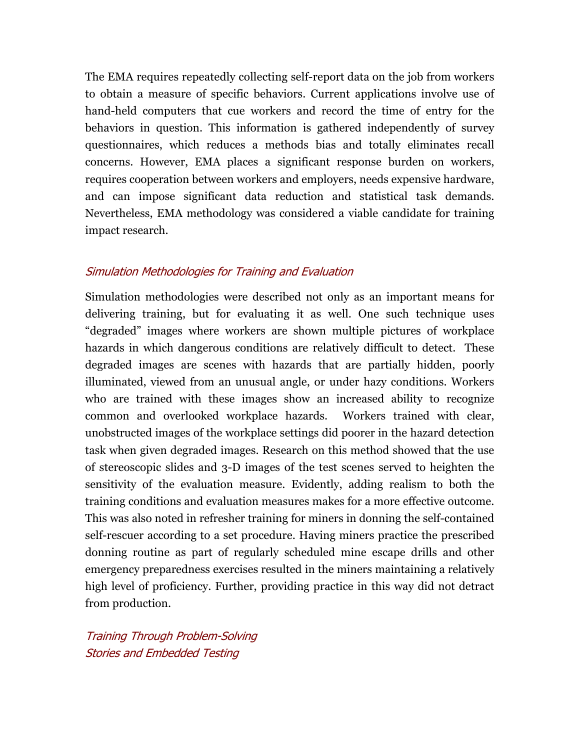The EMA requires repeatedly collecting self-report data on the job from workers to obtain a measure of specific behaviors. Current applications involve use of hand-held computers that cue workers and record the time of entry for the behaviors in question. This information is gathered independently of survey questionnaires, which reduces a methods bias and totally eliminates recall concerns. However, EMA places a significant response burden on workers, requires cooperation between workers and employers, needs expensive hardware, and can impose significant data reduction and statistical task demands. Nevertheless, EMA methodology was considered a viable candidate for training impact research.

#### Simulation Methodologies for Training and Evaluation

Simulation methodologies were described not only as an important means for delivering training, but for evaluating it as well. One such technique uses "degraded" images where workers are shown multiple pictures of workplace hazards in which dangerous conditions are relatively difficult to detect. These degraded images are scenes with hazards that are partially hidden, poorly illuminated, viewed from an unusual angle, or under hazy conditions. Workers who are trained with these images show an increased ability to recognize common and overlooked workplace hazards. Workers trained with clear, unobstructed images of the workplace settings did poorer in the hazard detection task when given degraded images. Research on this method showed that the use of stereoscopic slides and 3-D images of the test scenes served to heighten the sensitivity of the evaluation measure. Evidently, adding realism to both the training conditions and evaluation measures makes for a more effective outcome. This was also noted in refresher training for miners in donning the self-contained self-rescuer according to a set procedure. Having miners practice the prescribed donning routine as part of regularly scheduled mine escape drills and other emergency preparedness exercises resulted in the miners maintaining a relatively high level of proficiency. Further, providing practice in this way did not detract from production.

Training Through Problem-Solving Stories and Embedded Testing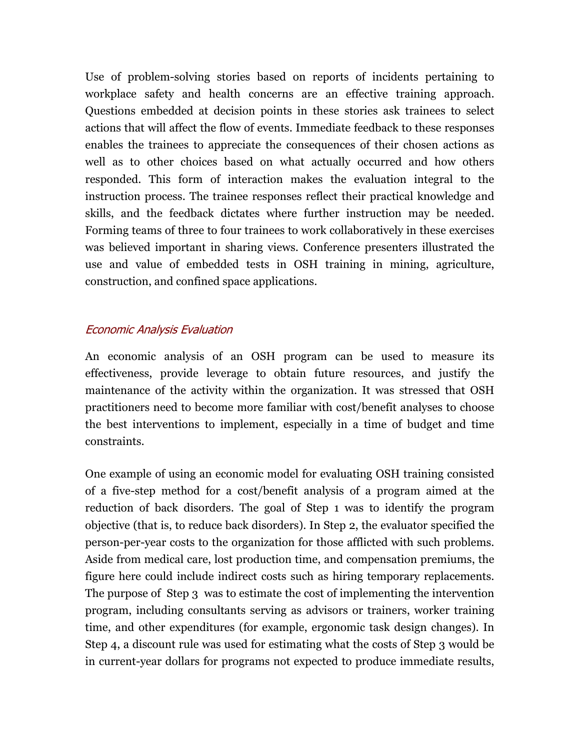Use of problem-solving stories based on reports of incidents pertaining to workplace safety and health concerns are an effective training approach. Questions embedded at decision points in these stories ask trainees to select actions that will affect the flow of events. Immediate feedback to these responses enables the trainees to appreciate the consequences of their chosen actions as well as to other choices based on what actually occurred and how others responded. This form of interaction makes the evaluation integral to the instruction process. The trainee responses reflect their practical knowledge and skills, and the feedback dictates where further instruction may be needed. Forming teams of three to four trainees to work collaboratively in these exercises was believed important in sharing views. Conference presenters illustrated the use and value of embedded tests in OSH training in mining, agriculture, construction, and confined space applications.

#### Economic Analysis Evaluation

An economic analysis of an OSH program can be used to measure its effectiveness, provide leverage to obtain future resources, and justify the maintenance of the activity within the organization. It was stressed that OSH practitioners need to become more familiar with cost/benefit analyses to choose the best interventions to implement, especially in a time of budget and time constraints.

One example of using an economic model for evaluating OSH training consisted of a five-step method for a cost/benefit analysis of a program aimed at the reduction of back disorders. The goal of Step 1 was to identify the program objective (that is, to reduce back disorders). In Step 2, the evaluator specified the person-per-year costs to the organization for those afflicted with such problems. Aside from medical care, lost production time, and compensation premiums, the figure here could include indirect costs such as hiring temporary replacements. The purpose of Step 3 was to estimate the cost of implementing the intervention program, including consultants serving as advisors or trainers, worker training time, and other expenditures (for example, ergonomic task design changes). In Step 4, a discount rule was used for estimating what the costs of Step 3 would be in current-year dollars for programs not expected to produce immediate results,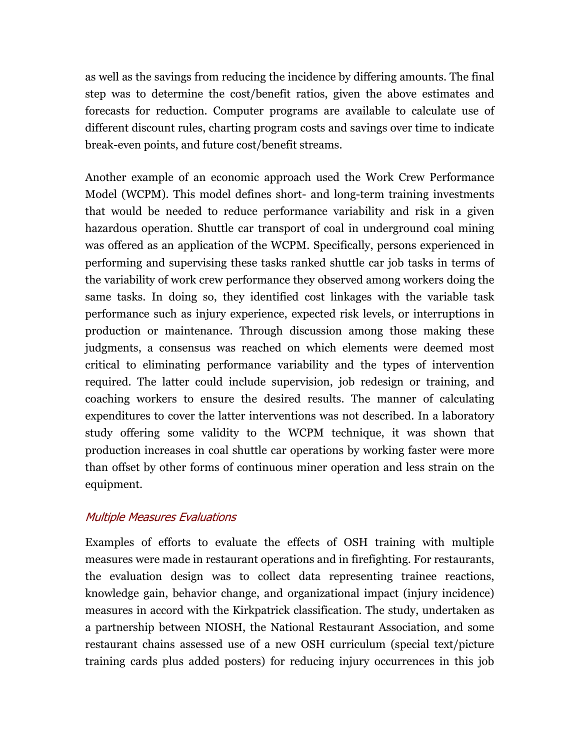as well as the savings from reducing the incidence by differing amounts. The final step was to determine the cost/benefit ratios, given the above estimates and forecasts for reduction. Computer programs are available to calculate use of different discount rules, charting program costs and savings over time to indicate break-even points, and future cost/benefit streams.

 equipment. Another example of an economic approach used the Work Crew Performance Model (WCPM). This model defines short- and long-term training investments that would be needed to reduce performance variability and risk in a given hazardous operation. Shuttle car transport of coal in underground coal mining was offered as an application of the WCPM. Specifically, persons experienced in performing and supervising these tasks ranked shuttle car job tasks in terms of the variability of work crew performance they observed among workers doing the same tasks. In doing so, they identified cost linkages with the variable task performance such as injury experience, expected risk levels, or interruptions in production or maintenance. Through discussion among those making these judgments, a consensus was reached on which elements were deemed most critical to eliminating performance variability and the types of intervention required. The latter could include supervision, job redesign or training, and coaching workers to ensure the desired results. The manner of calculating expenditures to cover the latter interventions was not described. In a laboratory study offering some validity to the WCPM technique, it was shown that production increases in coal shuttle car operations by working faster were more than offset by other forms of continuous miner operation and less strain on the

#### Multiple Measures Evaluations

Examples of efforts to evaluate the effects of OSH training with multiple measures were made in restaurant operations and in firefighting. For restaurants, the evaluation design was to collect data representing trainee reactions, knowledge gain, behavior change, and organizational impact (injury incidence) measures in accord with the Kirkpatrick classification. The study, undertaken as a partnership between NIOSH, the National Restaurant Association, and some restaurant chains assessed use of a new OSH curriculum (special text/picture training cards plus added posters) for reducing injury occurrences in this job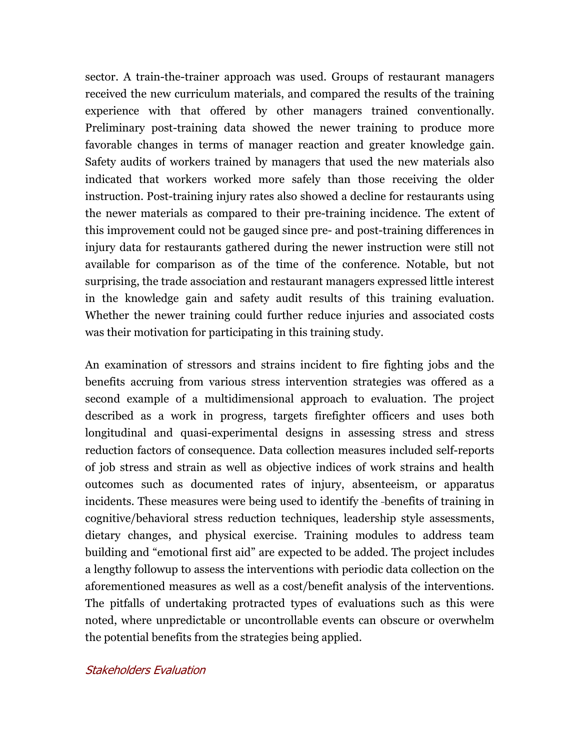sector. A train-the-trainer approach was used. Groups of restaurant managers received the new curriculum materials, and compared the results of the training experience with that offered by other managers trained conventionally. Preliminary post-training data showed the newer training to produce more favorable changes in terms of manager reaction and greater knowledge gain. Safety audits of workers trained by managers that used the new materials also indicated that workers worked more safely than those receiving the older instruction. Post-training injury rates also showed a decline for restaurants using the newer materials as compared to their pre-training incidence. The extent of this improvement could not be gauged since pre- and post-training differences in injury data for restaurants gathered during the newer instruction were still not available for comparison as of the time of the conference. Notable, but not surprising, the trade association and restaurant managers expressed little interest in the knowledge gain and safety audit results of this training evaluation. Whether the newer training could further reduce injuries and associated costs was their motivation for participating in this training study.

An examination of stressors and strains incident to fire fighting jobs and the benefits accruing from various stress intervention strategies was offered as a second example of a multidimensional approach to evaluation. The project described as a work in progress, targets firefighter officers and uses both longitudinal and quasi-experimental designs in assessing stress and stress reduction factors of consequence. Data collection measures included self-reports of job stress and strain as well as objective indices of work strains and health outcomes such as documented rates of injury, absenteeism, or apparatus incidents. These measures were being used to identify the benefits of training in cognitive/behavioral stress reduction techniques, leadership style assessments, dietary changes, and physical exercise. Training modules to address team building and "emotional first aid" are expected to be added. The project includes a lengthy followup to assess the interventions with periodic data collection on the aforementioned measures as well as a cost/benefit analysis of the interventions. The pitfalls of undertaking protracted types of evaluations such as this were noted, where unpredictable or uncontrollable events can obscure or overwhelm the potential benefits from the strategies being applied.

#### Stakeholders Evaluation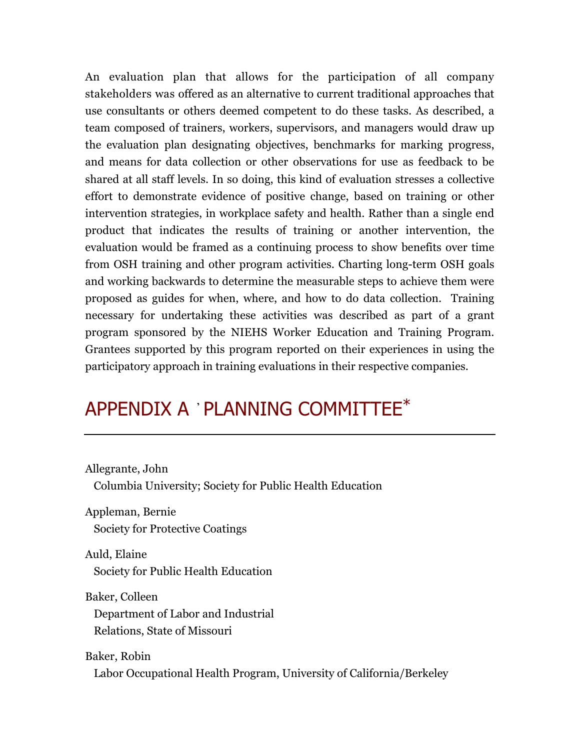stakeholders was offered as an alternative to current traditional approaches that An evaluation plan that allows for the participation of all company use consultants or others deemed competent to do these tasks. As described, a team composed of trainers, workers, supervisors, and managers would draw up the evaluation plan designating objectives, benchmarks for marking progress, and means for data collection or other observations for use as feedback to be shared at all staff levels. In so doing, this kind of evaluation stresses a collective effort to demonstrate evidence of positive change, based on training or other intervention strategies, in workplace safety and health. Rather than a single end product that indicates the results of training or another intervention, the evaluation would be framed as a continuing process to show benefits over time from OSH training and other program activities. Charting long-term OSH goals and working backwards to determine the measurable steps to achieve them were proposed as guides for when, where, and how to do data collection. Training necessary for undertaking these activities was described as part of a grant program sponsored by the NIEHS Worker Education and Training Program. Grantees supported by this program reported on their experiences in using the participatory approach in training evaluations in their respective companies.

## APPENDIX A 'PLANNING COMMITTEE\*

Allegrante, John Columbia University; Society for Public Health Education Appleman, Bernie Society for Protective Coatings Auld, Elaine Society for Public Health Education Baker, Colleen Department of Labor and Industrial Relations, State of Missouri Baker, Robin Labor Occupational Health Program, University of California/Berkeley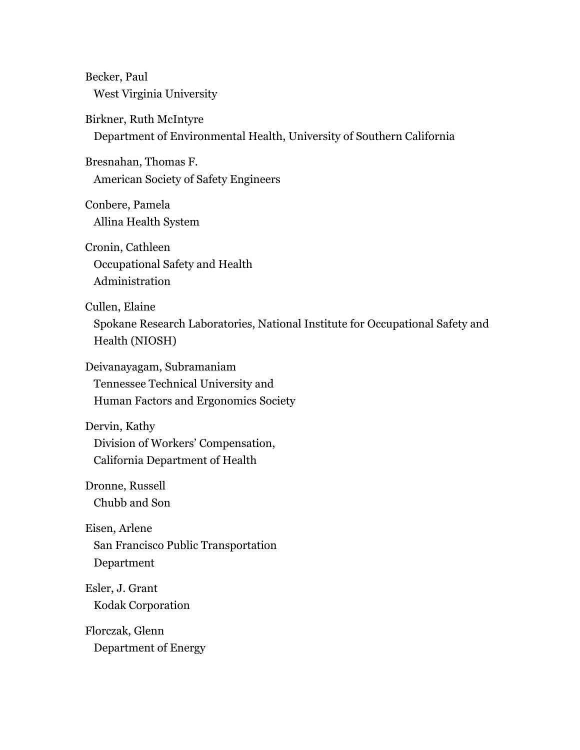Becker, Paul West Virginia University

Birkner, Ruth McIntyre Department of Environmental Health, University of Southern California

Bresnahan, Thomas F. American Society of Safety Engineers

Conbere, Pamela Allina Health System

Cronin, Cathleen Occupational Safety and Health Administration

Cullen, Elaine Spokane Research Laboratories, National Institute for Occupational Safety and Health (NIOSH)

Deivanayagam, Subramaniam Tennessee Technical University and Human Factors and Ergonomics Society

Dervin, Kathy Division of Workers' Compensation, California Department of Health

Dronne, Russell Chubb and Son

Eisen, Arlene San Francisco Public Transportation Department

Esler, J. Grant Kodak Corporation

Florczak, Glenn Department of Energy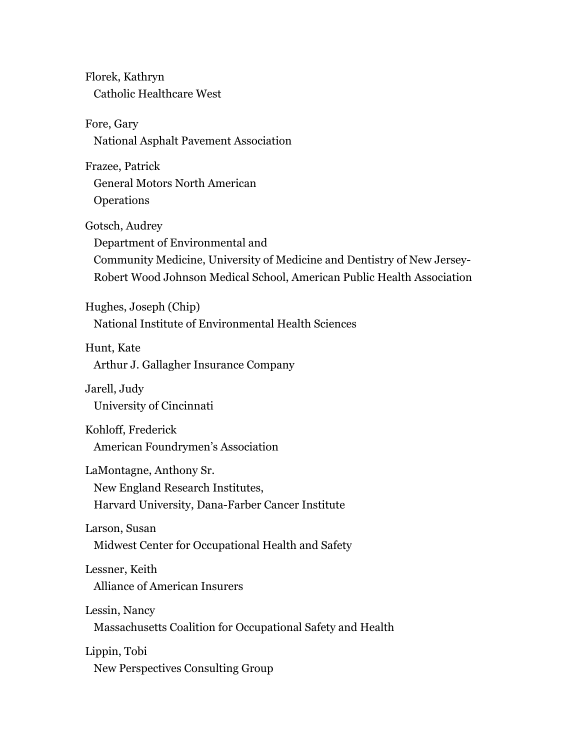Florek, Kathryn Catholic Healthcare West

Fore, Gary National Asphalt Pavement Association

Frazee, Patrick General Motors North American Operations

Gotsch, Audrey Department of Environmental and Community Medicine, University of Medicine and Dentistry of New Jersey-Robert Wood Johnson Medical School, American Public Health Association

Hughes, Joseph (Chip) National Institute of Environmental Health Sciences

Hunt, Kate Arthur J. Gallagher Insurance Company

Jarell, Judy University of Cincinnati

Kohloff, Frederick American Foundrymen's Association

LaMontagne, Anthony Sr. New England Research Institutes, Harvard University, Dana-Farber Cancer Institute

Larson, Susan Midwest Center for Occupational Health and Safety

Lessner, Keith Alliance of American Insurers

Lessin, Nancy Massachusetts Coalition for Occupational Safety and Health

Lippin, Tobi New Perspectives Consulting Group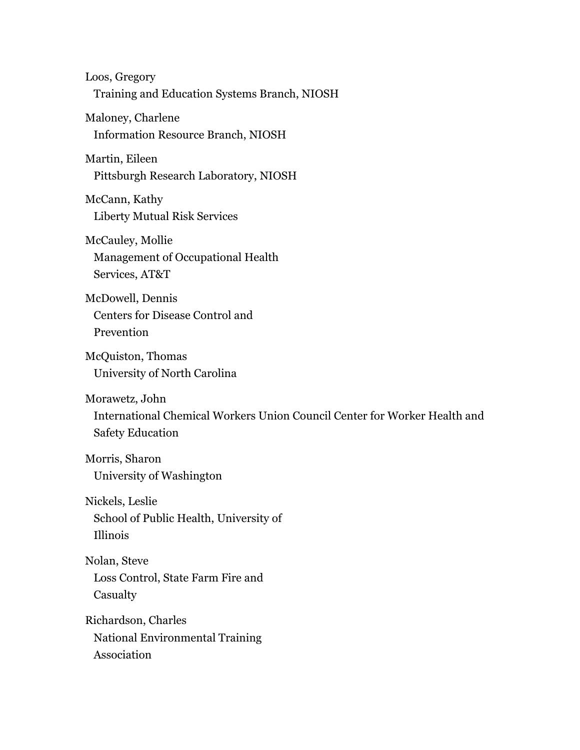Loos, Gregory Training and Education Systems Branch, NIOSH Maloney, Charlene Information Resource Branch, NIOSH Martin, Eileen Pittsburgh Research Laboratory, NIOSH McCann, Kathy Liberty Mutual Risk Services McCauley, Mollie Management of Occupational Health Services, AT&T McDowell, Dennis Centers for Disease Control and Prevention McQuiston, Thomas University of North Carolina Morawetz, John International Chemical Workers Union Council Center for Worker Health and Safety Education Morris, Sharon University of Washington Nickels, Leslie School of Public Health, University of Illinois Nolan, Steve Loss Control, State Farm Fire and Casualty Richardson, Charles National Environmental Training Association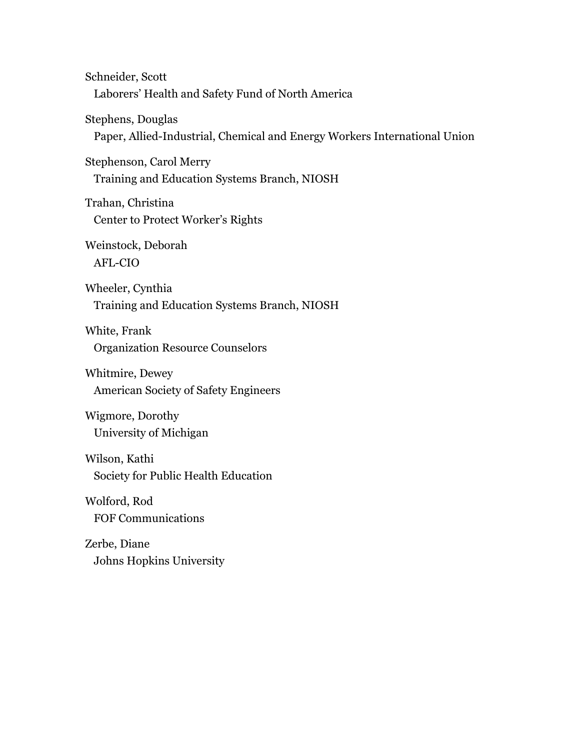Schneider, Scott Laborers' Health and Safety Fund of North America Stephens, Douglas Paper, Allied-Industrial, Chemical and Energy Workers International Union Stephenson, Carol Merry Training and Education Systems Branch, NIOSH Trahan, Christina Center to Protect Worker's Rights Weinstock, Deborah AFL-CIO Wheeler, Cynthia Training and Education Systems Branch, NIOSH White, Frank Organization Resource Counselors Whitmire, Dewey American Society of Safety Engineers Wigmore, Dorothy University of Michigan Wilson, Kathi Society for Public Health Education Wolford, Rod FOF Communications Zerbe, Diane Johns Hopkins University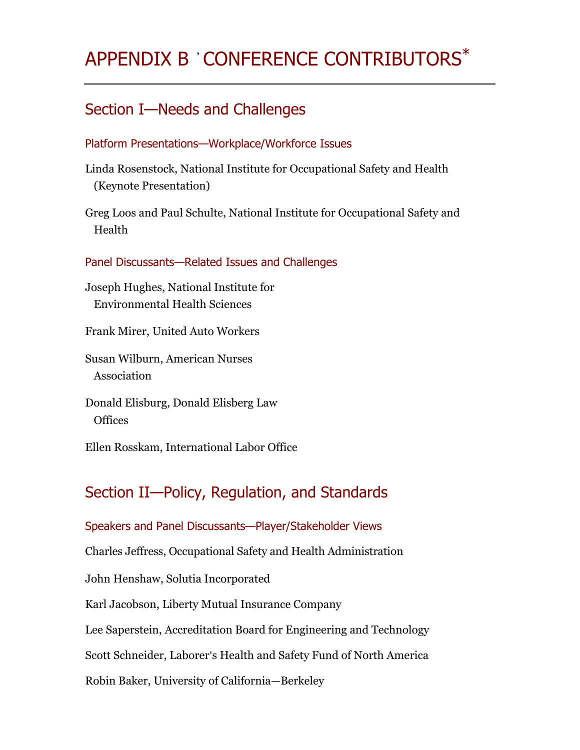## APPENDIX B 'CONFERENCE CONTRIBUTORS\*

## Section I—Needs and Challenges

Platform Presentations—Workplace/Workforce Issues

Linda Rosenstock, National Institute for Occupational Safety and Health (Keynote Presentation)

Greg Loos and Paul Schulte, National Institute for Occupational Safety and Health

Panel Discussants—Related Issues and Challenges

Joseph Hughes, National Institute for Environmental Health Sciences

Frank Mirer, United Auto Workers

Susan Wilburn, American Nurses Association

Donald Elisburg, Donald Elisberg Law **Offices** 

Ellen Rosskam, International Labor Office

## Section II—Policy, Regulation, and Standards

Speakers and Panel Discussants—Player/Stakeholder Views

Charles Jeffress, Occupational Safety and Health Administration John Henshaw, Solutia Incorporated

Karl Jacobson, Liberty Mutual Insurance Company

Lee Saperstein, Accreditation Board for Engineering and Technology

Scott Schneider, Laborer's Health and Safety Fund of North America

Robin Baker, University of California—Berkeley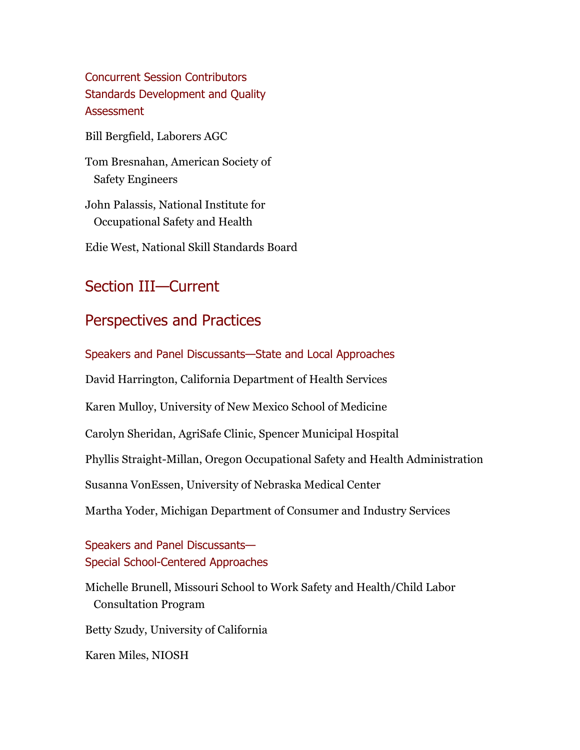Concurrent Session Contributors Standards Development and Quality Assessment

Bill Bergfield, Laborers AGC

Tom Bresnahan, American Society of Safety Engineers

John Palassis, National Institute for Occupational Safety and Health

Edie West, National Skill Standards Board

### Section III—Current

### Perspectives and Practices

Speakers and Panel Discussants—State and Local Approaches

David Harrington, California Department of Health Services

Karen Mulloy, University of New Mexico School of Medicine

Carolyn Sheridan, AgriSafe Clinic, Spencer Municipal Hospital

Phyllis Straight-Millan, Oregon Occupational Safety and Health Administration

Susanna VonEssen, University of Nebraska Medical Center

Martha Yoder, Michigan Department of Consumer and Industry Services

Speakers and Panel Discussants— Special School-Centered Approaches

Michelle Brunell, Missouri School to Work Safety and Health/Child Labor Consultation Program

Betty Szudy, University of California

Karen Miles, NIOSH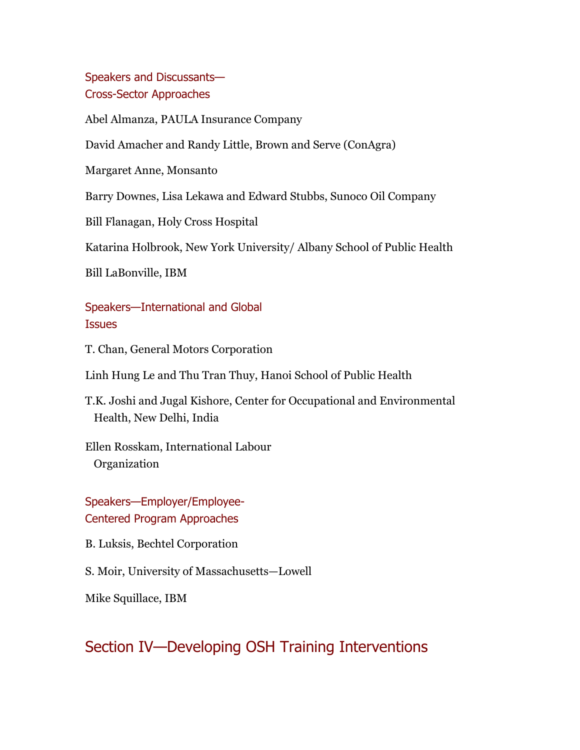Speakers and Discussants— Cross-Sector Approaches

Abel Almanza, PAULA Insurance Company

David Amacher and Randy Little, Brown and Serve (ConAgra)

Margaret Anne, Monsanto

Barry Downes, Lisa Lekawa and Edward Stubbs, Sunoco Oil Company

Bill Flanagan, Holy Cross Hospital

Katarina Holbrook, New York University/ Albany School of Public Health

Bill LaBonville, IBM

Speakers—International and Global **Issues** 

T. Chan, General Motors Corporation

Linh Hung Le and Thu Tran Thuy, Hanoi School of Public Health

T.K. Joshi and Jugal Kishore, Center for Occupational and Environmental Health, New Delhi, India

Ellen Rosskam, International Labour Organization

Speakers—Employer/Employee-Centered Program Approaches

B. Luksis, Bechtel Corporation

S. Moir, University of Massachusetts—Lowell

Mike Squillace, IBM

### Section IV—Developing OSH Training Interventions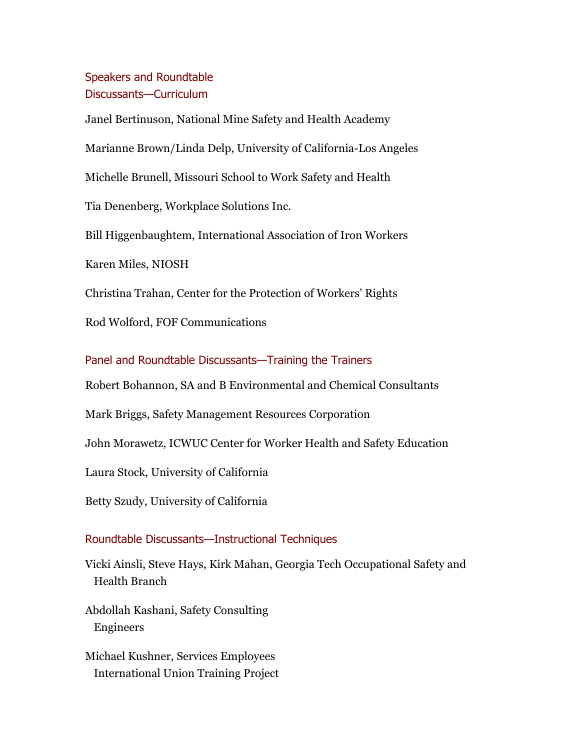#### Speakers and Roundtable Discussants—Curriculum

Janel Bertinuson, National Mine Safety and Health Academy Marianne Brown/Linda Delp, University of California-Los Angeles Michelle Brunell, Missouri School to Work Safety and Health Tia Denenberg, Workplace Solutions Inc. Bill Higgenbaughtem, International Association of Iron Workers Karen Miles, NIOSH Christina Trahan, Center for the Protection of Workers' Rights Rod Wolford, FOF Communications Panel and Roundtable Discussants—Training the Trainers

Robert Bohannon, SA and B Environmental and Chemical Consultants

Mark Briggs, Safety Management Resources Corporation

John Morawetz, ICWUC Center for Worker Health and Safety Education

Laura Stock, University of California

Betty Szudy, University of California

#### Roundtable Discussants—Instructional Techniques

Vicki Ainsli, Steve Hays, Kirk Mahan, Georgia Tech Occupational Safety and Health Branch

Abdollah Kashani, Safety Consulting Engineers

Michael Kushner, Services Employees International Union Training Project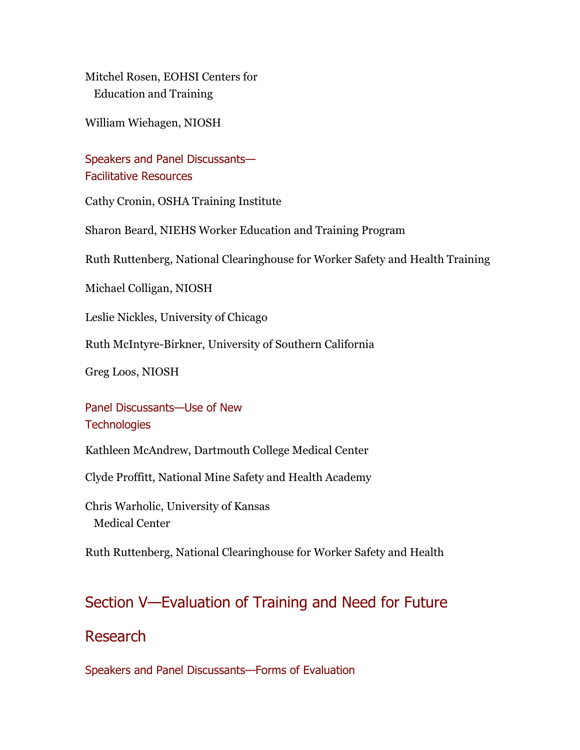Mitchel Rosen, EOHSI Centers for Education and Training

William Wiehagen, NIOSH

Speakers and Panel Discussants— Facilitative Resources

Cathy Cronin, OSHA Training Institute

Sharon Beard, NIEHS Worker Education and Training Program

Ruth Ruttenberg, National Clearinghouse for Worker Safety and Health Training

Michael Colligan, NIOSH

Leslie Nickles, University of Chicago

Ruth McIntyre-Birkner, University of Southern California

Greg Loos, NIOSH

Panel Discussants—Use of New **Technologies** 

Kathleen McAndrew, Dartmouth College Medical Center

Clyde Proffitt, National Mine Safety and Health Academy

Chris Warholic, University of Kansas Medical Center

Ruth Ruttenberg, National Clearinghouse for Worker Safety and Health

#### Section V—Evaluation of Training and Need for Future

#### Research

Speakers and Panel Discussants—Forms of Evaluation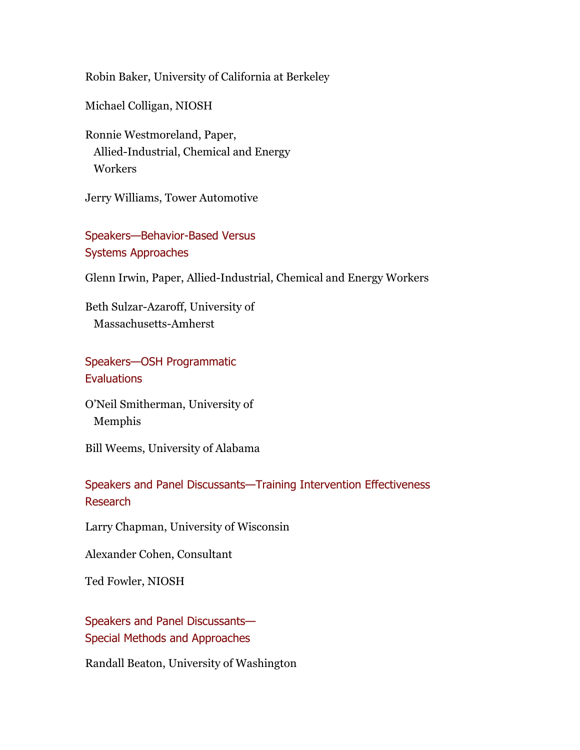Robin Baker, University of California at Berkeley

Michael Colligan, NIOSH

Ronnie Westmoreland, Paper, Allied-Industrial, Chemical and Energy Workers

Jerry Williams, Tower Automotive

Speakers—Behavior-Based Versus Systems Approaches

Glenn Irwin, Paper, Allied-Industrial, Chemical and Energy Workers

Beth Sulzar-Azaroff, University of Massachusetts-Amherst

Speakers—OSH Programmatic **Evaluations** 

O'Neil Smitherman, University of Memphis

Bill Weems, University of Alabama

Speakers and Panel Discussants—Training Intervention Effectiveness Research

Larry Chapman, University of Wisconsin

Alexander Cohen, Consultant

Ted Fowler, NIOSH

Speakers and Panel Discussants— Special Methods and Approaches

Randall Beaton, University of Washington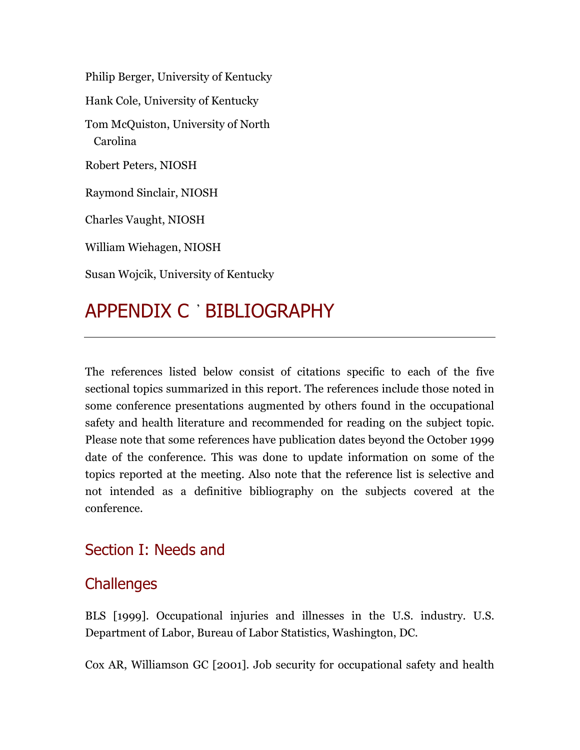Philip Berger, University of Kentucky Hank Cole, University of Kentucky Tom McQuiston, University of North Carolina Robert Peters, NIOSH Raymond Sinclair, NIOSH Charles Vaught, NIOSH William Wiehagen, NIOSH Susan Wojcik, University of Kentucky

# APPENDIX C ' BIBLIOGRAPHY

 conference. The references listed below consist of citations specific to each of the five sectional topics summarized in this report. The references include those noted in some conference presentations augmented by others found in the occupational safety and health literature and recommended for reading on the subject topic. Please note that some references have publication dates beyond the October 1999 date of the conference. This was done to update information on some of the topics reported at the meeting. Also note that the reference list is selective and not intended as a definitive bibliography on the subjects covered at the

# Section I: Needs and

## **Challenges**

BLS [1999]. Occupational injuries and illnesses in the U.S. industry. U.S. Department of Labor, Bureau of Labor Statistics, Washington, DC.

Cox AR, Williamson GC [2001]. Job security for occupational safety and health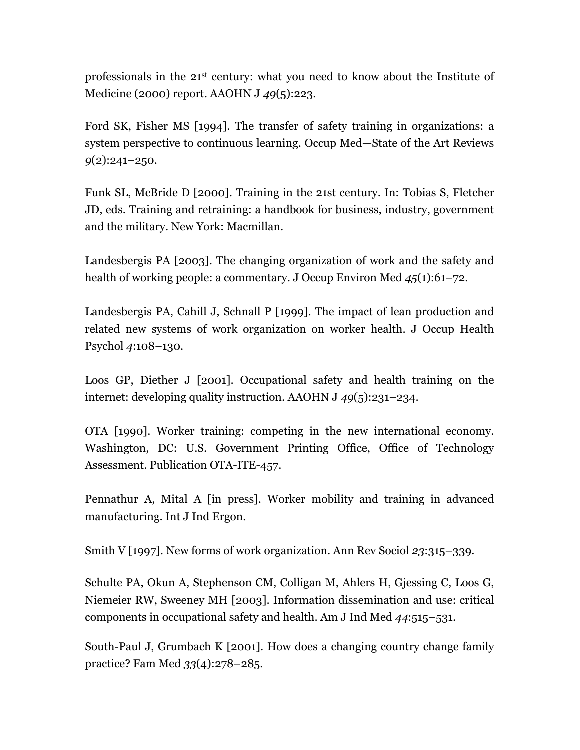professionals in the 21st century: what you need to know about the Institute of Medicine (2000) report. AAOHN J *49*(5):223.

Ford SK, Fisher MS [1994]. The transfer of safety training in organizations: a system perspective to continuous learning. Occup Med—State of the Art Reviews *9*(2):241–250.

Funk SL, McBride D [2000]. Training in the 21st century. In: Tobias S, Fletcher JD, eds. Training and retraining: a handbook for business, industry, government and the military. New York: Macmillan.

Landesbergis PA [2003]. The changing organization of work and the safety and health of working people: a commentary. J Occup Environ Med *45*(1):61–72.

Landesbergis PA, Cahill J, Schnall P [1999]. The impact of lean production and related new systems of work organization on worker health. J Occup Health Psychol *4*:108–130.

Loos GP, Diether J [2001]. Occupational safety and health training on the internet: developing quality instruction. AAOHN J *49*(5):231–234.

OTA [1990]. Worker training: competing in the new international economy. Washington, DC: U.S. Government Printing Office, Office of Technology Assessment. Publication OTA-ITE-457.

Pennathur A, Mital A [in press]. Worker mobility and training in advanced manufacturing. Int J Ind Ergon.

Smith V [1997]. New forms of work organization. Ann Rev Sociol *23*:315–339.

Schulte PA, Okun A, Stephenson CM, Colligan M, Ahlers H, Gjessing C, Loos G, Niemeier RW, Sweeney MH [2003]. Information dissemination and use: critical components in occupational safety and health. Am J Ind Med *44*:515–531.

South-Paul J, Grumbach K [2001]. How does a changing country change family practice? Fam Med *33*(4):278–285.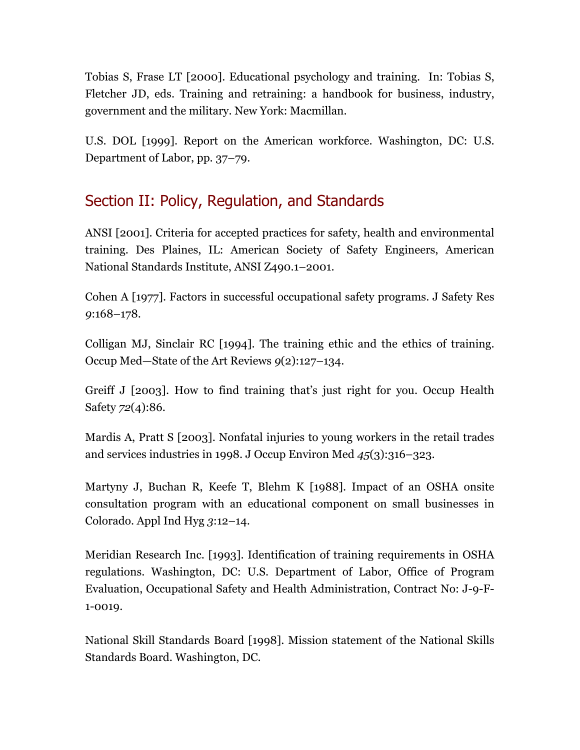Tobias S, Frase LT [2000]. Educational psychology and training. In: Tobias S, Fletcher JD, eds. Training and retraining: a handbook for business, industry, government and the military. New York: Macmillan.

U.S. DOL [1999]. Report on the American workforce. Washington, DC: U.S. Department of Labor, pp. 37–79.

# Section II: Policy, Regulation, and Standards

ANSI [2001]. Criteria for accepted practices for safety, health and environmental training. Des Plaines, IL: American Society of Safety Engineers, American National Standards Institute, ANSI Z490.1–2001.

Cohen A [1977]. Factors in successful occupational safety programs. J Safety Res *9*:168–178.

Colligan MJ, Sinclair RC [1994]. The training ethic and the ethics of training. Occup Med—State of the Art Reviews *9*(2):127–134.

Greiff J [2003]. How to find training that's just right for you. Occup Health Safety *72*(4):86.

Mardis A, Pratt S [2003]. Nonfatal injuries to young workers in the retail trades and services industries in 1998. J Occup Environ Med *45*(3):316–323.

Colorado. Appl Ind Hyg $3:12-14$ . Martyny J, Buchan R, Keefe T, Blehm K [1988]. Impact of an OSHA onsite consultation program with an educational component on small businesses in

Meridian Research Inc. [1993]. Identification of training requirements in OSHA regulations. Washington, DC: U.S. Department of Labor, Office of Program Evaluation, Occupational Safety and Health Administration, Contract No: J-9-F-1-0019.

National Skill Standards Board [1998]. Mission statement of the National Skills Standards Board. Washington, DC.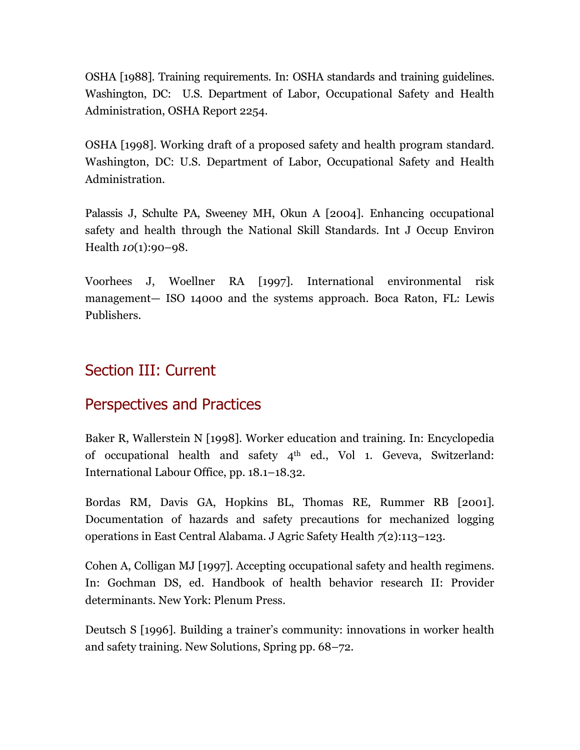OSHA [1988]. Training requirements. In: OSHA standards and training guidelines. Washington, DC: U.S. Department of Labor, Occupational Safety and Health Administration, OSHA Report 2254.

OSHA [1998]. Working draft of a proposed safety and health program standard. Washington, DC: U.S. Department of Labor, Occupational Safety and Health Administration.

Palassis J, Schulte PA, Sweeney MH, Okun A [2004]. Enhancing occupational safety and health through the National Skill Standards. Int J Occup Environ Health *10*(1):90–98.

Voorhees J, Woellner RA [1997]. International environmental risk management— ISO 14000 and the systems approach. Boca Raton, FL: Lewis Publishers.

# Section III: Current

## Perspectives and Practices

Baker R, Wallerstein N [1998]. Worker education and training. In: Encyclopedia of occupational health and safety 4th ed., Vol 1. Geveva, Switzerland: International Labour Office, pp. 18.1–18.32.

Bordas RM, Davis GA, Hopkins BL, Thomas RE, Rummer RB [2001]. Documentation of hazards and safety precautions for mechanized logging operations in East Central Alabama. J Agric Safety Health *7*(2):113–123.

Cohen A, Colligan MJ [1997]. Accepting occupational safety and health regimens. In: Gochman DS, ed. Handbook of health behavior research II: Provider determinants. New York: Plenum Press.

Deutsch S [1996]. Building a trainer's community: innovations in worker health and safety training. New Solutions, Spring pp. 68–72.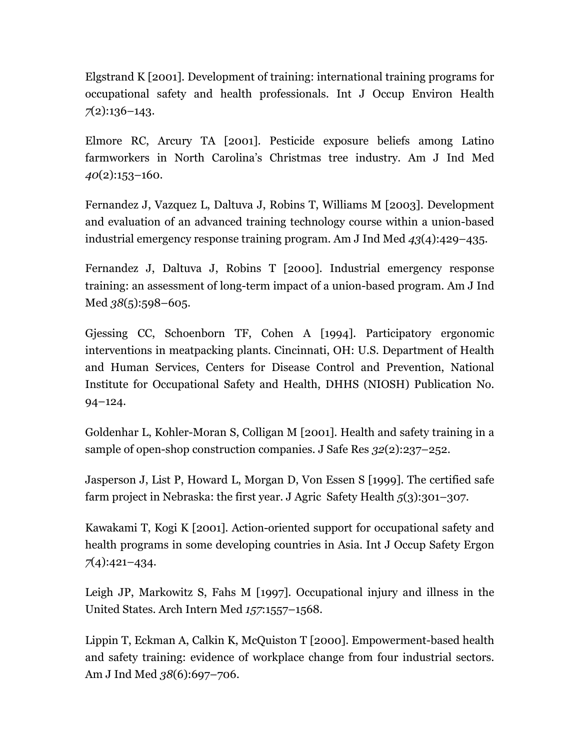Elgstrand K [2001]. Development of training: international training programs for occupational safety and health professionals. Int J Occup Environ Health *7*(2):136–143.

Elmore RC, Arcury TA [2001]. Pesticide exposure beliefs among Latino farmworkers in North Carolina's Christmas tree industry. Am J Ind Med *40*(2):153–160.

Fernandez J, Vazquez L, Daltuva J, Robins T, Williams M [2003]. Development and evaluation of an advanced training technology course within a union-based industrial emergency response training program. Am J Ind Med *43*(4):429–435.

Fernandez J, Daltuva J, Robins T [2000]. Industrial emergency response training: an assessment of long-term impact of a union-based program. Am J Ind Med *38*(5):598–605.

Gjessing CC, Schoenborn TF, Cohen A [1994]. Participatory ergonomic interventions in meatpacking plants. Cincinnati, OH: U.S. Department of Health and Human Services, Centers for Disease Control and Prevention, National Institute for Occupational Safety and Health, DHHS (NIOSH) Publication No. 94–124.

Goldenhar L, Kohler-Moran S, Colligan M [2001]. Health and safety training in a sample of open-shop construction companies. J Safe Res *32*(2):237–252.

Jasperson J, List P, Howard L, Morgan D, Von Essen S [1999]. The certified safe farm project in Nebraska: the first year. J Agric Safety Health *5*(3):301–307.

 Kawakami T, Kogi K [2001]. Action-oriented support for occupational safety and health programs in some developing countries in Asia. Int J Occup Safety Ergon *7*(4):421–434.

Leigh JP, Markowitz S, Fahs M [1997]. Occupational injury and illness in the United States. Arch Intern Med *157*:1557–1568.

Lippin T, Eckman A, Calkin K, McQuiston T [2000]. Empowerment-based health and safety training: evidence of workplace change from four industrial sectors. Am J Ind Med *38*(6):697–706.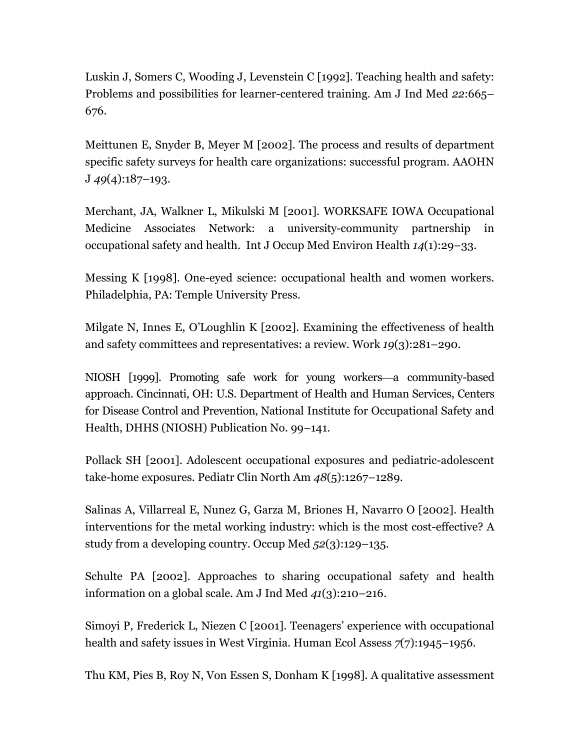Luskin J, Somers C, Wooding J, Levenstein C [1992]. Teaching health and safety: Problems and possibilities for learner-centered training. Am J Ind Med *22*:665– 676.

Meittunen E, Snyder B, Meyer M [2002]. The process and results of department specific safety surveys for health care organizations: successful program. AAOHN J *49*(4):187–193.

Merchant, JA, Walkner L, Mikulski M [2001]. WORKSAFE IOWA Occupational Medicine Associates Network: a university-community partnership in occupational safety and health. Int J Occup Med Environ Health *14*(1):29–33.

Messing K [1998]. One-eyed science: occupational health and women workers. Philadelphia, PA: Temple University Press.

Milgate N, Innes E, O'Loughlin K [2002]. Examining the effectiveness of health and safety committees and representatives: a review. Work *19*(3):281–290.

NIOSH [1999]. Promoting safe work for young workers—a community-based approach. Cincinnati, OH: U.S. Department of Health and Human Services, Centers for Disease Control and Prevention, National Institute for Occupational Safety and Health, DHHS (NIOSH) Publication No. 99–141.

Pollack SH [2001]. Adolescent occupational exposures and pediatric-adolescent take-home exposures. Pediatr Clin North Am *48*(5):1267–1289.

Salinas A, Villarreal E, Nunez G, Garza M, Briones H, Navarro O [2002]. Health interventions for the metal working industry: which is the most cost-effective? A study from a developing country. Occup Med *52*(3):129–135.

Schulte PA [2002]. Approaches to sharing occupational safety and health information on a global scale. Am J Ind Med *41*(3):210–216.

Simoyi P, Frederick L, Niezen C [2001]. Teenagers' experience with occupational health and safety issues in West Virginia. Human Ecol Assess *7*(7):1945–1956.

Thu KM, Pies B, Roy N, Von Essen S, Donham K [1998]. A qualitative assessment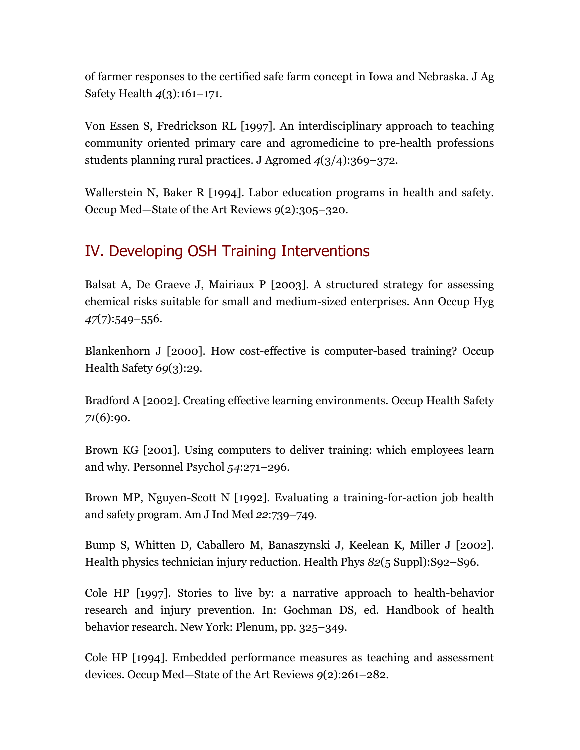of farmer responses to the certified safe farm concept in Iowa and Nebraska. J Ag Safety Health *4*(3):161–171.

Von Essen S, Fredrickson RL [1997]. An interdisciplinary approach to teaching community oriented primary care and agromedicine to pre-health professions students planning rural practices. J Agromed *4*(3/4):369–372.

Wallerstein N, Baker R [1994]. Labor education programs in health and safety. Occup Med—State of the Art Reviews *9*(2):305–320.

# IV. Developing OSH Training Interventions

Balsat A, De Graeve J, Mairiaux P [2003]. A structured strategy for assessing chemical risks suitable for small and medium-sized enterprises. Ann Occup Hyg *47*(7):549–556.

Blankenhorn J [2000]. How cost-effective is computer-based training? Occup Health Safety *69*(3):29.

Bradford A [2002]. Creating effective learning environments. Occup Health Safety *71*(6):90.

Brown KG [2001]. Using computers to deliver training: which employees learn and why. Personnel Psychol *54*:271–296.

Brown MP, Nguyen-Scott N [1992]. Evaluating a training-for-action job health and safety program. Am J Ind Med *22*:739–749.

Bump S, Whitten D, Caballero M, Banaszynski J, Keelean K, Miller J [2002]. Health physics technician injury reduction. Health Phys *82*(5 Suppl):S92–S96.

Cole HP [1997]. Stories to live by: a narrative approach to health-behavior research and injury prevention. In: Gochman DS, ed. Handbook of health behavior research. New York: Plenum, pp. 325–349.

Cole HP [1994]. Embedded performance measures as teaching and assessment devices. Occup Med—State of the Art Reviews *9*(2):261–282.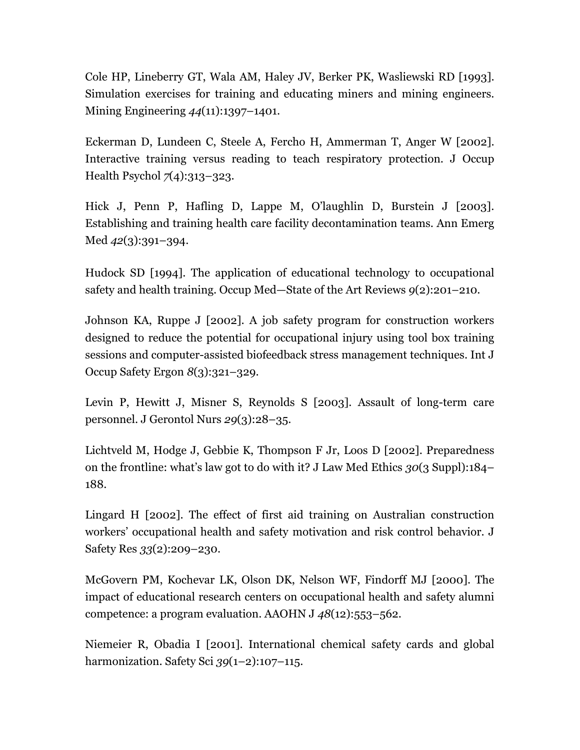Cole HP, Lineberry GT, Wala AM, Haley JV, Berker PK, Wasliewski RD [1993]. Simulation exercises for training and educating miners and mining engineers. Mining Engineering *44*(11):1397–1401.

Eckerman D, Lundeen C, Steele A, Fercho H, Ammerman T, Anger W [2002]. Interactive training versus reading to teach respiratory protection. J Occup Health Psychol *7*(4):313–323.

Hick J, Penn P, Hafling D, Lappe M, O'laughlin D, Burstein J [2003]. Establishing and training health care facility decontamination teams. Ann Emerg Med *42*(3):391–394.

Hudock SD [1994]. The application of educational technology to occupational safety and health training. Occup Med—State of the Art Reviews *9*(2):201–210.

Johnson KA, Ruppe J [2002]. A job safety program for construction workers designed to reduce the potential for occupational injury using tool box training sessions and computer-assisted biofeedback stress management techniques. Int J Occup Safety Ergon *8*(3):321–329.

Levin P, Hewitt J, Misner S, Reynolds S [2003]. Assault of long-term care personnel. J Gerontol Nurs *29*(3):28–35.

Lichtveld M, Hodge J, Gebbie K, Thompson F Jr, Loos D [2002]. Preparedness on the frontline: what's law got to do with it? J Law Med Ethics *30*(3 Suppl):184– 188.

Lingard H [2002]. The effect of first aid training on Australian construction workers' occupational health and safety motivation and risk control behavior. J Safety Res *33*(2):209–230.

McGovern PM, Kochevar LK, Olson DK, Nelson WF, Findorff MJ [2000]. The impact of educational research centers on occupational health and safety alumni competence: a program evaluation. AAOHN J *48*(12):553–562.

Niemeier R, Obadia I [2001]. International chemical safety cards and global harmonization. Safety Sci *39*(1–2):107–115.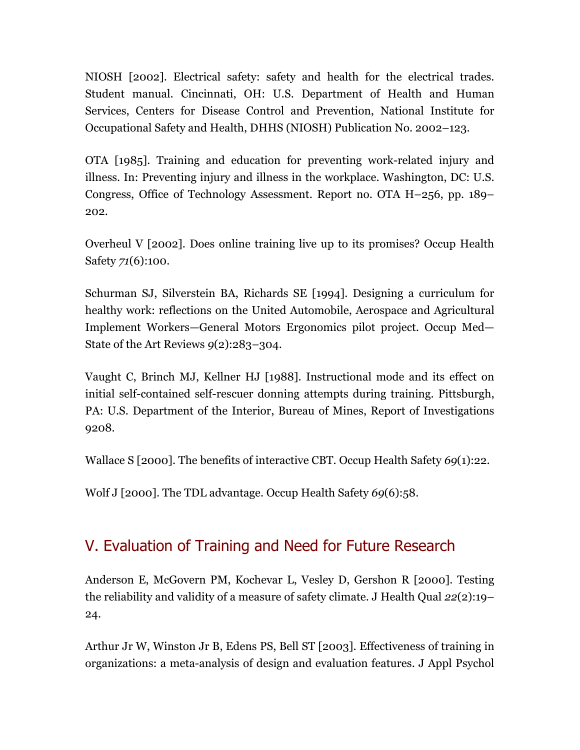NIOSH [2002]. Electrical safety: safety and health for the electrical trades. Student manual. Cincinnati, OH: U.S. Department of Health and Human Services, Centers for Disease Control and Prevention, National Institute for Occupational Safety and Health, DHHS (NIOSH) Publication No. 2002–123.

OTA [1985]. Training and education for preventing work-related injury and illness. In: Preventing injury and illness in the workplace. Washington, DC: U.S. Congress, Office of Technology Assessment. Report no. OTA H–256, pp. 189– 202.

Overheul V [2002]. Does online training live up to its promises? Occup Health Safety *71*(6):100.

Schurman SJ, Silverstein BA, Richards SE [1994]. Designing a curriculum for healthy work: reflections on the United Automobile, Aerospace and Agricultural Implement Workers—General Motors Ergonomics pilot project. Occup Med— State of the Art Reviews *9*(2):283–304.

Vaught C, Brinch MJ, Kellner HJ [1988]. Instructional mode and its effect on initial self-contained self-rescuer donning attempts during training. Pittsburgh, PA: U.S. Department of the Interior, Bureau of Mines, Report of Investigations 9208.

Wallace S [2000]. The benefits of interactive CBT. Occup Health Safety *69*(1):22.

Wolf J [2000]. The TDL advantage. Occup Health Safety *69*(6):58.

# V. Evaluation of Training and Need for Future Research

Anderson E, McGovern PM, Kochevar L, Vesley D, Gershon R [2000]. Testing the reliability and validity of a measure of safety climate. J Health Qual *22*(2):19– 24.

Arthur Jr W, Winston Jr B, Edens PS, Bell ST [2003]. Effectiveness of training in organizations: a meta-analysis of design and evaluation features. J Appl Psychol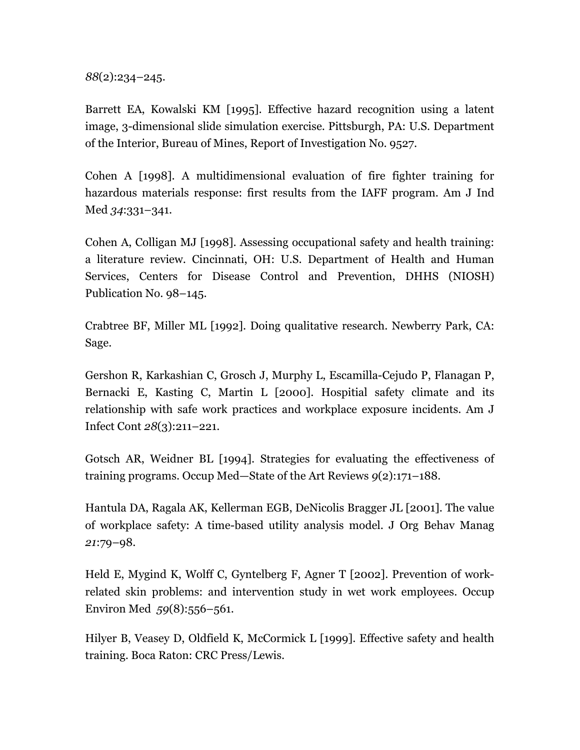*88*(2):234–245.

Barrett EA, Kowalski KM [1995]. Effective hazard recognition using a latent image, 3-dimensional slide simulation exercise. Pittsburgh, PA: U.S. Department of the Interior, Bureau of Mines, Report of Investigation No. 9527.

Cohen A [1998]. A multidimensional evaluation of fire fighter training for hazardous materials response: first results from the IAFF program. Am J Ind Med *34*:331–341.

Cohen A, Colligan MJ [1998]. Assessing occupational safety and health training: a literature review. Cincinnati, OH: U.S. Department of Health and Human Services, Centers for Disease Control and Prevention, DHHS (NIOSH) Publication No. 98–145.

Crabtree BF, Miller ML [1992]. Doing qualitative research. Newberry Park, CA: Sage.

Gershon R, Karkashian C, Grosch J, Murphy L, Escamilla-Cejudo P, Flanagan P, Bernacki E, Kasting C, Martin L [2000]. Hospitial safety climate and its relationship with safe work practices and workplace exposure incidents. Am J Infect Cont *28*(3):211–221.

Gotsch AR, Weidner BL [1994]. Strategies for evaluating the effectiveness of training programs. Occup Med—State of the Art Reviews *9*(2):171–188.

Hantula DA, Ragala AK, Kellerman EGB, DeNicolis Bragger JL [2001]. The value of workplace safety: A time-based utility analysis model. J Org Behav Manag *21*:79–98.

Held E, Mygind K, Wolff C, Gyntelberg F, Agner T [2002]. Prevention of workrelated skin problems: and intervention study in wet work employees. Occup Environ Med *59*(8):556–561.

Hilyer B, Veasey D, Oldfield K, McCormick L [1999]. Effective safety and health training. Boca Raton: CRC Press/Lewis.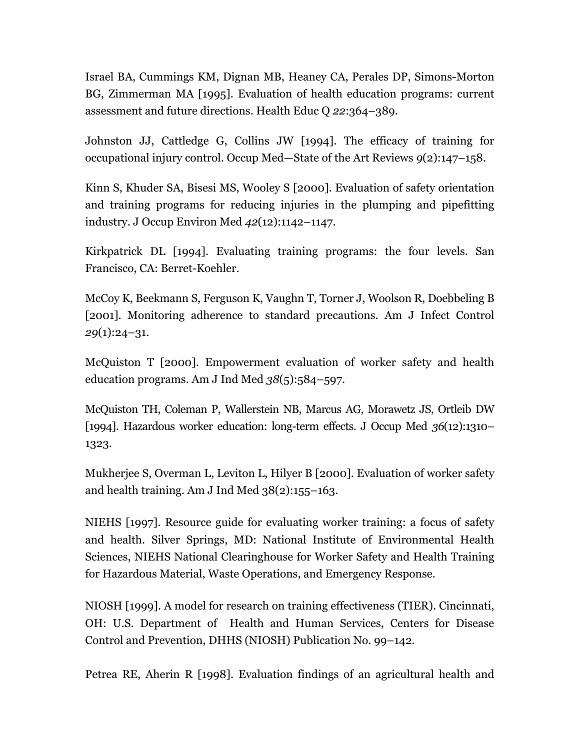Israel BA, Cummings KM, Dignan MB, Heaney CA, Perales DP, Simons-Morton BG, Zimmerman MA [1995]. Evaluation of health education programs: current assessment and future directions. Health Educ Q *22*:364–389.

Johnston JJ, Cattledge G, Collins JW [1994]. The efficacy of training for occupational injury control. Occup Med—State of the Art Reviews *9*(2):147–158.

Kinn S, Khuder SA, Bisesi MS, Wooley S [2000]. Evaluation of safety orientation and training programs for reducing injuries in the plumping and pipefitting industry. J Occup Environ Med *42*(12):1142–1147.

Kirkpatrick DL [1994]. Evaluating training programs: the four levels. San Francisco, CA: Berret-Koehler.

McCoy K, Beekmann S, Ferguson K, Vaughn T, Torner J, Woolson R, Doebbeling B [2001]. Monitoring adherence to standard precautions. Am J Infect Control *29*(1):24–31.

McQuiston T [2000]. Empowerment evaluation of worker safety and health education programs. Am J Ind Med *38*(5):584–597.

McQuiston TH, Coleman P, Wallerstein NB, Marcus AG, Morawetz JS, Ortleib DW [1994]. Hazardous worker education: long-term effects. J Occup Med *36*(12):1310– 1323.

Mukherjee S, Overman L, Leviton L, Hilyer B [2000]. Evaluation of worker safety and health training. Am J Ind Med 38(2):155–163.

NIEHS [1997]. Resource guide for evaluating worker training: a focus of safety and health. Silver Springs, MD: National Institute of Environmental Health Sciences, NIEHS National Clearinghouse for Worker Safety and Health Training for Hazardous Material, Waste Operations, and Emergency Response.

NIOSH [1999]. A model for research on training effectiveness (TIER). Cincinnati, OH: U.S. Department of Health and Human Services, Centers for Disease Control and Prevention, DHHS (NIOSH) Publication No. 99–142.

Petrea RE, Aherin R [1998]. Evaluation findings of an agricultural health and